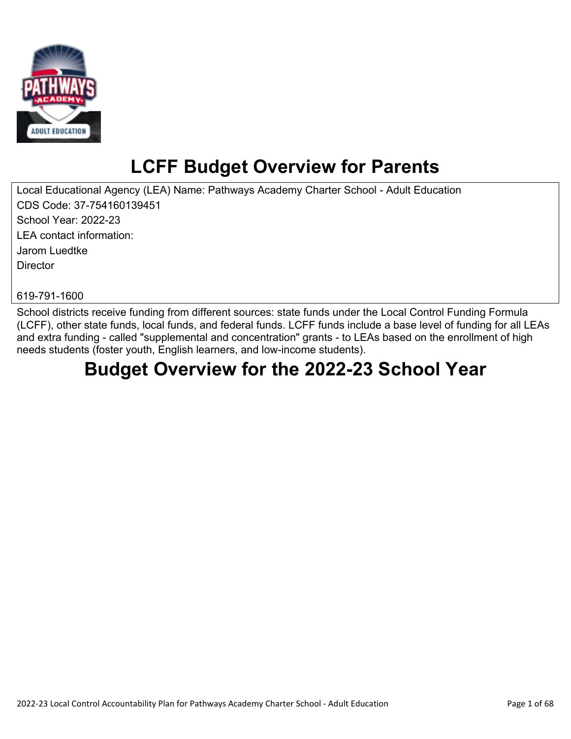

# **LCFF Budget Overview for Parents**

Local Educational Agency (LEA) Name: Pathways Academy Charter School - Adult Education CDS Code: 37-754160139451 School Year: 2022-23 LEA contact information: Jarom Luedtke **Director** 

619-791-1600

School districts receive funding from different sources: state funds under the Local Control Funding Formula (LCFF), other state funds, local funds, and federal funds. LCFF funds include a base level of funding for all LEAs and extra funding - called "supplemental and concentration" grants - to LEAs based on the enrollment of high needs students (foster youth, English learners, and low-income students).

# **Budget Overview for the 2022-23 School Year**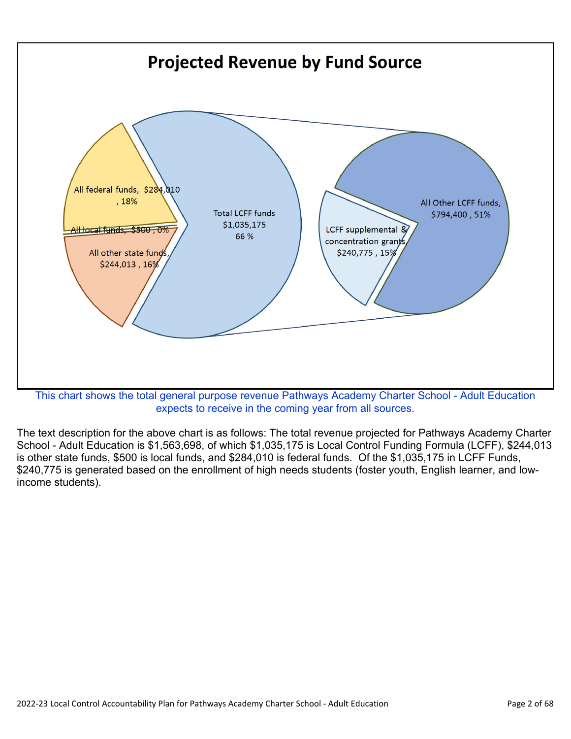

expects to receive in the coming year from all sources.

The text description for the above chart is as follows: The total revenue projected for Pathways Academy Charter School - Adult Education is \$1,563,698, of which \$1,035,175 is Local Control Funding Formula (LCFF), \$244,013 is other state funds, \$500 is local funds, and \$284,010 is federal funds. Of the \$1,035,175 in LCFF Funds, \$240,775 is generated based on the enrollment of high needs students (foster youth, English learner, and lowincome students).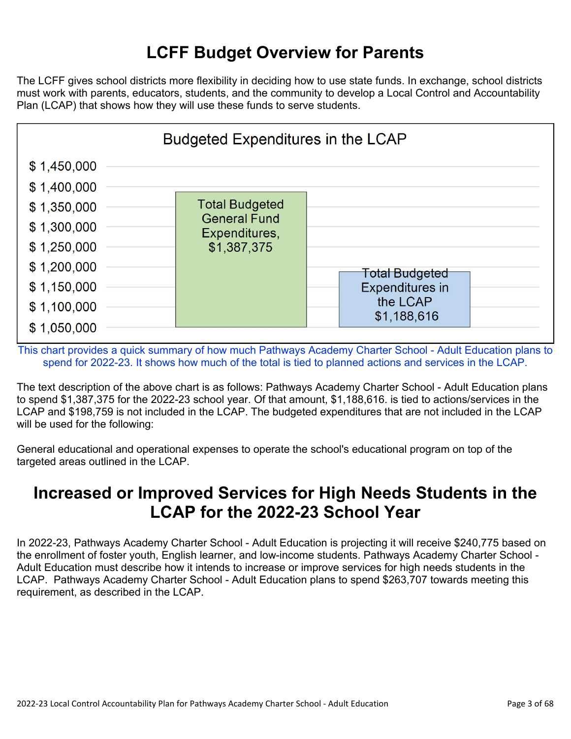## **LCFF Budget Overview for Parents**

The LCFF gives school districts more flexibility in deciding how to use state funds. In exchange, school districts must work with parents, educators, students, and the community to develop a Local Control and Accountability Plan (LCAP) that shows how they will use these funds to serve students.



This chart provides a quick summary of how much Pathways Academy Charter School - Adult Education plans to spend for 2022-23. It shows how much of the total is tied to planned actions and services in the LCAP.

The text description of the above chart is as follows: Pathways Academy Charter School - Adult Education plans to spend \$1,387,375 for the 2022-23 school year. Of that amount, \$1,188,616. is tied to actions/services in the LCAP and \$198,759 is not included in the LCAP. The budgeted expenditures that are not included in the LCAP will be used for the following:

General educational and operational expenses to operate the school's educational program on top of the targeted areas outlined in the LCAP.

## **Increased or Improved Services for High Needs Students in the LCAP for the 2022-23 School Year**

In 2022-23, Pathways Academy Charter School - Adult Education is projecting it will receive \$240,775 based on the enrollment of foster youth, English learner, and low-income students. Pathways Academy Charter School - Adult Education must describe how it intends to increase or improve services for high needs students in the LCAP. Pathways Academy Charter School - Adult Education plans to spend \$263,707 towards meeting this requirement, as described in the LCAP.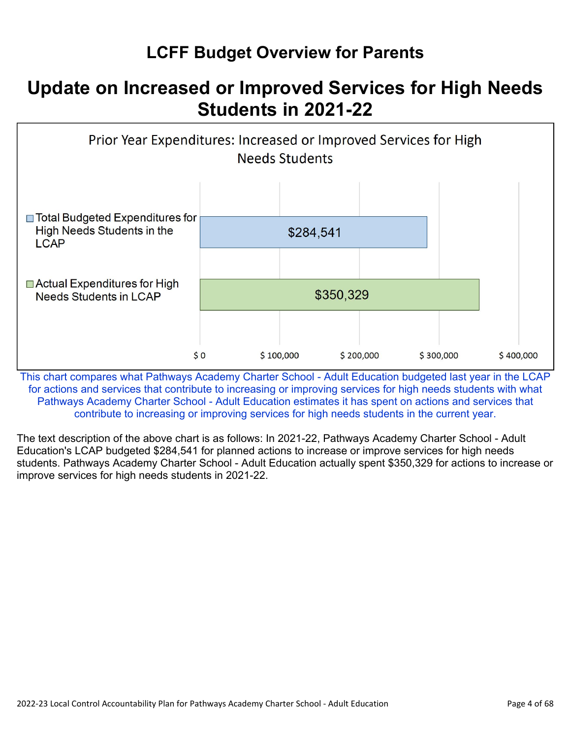## **LCFF Budget Overview for Parents**

## **Update on Increased or Improved Services for High Needs Students in 2021-22**



This chart compares what Pathways Academy Charter School - Adult Education budgeted last year in the LCAP for actions and services that contribute to increasing or improving services for high needs students with what Pathways Academy Charter School - Adult Education estimates it has spent on actions and services that contribute to increasing or improving services for high needs students in the current year.

The text description of the above chart is as follows: In 2021-22, Pathways Academy Charter School - Adult Education's LCAP budgeted \$284,541 for planned actions to increase or improve services for high needs students. Pathways Academy Charter School - Adult Education actually spent \$350,329 for actions to increase or improve services for high needs students in 2021-22.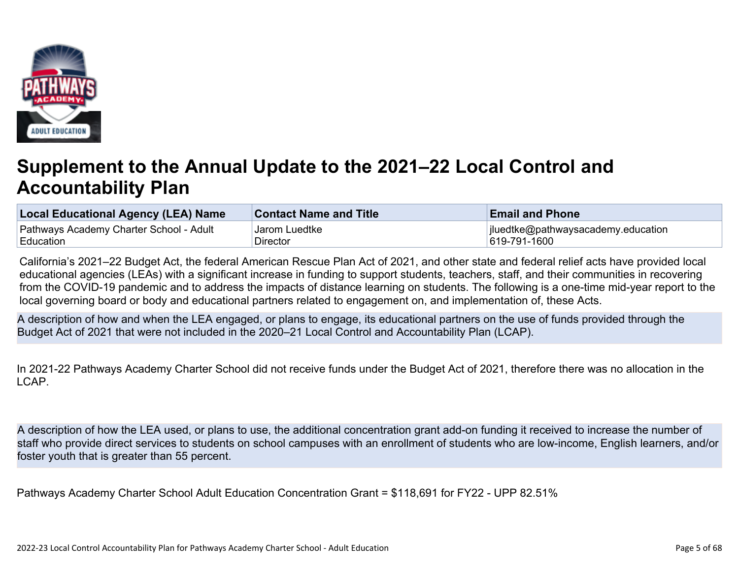

# **Supplement to the Annual Update to the 2021–22 Local Control and Accountability Plan**

| Local Educational Agency (LEA) Name     | <b>Contact Name and Title</b> | <b>Email and Phone</b>             |
|-----------------------------------------|-------------------------------|------------------------------------|
| Pathways Academy Charter School - Adult | Jarom Luedtke                 | jluedtke@pathwaysacademy.education |
| ∣Education                              | Director                      | 619-791-1600                       |

California's 2021–22 Budget Act, the federal American Rescue Plan Act of 2021, and other state and federal relief acts have provided local educational agencies (LEAs) with a significant increase in funding to support students, teachers, staff, and their communities in recovering from the COVID-19 pandemic and to address the impacts of distance learning on students. The following is a one-time mid-year report to the local governing board or body and educational partners related to engagement on, and implementation of, these Acts.

A description of how and when the LEA engaged, or plans to engage, its educational partners on the use of funds provided through the Budget Act of 2021 that were not included in the 2020–21 Local Control and Accountability Plan (LCAP).

In 2021-22 Pathways Academy Charter School did not receive funds under the Budget Act of 2021, therefore there was no allocation in the LCAP.

A description of how the LEA used, or plans to use, the additional concentration grant add-on funding it received to increase the number of staff who provide direct services to students on school campuses with an enrollment of students who are low-income, English learners, and/or foster youth that is greater than 55 percent.

Pathways Academy Charter School Adult Education Concentration Grant = \$118,691 for FY22 - UPP 82.51%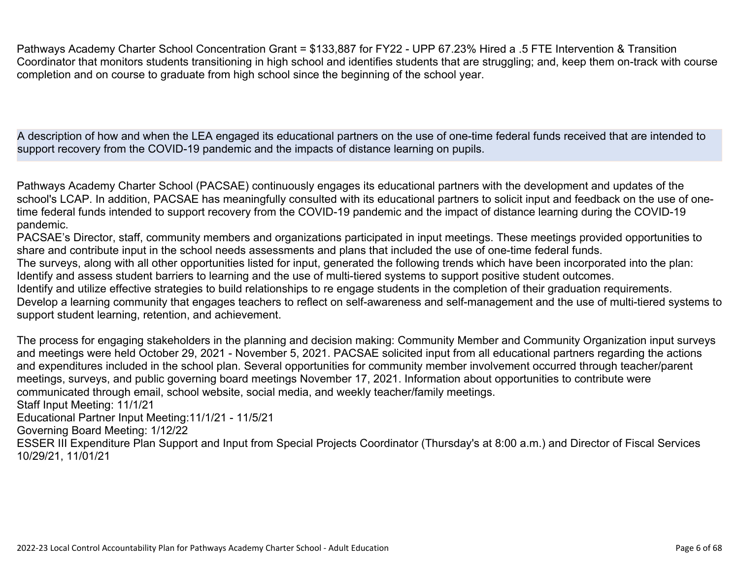Pathways Academy Charter School Concentration Grant = \$133,887 for FY22 - UPP 67.23% Hired a .5 FTE Intervention & Transition Coordinator that monitors students transitioning in high school and identifies students that are struggling; and, keep them on-track with course completion and on course to graduate from high school since the beginning of the school year.

A description of how and when the LEA engaged its educational partners on the use of one-time federal funds received that are intended to support recovery from the COVID-19 pandemic and the impacts of distance learning on pupils.

Pathways Academy Charter School (PACSAE) continuously engages its educational partners with the development and updates of the school's LCAP. In addition, PACSAE has meaningfully consulted with its educational partners to solicit input and feedback on the use of onetime federal funds intended to support recovery from the COVID-19 pandemic and the impact of distance learning during the COVID-19 pandemic.

PACSAE's Director, staff, community members and organizations participated in input meetings. These meetings provided opportunities to share and contribute input in the school needs assessments and plans that included the use of one-time federal funds. The surveys, along with all other opportunities listed for input, generated the following trends which have been incorporated into the plan: Identify and assess student barriers to learning and the use of multi-tiered systems to support positive student outcomes. Identify and utilize effective strategies to build relationships to re engage students in the completion of their graduation requirements. Develop a learning community that engages teachers to reflect on self-awareness and self-management and the use of multi-tiered systems to support student learning, retention, and achievement.

The process for engaging stakeholders in the planning and decision making: Community Member and Community Organization input surveys and meetings were held October 29, 2021 - November 5, 2021. PACSAE solicited input from all educational partners regarding the actions and expenditures included in the school plan. Several opportunities for community member involvement occurred through teacher/parent meetings, surveys, and public governing board meetings November 17, 2021. Information about opportunities to contribute were communicated through email, school website, social media, and weekly teacher/family meetings. Staff Input Meeting: 11/1/21 Educational Partner Input Meeting:11/1/21 - 11/5/21 Governing Board Meeting: 1/12/22 ESSER III Expenditure Plan Support and Input from Special Projects Coordinator (Thursday's at 8:00 a.m.) and Director of Fiscal Services

10/29/21, 11/01/21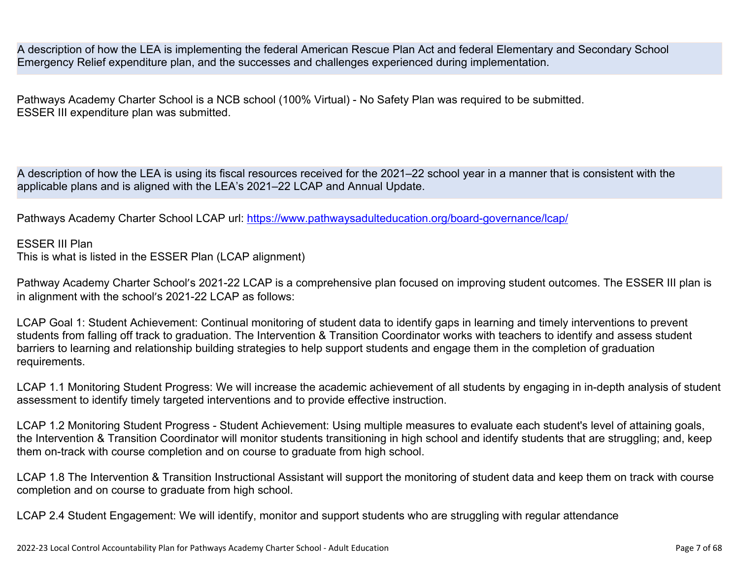A description of how the LEA is implementing the federal American Rescue Plan Act and federal Elementary and Secondary School Emergency Relief expenditure plan, and the successes and challenges experienced during implementation.

Pathways Academy Charter School is a NCB school (100% Virtual) - No Safety Plan was required to be submitted. ESSER III expenditure plan was submitted.

A description of how the LEA is using its fiscal resources received for the 2021–22 school year in a manner that is consistent with the applicable plans and is aligned with the LEA's 2021–22 LCAP and Annual Update.

Pathways Academy Charter School LCAP url: <https://www.pathwaysadulteducation.org/board-governance/lcap/>

#### ESSER III Plan

This is what is listed in the ESSER Plan (LCAP alignment)

Pathway Academy Charter School's 2021-22 LCAP is a comprehensive plan focused on improving student outcomes. The ESSER III plan is in alignment with the school's 2021-22 LCAP as follows:

LCAP Goal 1: Student Achievement: Continual monitoring of student data to identify gaps in learning and timely interventions to prevent students from falling off track to graduation. The Intervention & Transition Coordinator works with teachers to identify and assess student barriers to learning and relationship building strategies to help support students and engage them in the completion of graduation requirements.

LCAP 1.1 Monitoring Student Progress: We will increase the academic achievement of all students by engaging in in-depth analysis of student assessment to identify timely targeted interventions and to provide effective instruction.

LCAP 1.2 Monitoring Student Progress - Student Achievement: Using multiple measures to evaluate each student's level of attaining goals, the Intervention & Transition Coordinator will monitor students transitioning in high school and identify students that are struggling; and, keep them on-track with course completion and on course to graduate from high school.

LCAP 1.8 The Intervention & Transition Instructional Assistant will support the monitoring of student data and keep them on track with course completion and on course to graduate from high school.

LCAP 2.4 Student Engagement: We will identify, monitor and support students who are struggling with regular attendance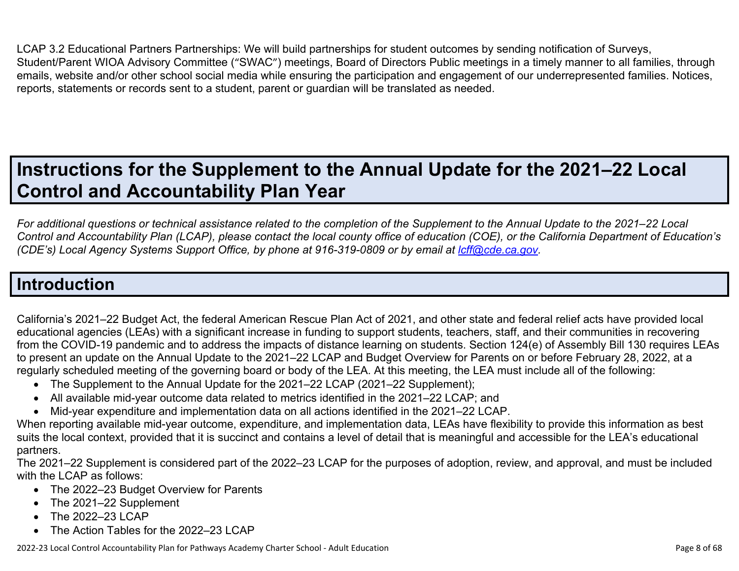LCAP 3.2 Educational Partners Partnerships: We will build partnerships for student outcomes by sending notification of Surveys, Student/Parent WIOA Advisory Committee ("SWAC") meetings, Board of Directors Public meetings in a timely manner to all families, through emails, website and/or other school social media while ensuring the participation and engagement of our underrepresented families. Notices, reports, statements or records sent to a student, parent or guardian will be translated as needed.

## **Instructions for the Supplement to the Annual Update for the 2021–22 Local Control and Accountability Plan Year**

*For additional questions or technical assistance related to the completion of the Supplement to the Annual Update to the 2021–22 Local Control and Accountability Plan (LCAP), please contact the local county office of education (COE), or the California Department of Education's (CDE's) Local Agency Systems Support Office, by phone at 916-319-0809 or by email at <i>[lcff@cde.ca.gov](mailto:lcff@cde.ca.gov)*.

## **Introduction**

California's 2021–22 Budget Act, the federal American Rescue Plan Act of 2021, and other state and federal relief acts have provided local educational agencies (LEAs) with a significant increase in funding to support students, teachers, staff, and their communities in recovering from the COVID-19 pandemic and to address the impacts of distance learning on students. Section 124(e) of Assembly Bill 130 requires LEAs to present an update on the Annual Update to the 2021–22 LCAP and Budget Overview for Parents on or before February 28, 2022, at a regularly scheduled meeting of the governing board or body of the LEA. At this meeting, the LEA must include all of the following:

- The Supplement to the Annual Update for the 2021–22 LCAP (2021–22 Supplement);
- All available mid-year outcome data related to metrics identified in the 2021–22 LCAP; and
- Mid-year expenditure and implementation data on all actions identified in the 2021–22 LCAP.

When reporting available mid-year outcome, expenditure, and implementation data, LEAs have flexibility to provide this information as best suits the local context, provided that it is succinct and contains a level of detail that is meaningful and accessible for the LEA's educational partners.

The 2021–22 Supplement is considered part of the 2022–23 LCAP for the purposes of adoption, review, and approval, and must be included with the LCAP as follows:

- The 2022–23 Budget Overview for Parents
- The 2021–22 Supplement
- The 2022-23 LCAP
- The Action Tables for the 2022–23 LCAP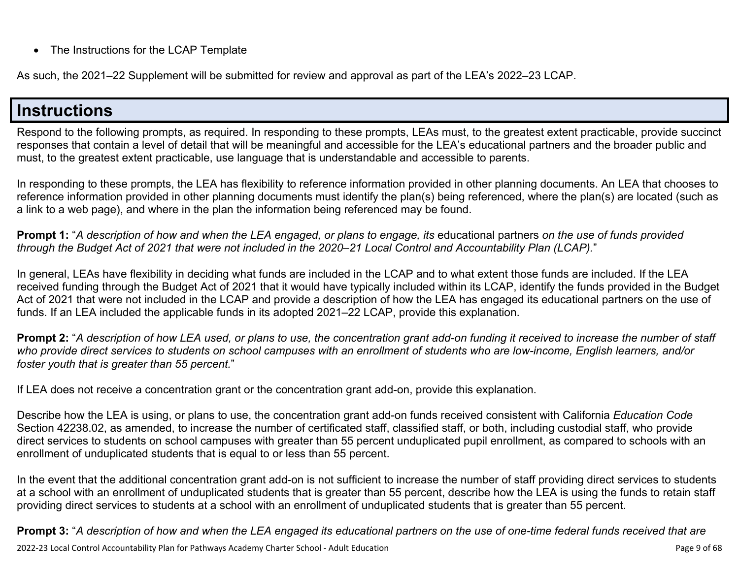• The Instructions for the LCAP Template

As such, the 2021–22 Supplement will be submitted for review and approval as part of the LEA's 2022–23 LCAP.

## **Instructions**

Respond to the following prompts, as required. In responding to these prompts, LEAs must, to the greatest extent practicable, provide succinct responses that contain a level of detail that will be meaningful and accessible for the LEA's educational partners and the broader public and must, to the greatest extent practicable, use language that is understandable and accessible to parents.

In responding to these prompts, the LEA has flexibility to reference information provided in other planning documents. An LEA that chooses to reference information provided in other planning documents must identify the plan(s) being referenced, where the plan(s) are located (such as a link to a web page), and where in the plan the information being referenced may be found.

**Prompt 1:** "*A description of how and when the LEA engaged, or plans to engage, its* educational partners *on the use of funds provided through the Budget Act of 2021 that were not included in the 2020–21 Local Control and Accountability Plan (LCAP).*"

In general, LEAs have flexibility in deciding what funds are included in the LCAP and to what extent those funds are included. If the LEA received funding through the Budget Act of 2021 that it would have typically included within its LCAP, identify the funds provided in the Budget Act of 2021 that were not included in the LCAP and provide a description of how the LEA has engaged its educational partners on the use of funds. If an LEA included the applicable funds in its adopted 2021–22 LCAP, provide this explanation.

**Prompt 2:** "*A description of how LEA used, or plans to use, the concentration grant add-on funding it received to increase the number of staff who provide direct services to students on school campuses with an enrollment of students who are low-income, English learners, and/or foster youth that is greater than 55 percent.*"

If LEA does not receive a concentration grant or the concentration grant add-on, provide this explanation.

Describe how the LEA is using, or plans to use, the concentration grant add-on funds received consistent with California *Education Code* Section 42238.02, as amended, to increase the number of certificated staff, classified staff, or both, including custodial staff, who provide direct services to students on school campuses with greater than 55 percent unduplicated pupil enrollment, as compared to schools with an enrollment of unduplicated students that is equal to or less than 55 percent.

In the event that the additional concentration grant add-on is not sufficient to increase the number of staff providing direct services to students at a school with an enrollment of unduplicated students that is greater than 55 percent, describe how the LEA is using the funds to retain staff providing direct services to students at a school with an enrollment of unduplicated students that is greater than 55 percent.

**Prompt 3:** "*A description of how and when the LEA engaged its educational partners on the use of one-time federal funds received that are*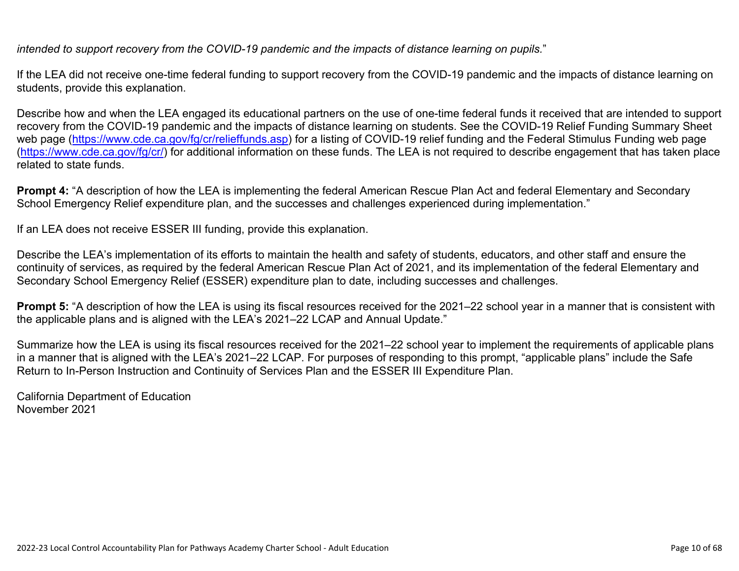*intended to support recovery from the COVID-19 pandemic and the impacts of distance learning on pupils.*"

If the LEA did not receive one-time federal funding to support recovery from the COVID-19 pandemic and the impacts of distance learning on students, provide this explanation.

Describe how and when the LEA engaged its educational partners on the use of one-time federal funds it received that are intended to support recovery from the COVID-19 pandemic and the impacts of distance learning on students. See the COVID-19 Relief Funding Summary Sheet web page [\(https://www.cde.ca.gov/fg/cr/relieffunds.asp\)](https://www.cde.ca.gov/fg/cr/relieffunds.asp) for a listing of COVID-19 relief funding and the Federal Stimulus Funding web page (<https://www.cde.ca.gov/fg/cr/>) for additional information on these funds. The LEA is not required to describe engagement that has taken place related to state funds.

**Prompt 4:** "A description of how the LEA is implementing the federal American Rescue Plan Act and federal Elementary and Secondary School Emergency Relief expenditure plan, and the successes and challenges experienced during implementation."

If an LEA does not receive ESSER III funding, provide this explanation.

Describe the LEA's implementation of its efforts to maintain the health and safety of students, educators, and other staff and ensure the continuity of services, as required by the federal American Rescue Plan Act of 2021, and its implementation of the federal Elementary and Secondary School Emergency Relief (ESSER) expenditure plan to date, including successes and challenges.

**Prompt 5:** "A description of how the LEA is using its fiscal resources received for the 2021–22 school year in a manner that is consistent with the applicable plans and is aligned with the LEA's 2021–22 LCAP and Annual Update."

Summarize how the LEA is using its fiscal resources received for the 2021–22 school year to implement the requirements of applicable plans in a manner that is aligned with the LEA's 2021–22 LCAP. For purposes of responding to this prompt, "applicable plans" include the Safe Return to In-Person Instruction and Continuity of Services Plan and the ESSER III Expenditure Plan.

California Department of Education November 2021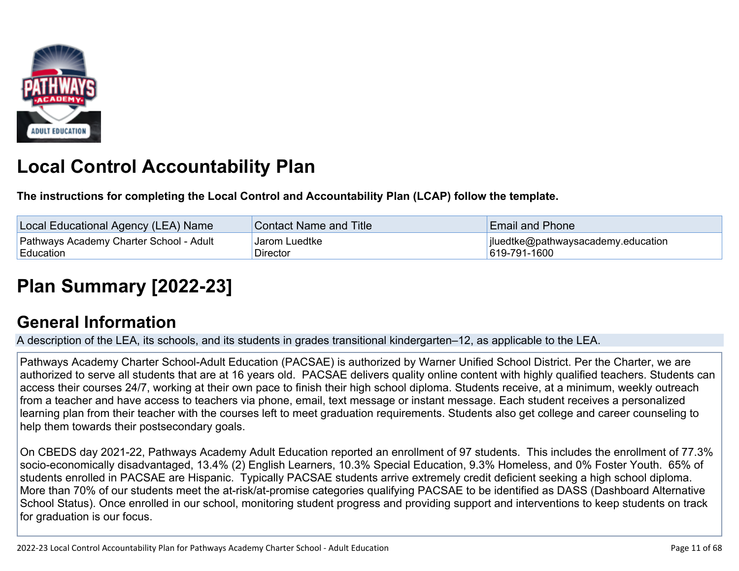

# **Local Control Accountability Plan**

**The instructions for completing the Local Control and Accountability Plan (LCAP) follow the template.**

| Local Educational Agency (LEA) Name     | <b>Contact Name and Title</b> | <b>Email and Phone</b>             |
|-----------------------------------------|-------------------------------|------------------------------------|
| Pathways Academy Charter School - Adult | Jarom Luedtke                 | jluedtke@pathwaysacademy.education |
| Education                               | Director                      | 619-791-1600                       |

# **[Plan Summary \[2022-23\]](http://www.doc-tracking.com/screenshots/22LCAP/Instructions/22LCAPInstructions.htm#PlanSummary)**

## **[General Information](http://www.doc-tracking.com/screenshots/22LCAP/Instructions/22LCAPInstructions.htm#generalinformation)**

A description of the LEA, its schools, and its students in grades transitional kindergarten–12, as applicable to the LEA.

Pathways Academy Charter School-Adult Education (PACSAE) is authorized by Warner Unified School District. Per the Charter, we are authorized to serve all students that are at 16 years old. PACSAE delivers quality online content with highly qualified teachers. Students can access their courses 24/7, working at their own pace to finish their high school diploma. Students receive, at a minimum, weekly outreach from a teacher and have access to teachers via phone, email, text message or instant message. Each student receives a personalized learning plan from their teacher with the courses left to meet graduation requirements. Students also get college and career counseling to help them towards their postsecondary goals.

On CBEDS day 2021-22, Pathways Academy Adult Education reported an enrollment of 97 students. This includes the enrollment of 77.3% socio-economically disadvantaged, 13.4% (2) English Learners, 10.3% Special Education, 9.3% Homeless, and 0% Foster Youth. 65% of students enrolled in PACSAE are Hispanic. Typically PACSAE students arrive extremely credit deficient seeking a high school diploma. More than 70% of our students meet the at-risk/at-promise categories qualifying PACSAE to be identified as DASS (Dashboard Alternative School Status). Once enrolled in our school, monitoring student progress and providing support and interventions to keep students on track for graduation is our focus.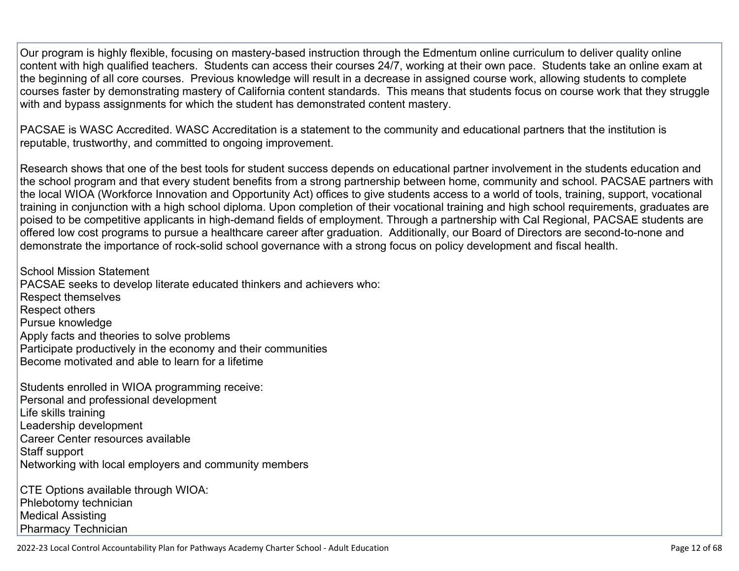Our program is highly flexible, focusing on mastery-based instruction through the Edmentum online curriculum to deliver quality online content with high qualified teachers. Students can access their courses 24/7, working at their own pace. Students take an online exam at the beginning of all core courses. Previous knowledge will result in a decrease in assigned course work, allowing students to complete courses faster by demonstrating mastery of California content standards. This means that students focus on course work that they struggle with and bypass assignments for which the student has demonstrated content mastery.

PACSAE is WASC Accredited. WASC Accreditation is a statement to the community and educational partners that the institution is reputable, trustworthy, and committed to ongoing improvement.

Research shows that one of the best tools for student success depends on educational partner involvement in the students education and the school program and that every student benefits from a strong partnership between home, community and school. PACSAE partners with the local WIOA (Workforce Innovation and Opportunity Act) offices to give students access to a world of tools, training, support, vocational training in conjunction with a high school diploma. Upon completion of their vocational training and high school requirements, graduates are poised to be competitive applicants in high-demand fields of employment. Through a partnership with Cal Regional, PACSAE students are offered low cost programs to pursue a healthcare career after graduation. Additionally, our Board of Directors are second-to-none and demonstrate the importance of rock-solid school governance with a strong focus on policy development and fiscal health.

School Mission Statement PACSAE seeks to develop literate educated thinkers and achievers who: Respect themselves Respect others Pursue knowledge Apply facts and theories to solve problems Participate productively in the economy and their communities Become motivated and able to learn for a lifetime

Students enrolled in WIOA programming receive: Personal and professional development Life skills training Leadership development Career Center resources available Staff support Networking with local employers and community members

CTE Options available through WIOA: Phlebotomy technician Medical Assisting Pharmacy Technician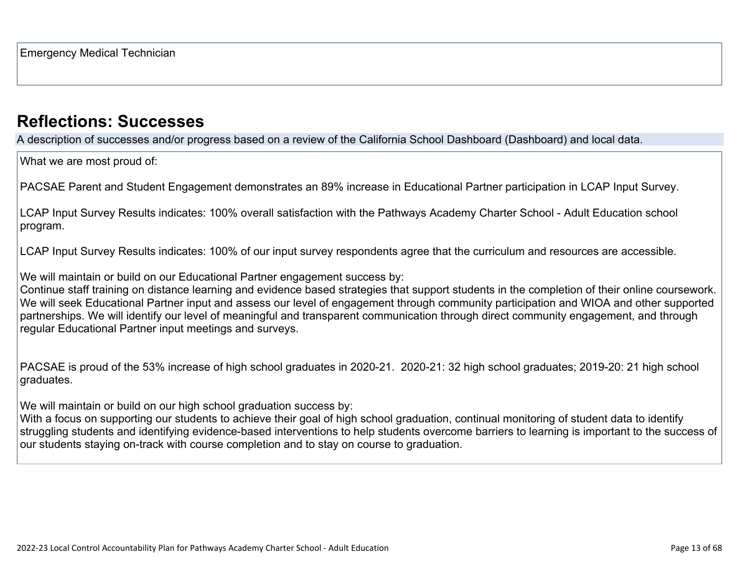## **[Reflections: Successes](http://www.doc-tracking.com/screenshots/22LCAP/Instructions/22LCAPInstructions.htm#ReflectionsSuccesses)**

A description of successes and/or progress based on a review of the California School Dashboard (Dashboard) and local data.

What we are most proud of:

PACSAE Parent and Student Engagement demonstrates an 89% increase in Educational Partner participation in LCAP Input Survey.

LCAP Input Survey Results indicates: 100% overall satisfaction with the Pathways Academy Charter School - Adult Education school program.

LCAP Input Survey Results indicates: 100% of our input survey respondents agree that the curriculum and resources are accessible.

We will maintain or build on our Educational Partner engagement success by:

Continue staff training on distance learning and evidence based strategies that support students in the completion of their online coursework. We will seek Educational Partner input and assess our level of engagement through community participation and WIOA and other supported partnerships. We will identify our level of meaningful and transparent communication through direct community engagement, and through regular Educational Partner input meetings and surveys.

PACSAE is proud of the 53% increase of high school graduates in 2020-21. 2020-21: 32 high school graduates; 2019-20: 21 high school graduates.

We will maintain or build on our high school graduation success by:

With a focus on supporting our students to achieve their goal of high school graduation, continual monitoring of student data to identify struggling students and identifying evidence-based interventions to help students overcome barriers to learning is important to the success of our students staying on-track with course completion and to stay on course to graduation.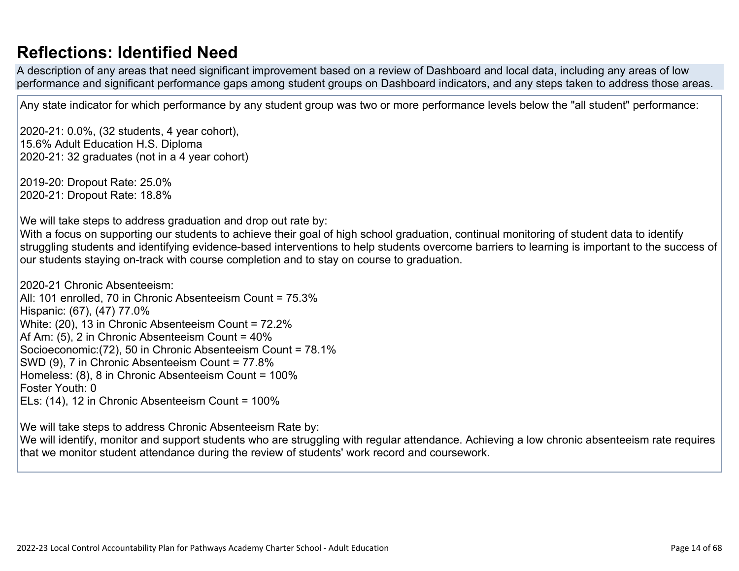## **[Reflections: Identified Need](http://www.doc-tracking.com/screenshots/22LCAP/Instructions/22LCAPInstructions.htm#ReflectionsIdentifiedNeed)**

A description of any areas that need significant improvement based on a review of Dashboard and local data, including any areas of low performance and significant performance gaps among student groups on Dashboard indicators, and any steps taken to address those areas.

Any state indicator for which performance by any student group was two or more performance levels below the "all student" performance:

2020-21: 0.0%, (32 students, 4 year cohort), 15.6% Adult Education H.S. Diploma 2020-21: 32 graduates (not in a 4 year cohort)

2019-20: Dropout Rate: 25.0% 2020-21: Dropout Rate: 18.8%

We will take steps to address graduation and drop out rate by:

With a focus on supporting our students to achieve their goal of high school graduation, continual monitoring of student data to identify struggling students and identifying evidence-based interventions to help students overcome barriers to learning is important to the success of our students staying on-track with course completion and to stay on course to graduation.

2020-21 Chronic Absenteeism: All: 101 enrolled, 70 in Chronic Absenteeism Count = 75.3% Hispanic: (67), (47) 77.0% White: (20), 13 in Chronic Absenteeism Count = 72.2% Af Am: (5), 2 in Chronic Absenteeism Count = 40% Socioeconomic:(72), 50 in Chronic Absenteeism Count = 78.1% SWD (9), 7 in Chronic Absenteeism Count = 77.8% Homeless: (8), 8 in Chronic Absenteeism Count = 100% Foster Youth: 0 ELs: (14), 12 in Chronic Absenteeism Count = 100%

We will take steps to address Chronic Absenteeism Rate by:

We will identify, monitor and support students who are struggling with regular attendance. Achieving a low chronic absenteeism rate requires that we monitor student attendance during the review of students' work record and coursework.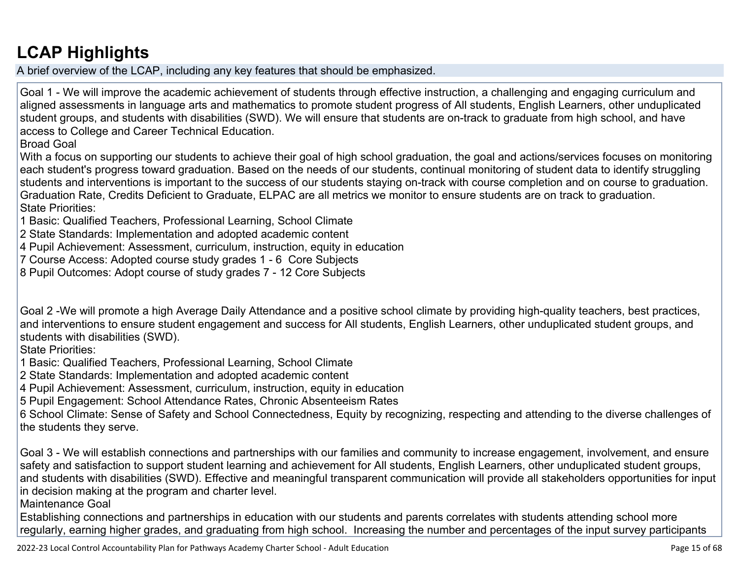# **[LCAP Highlights](http://www.doc-tracking.com/screenshots/22LCAP/Instructions/22LCAPInstructions.htm#LCAPHighlights)**

A brief overview of the LCAP, including any key features that should be emphasized.

Goal 1 - We will improve the academic achievement of students through effective instruction, a challenging and engaging curriculum and aligned assessments in language arts and mathematics to promote student progress of All students, English Learners, other unduplicated student groups, and students with disabilities (SWD). We will ensure that students are on-track to graduate from high school, and have access to College and Career Technical Education.

Broad Goal

With a focus on supporting our students to achieve their goal of high school graduation, the goal and actions/services focuses on monitoring each student's progress toward graduation. Based on the needs of our students, continual monitoring of student data to identify struggling students and interventions is important to the success of our students staying on-track with course completion and on course to graduation. Graduation Rate, Credits Deficient to Graduate, ELPAC are all metrics we monitor to ensure students are on track to graduation. State Priorities:

1 Basic: Qualified Teachers, Professional Learning, School Climate

- 2 State Standards: Implementation and adopted academic content
- 4 Pupil Achievement: Assessment, curriculum, instruction, equity in education
- 7 Course Access: Adopted course study grades 1 6 Core Subjects
- 8 Pupil Outcomes: Adopt course of study grades 7 12 Core Subjects

Goal 2 -We will promote a high Average Daily Attendance and a positive school climate by providing high-quality teachers, best practices, and interventions to ensure student engagement and success for All students, English Learners, other unduplicated student groups, and students with disabilities (SWD).

State Priorities:

1 Basic: Qualified Teachers, Professional Learning, School Climate

2 State Standards: Implementation and adopted academic content

4 Pupil Achievement: Assessment, curriculum, instruction, equity in education

5 Pupil Engagement: School Attendance Rates, Chronic Absenteeism Rates

6 School Climate: Sense of Safety and School Connectedness, Equity by recognizing, respecting and attending to the diverse challenges of the students they serve.

Goal 3 - We will establish connections and partnerships with our families and community to increase engagement, involvement, and ensure safety and satisfaction to support student learning and achievement for All students, English Learners, other unduplicated student groups, and students with disabilities (SWD). Effective and meaningful transparent communication will provide all stakeholders opportunities for input in decision making at the program and charter level.

Maintenance Goal

Establishing connections and partnerships in education with our students and parents correlates with students attending school more regularly, earning higher grades, and graduating from high school. Increasing the number and percentages of the input survey participants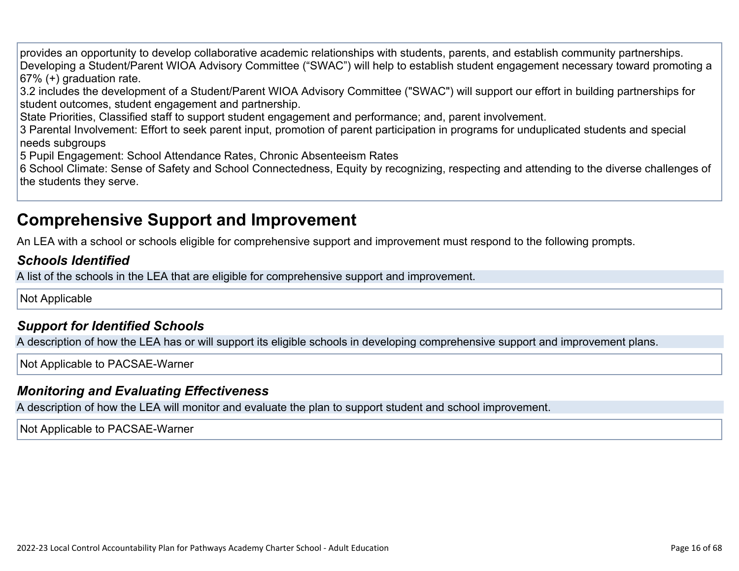provides an opportunity to develop collaborative academic relationships with students, parents, and establish community partnerships. Developing a Student/Parent WIOA Advisory Committee ("SWAC") will help to establish student engagement necessary toward promoting a 67% (+) graduation rate.

3.2 includes the development of a Student/Parent WIOA Advisory Committee ("SWAC") will support our effort in building partnerships for student outcomes, student engagement and partnership.

State Priorities, Classified staff to support student engagement and performance; and, parent involvement.

3 Parental Involvement: Effort to seek parent input, promotion of parent participation in programs for unduplicated students and special needs subgroups

5 Pupil Engagement: School Attendance Rates, Chronic Absenteeism Rates

6 School Climate: Sense of Safety and School Connectedness, Equity by recognizing, respecting and attending to the diverse challenges of the students they serve.

## **Comprehensive Support and Improvement**

An LEA with a school or schools eligible for comprehensive support and improvement must respond to the following prompts.

### *[Schools Identified](http://www.doc-tracking.com/screenshots/22LCAP/Instructions/22LCAPInstructions.htm#SchoolsIdentified)*

A list of the schools in the LEA that are eligible for comprehensive support and improvement.

Not Applicable

### *[Support for Identified Schools](http://www.doc-tracking.com/screenshots/22LCAP/Instructions/22LCAPInstructions.htm#SupportforIdentifiedSchools)*

A description of how the LEA has or will support its eligible schools in developing comprehensive support and improvement plans.

Not Applicable to PACSAE-Warner

### *[Monitoring and Evaluating Effectiveness](http://www.doc-tracking.com/screenshots/22LCAP/Instructions/22LCAPInstructions.htm#MonitoringandEvaluatingEffectiveness)*

A description of how the LEA will monitor and evaluate the plan to support student and school improvement.

Not Applicable to PACSAE-Warner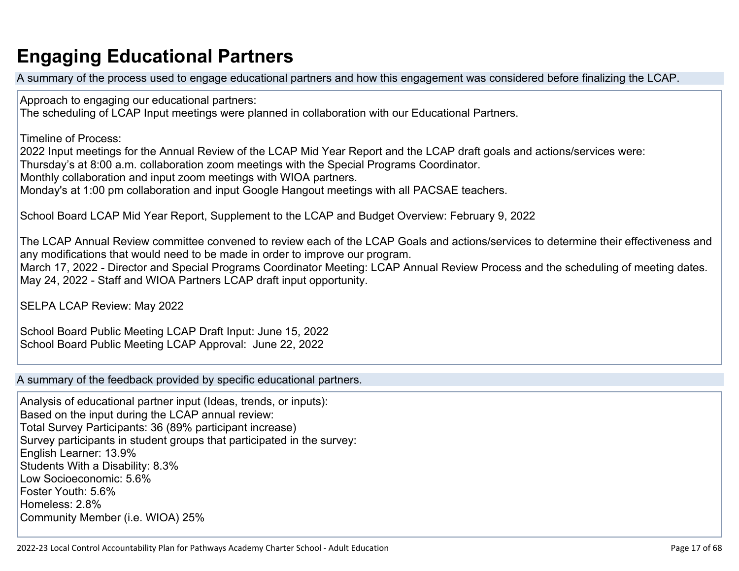# **Engaging Educational Partners**

A summary of the process used to engage educational partners and how this engagement was considered before finalizing the LCAP.

Approach to engaging our educational partners:

The scheduling of LCAP Input meetings were planned in collaboration with our Educational Partners.

Timeline of Process:

2022 Input meetings for the Annual Review of the LCAP Mid Year Report and the LCAP draft goals and actions/services were:

Thursday's at 8:00 a.m. collaboration zoom meetings with the Special Programs Coordinator.

Monthly collaboration and input zoom meetings with WIOA partners.

Monday's at 1:00 pm collaboration and input Google Hangout meetings with all PACSAE teachers.

School Board LCAP Mid Year Report, Supplement to the LCAP and Budget Overview: February 9, 2022

The LCAP Annual Review committee convened to review each of the LCAP Goals and actions/services to determine their effectiveness and any modifications that would need to be made in order to improve our program.

March 17, 2022 - Director and Special Programs Coordinator Meeting: LCAP Annual Review Process and the scheduling of meeting dates. May 24, 2022 - Staff and WIOA Partners LCAP draft input opportunity.

SELPA LCAP Review: May 2022

School Board Public Meeting LCAP Draft Input: June 15, 2022 School Board Public Meeting LCAP Approval: June 22, 2022

A summary of the feedback provided by specific educational partners.

Analysis of educational partner input (Ideas, trends, or inputs): Based on the input during the LCAP annual review: Total Survey Participants: 36 (89% participant increase) Survey participants in student groups that participated in the survey: English Learner: 13.9% Students With a Disability: 8.3% Low Socioeconomic: 5.6% Foster Youth: 5.6% Homeless: 2.8% Community Member (i.e. WIOA) 25%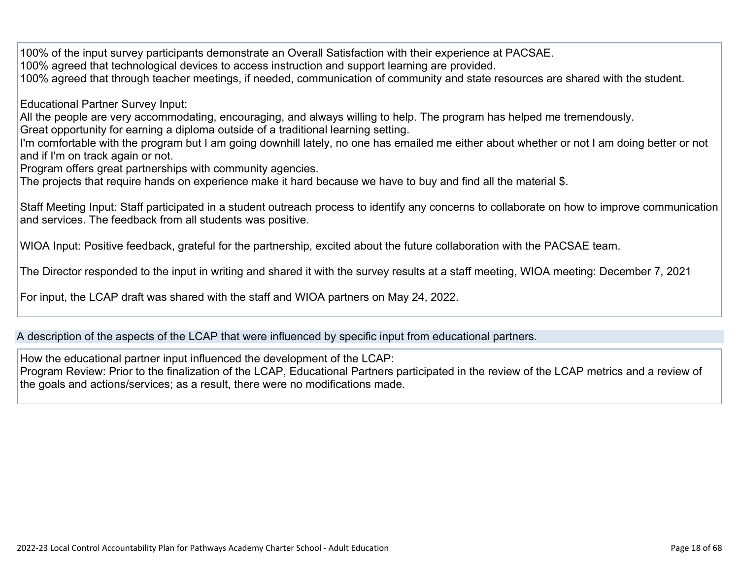100% of the input survey participants demonstrate an Overall Satisfaction with their experience at PACSAE.

100% agreed that technological devices to access instruction and support learning are provided.

100% agreed that through teacher meetings, if needed, communication of community and state resources are shared with the student.

Educational Partner Survey Input:

All the people are very accommodating, encouraging, and always willing to help. The program has helped me tremendously.

Great opportunity for earning a diploma outside of a traditional learning setting.

I'm comfortable with the program but I am going downhill lately, no one has emailed me either about whether or not I am doing better or not and if I'm on track again or not.

Program offers great partnerships with community agencies.

The projects that require hands on experience make it hard because we have to buy and find all the material \$.

Staff Meeting Input: Staff participated in a student outreach process to identify any concerns to collaborate on how to improve communication and services. The feedback from all students was positive.

WIOA Input: Positive feedback, grateful for the partnership, excited about the future collaboration with the PACSAE team.

The Director responded to the input in writing and shared it with the survey results at a staff meeting, WIOA meeting: December 7, 2021

For input, the LCAP draft was shared with the staff and WIOA partners on May 24, 2022.

A description of the aspects of the LCAP that were influenced by specific input from educational partners.

How the educational partner input influenced the development of the LCAP:

Program Review: Prior to the finalization of the LCAP, Educational Partners participated in the review of the LCAP metrics and a review of the goals and actions/services; as a result, there were no modifications made.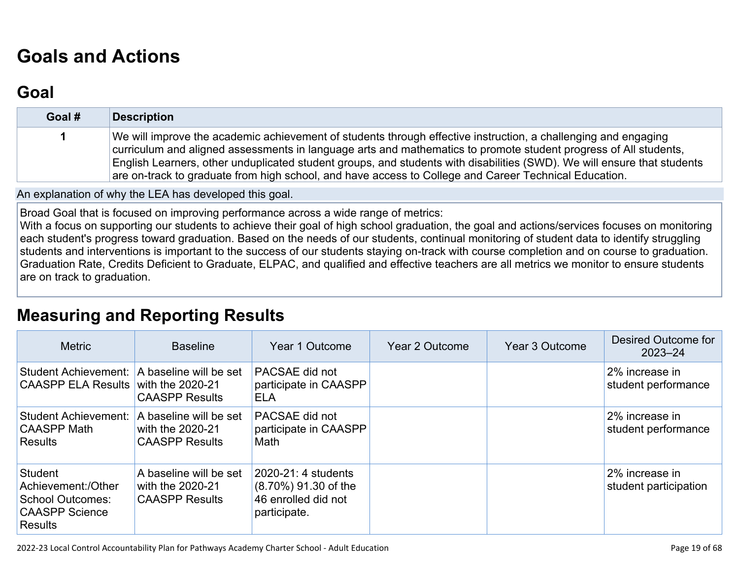# **[Goals and Actions](http://www.doc-tracking.com/screenshots/22LCAP/Instructions/22LCAPInstructions.htm#GoalsandActions)**

## **[Goal](http://www.doc-tracking.com/screenshots/22LCAP/Instructions/22LCAPInstructions.htm#goalDescription)**

| Goal # | <b>Description</b>                                                                                                                                                                                                                                                                                                                                                                                                                                                     |
|--------|------------------------------------------------------------------------------------------------------------------------------------------------------------------------------------------------------------------------------------------------------------------------------------------------------------------------------------------------------------------------------------------------------------------------------------------------------------------------|
|        | We will improve the academic achievement of students through effective instruction, a challenging and engaging<br>curriculum and aligned assessments in language arts and mathematics to promote student progress of All students,<br>English Learners, other unduplicated student groups, and students with disabilities (SWD). We will ensure that students<br>are on-track to graduate from high school, and have access to College and Career Technical Education. |

An explanation of why the LEA has developed this goal.

Broad Goal that is focused on improving performance across a wide range of metrics:

With a focus on supporting our students to achieve their goal of high school graduation, the goal and actions/services focuses on monitoring each student's progress toward graduation. Based on the needs of our students, continual monitoring of student data to identify struggling students and interventions is important to the success of our students staying on-track with course completion and on course to graduation. Graduation Rate, Credits Deficient to Graduate, ELPAC, and qualified and effective teachers are all metrics we monitor to ensure students are on track to graduation.

### **[Measuring and Reporting Results](http://www.doc-tracking.com/screenshots/22LCAP/Instructions/22LCAPInstructions.htm#MeasuringandReportingResults)**

| <b>Metric</b>                                                                                       | <b>Baseline</b>                                                     | Year 1 Outcome                                                                     | Year 2 Outcome | Year 3 Outcome | Desired Outcome for<br>$2023 - 24$      |
|-----------------------------------------------------------------------------------------------------|---------------------------------------------------------------------|------------------------------------------------------------------------------------|----------------|----------------|-----------------------------------------|
| Student Achievement: A baseline will be set<br><b>CAASPP ELA Results</b>                            | with the $2020-21$<br><b>CAASPP Results</b>                         | PACSAE did not<br>participate in CAASPP<br><b>ELA</b>                              |                |                | 2% increase in<br>student performance   |
| <b>Student Achievement:</b><br><b>CAASPP Math</b><br><b>Results</b>                                 | A baseline will be set<br>with the 2020-21<br><b>CAASPP Results</b> | PACSAE did not<br>participate in CAASPP<br>Math                                    |                |                | 2% increase in<br>student performance   |
| Student<br>Achievement:/Other<br><b>School Outcomes:</b><br><b>CAASPP Science</b><br><b>Results</b> | A baseline will be set<br>with the 2020-21<br><b>CAASPP Results</b> | 2020-21: 4 students<br>(8.70%) 91.30 of the<br>46 enrolled did not<br>participate. |                |                | 2% increase in<br>student participation |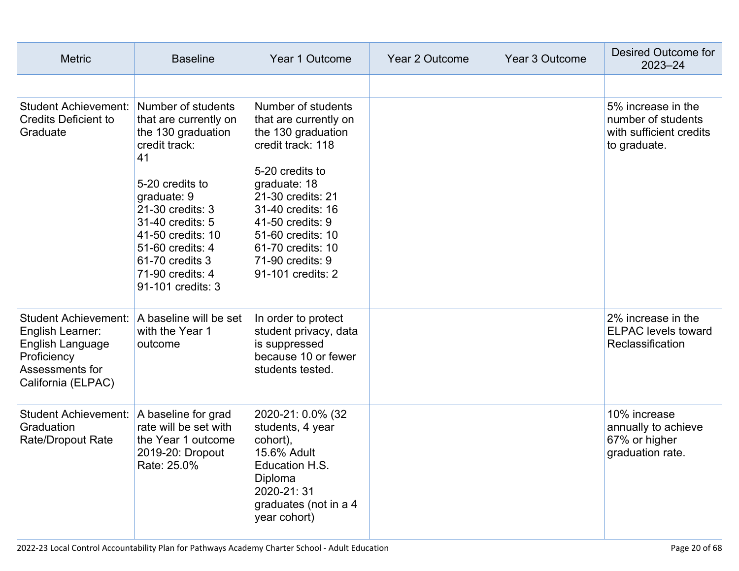| <b>Metric</b>                                                                                                               | <b>Baseline</b>                                                                                                                                                                                                                                                         | Year 1 Outcome                                                                                                                                                                                                                                                             | <b>Year 2 Outcome</b> | Year 3 Outcome | Desired Outcome for<br>$2023 - 24$                                                  |
|-----------------------------------------------------------------------------------------------------------------------------|-------------------------------------------------------------------------------------------------------------------------------------------------------------------------------------------------------------------------------------------------------------------------|----------------------------------------------------------------------------------------------------------------------------------------------------------------------------------------------------------------------------------------------------------------------------|-----------------------|----------------|-------------------------------------------------------------------------------------|
|                                                                                                                             |                                                                                                                                                                                                                                                                         |                                                                                                                                                                                                                                                                            |                       |                |                                                                                     |
| <b>Student Achievement:</b><br><b>Credits Deficient to</b><br>Graduate                                                      | Number of students<br>that are currently on<br>the 130 graduation<br>credit track:<br>41<br>5-20 credits to<br>graduate: 9<br>21-30 credits: 3<br>31-40 credits: 5<br>41-50 credits: 10<br>51-60 credits: 4<br>61-70 credits 3<br>71-90 credits: 4<br>91-101 credits: 3 | Number of students<br>that are currently on<br>the 130 graduation<br>credit track: 118<br>5-20 credits to<br>graduate: 18<br>21-30 credits: 21<br>31-40 credits: 16<br>41-50 credits: 9<br>51-60 credits: 10<br>61-70 credits: 10<br>71-90 credits: 9<br>91-101 credits: 2 |                       |                | 5% increase in the<br>number of students<br>with sufficient credits<br>to graduate. |
| <b>Student Achievement:</b><br>English Learner:<br>English Language<br>Proficiency<br>Assessments for<br>California (ELPAC) | A baseline will be set<br>with the Year 1<br>outcome                                                                                                                                                                                                                    | In order to protect<br>student privacy, data<br>is suppressed<br>because 10 or fewer<br>students tested.                                                                                                                                                                   |                       |                | 2% increase in the<br><b>ELPAC levels toward</b><br>Reclassification                |
| <b>Student Achievement:</b><br>Graduation<br>Rate/Dropout Rate                                                              | A baseline for grad<br>rate will be set with<br>the Year 1 outcome<br>2019-20: Dropout<br>Rate: 25.0%                                                                                                                                                                   | 2020-21: 0.0% (32<br>students, 4 year<br>cohort),<br>15.6% Adult<br>Education H.S.<br>Diploma<br>2020-21:31<br>graduates (not in a 4<br>year cohort)                                                                                                                       |                       |                | 10% increase<br>annually to achieve<br>67% or higher<br>graduation rate.            |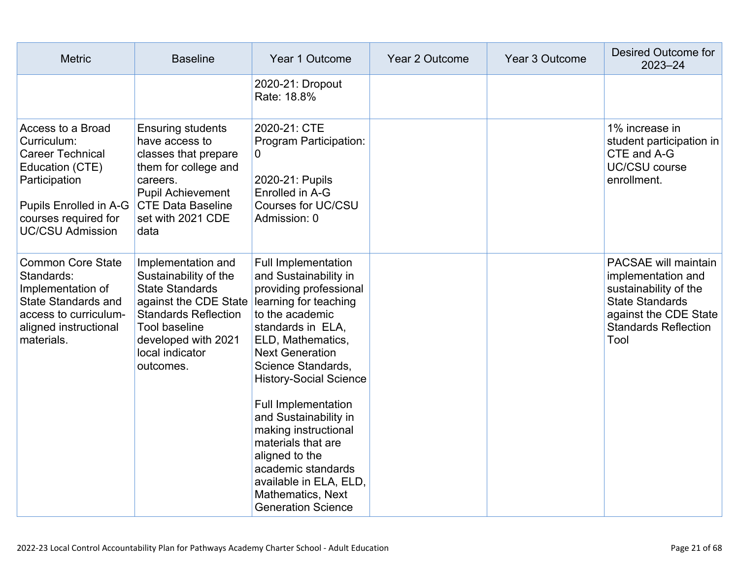| <b>Metric</b>                                                                                                                                                                | <b>Baseline</b>                                                                                                                                                                                              | Year 1 Outcome                                                                                                                                                                                                                                                                                                                                                                                                                                                         | Year 2 Outcome | Year 3 Outcome | <b>Desired Outcome for</b><br>$2023 - 24$                                                                                                                            |
|------------------------------------------------------------------------------------------------------------------------------------------------------------------------------|--------------------------------------------------------------------------------------------------------------------------------------------------------------------------------------------------------------|------------------------------------------------------------------------------------------------------------------------------------------------------------------------------------------------------------------------------------------------------------------------------------------------------------------------------------------------------------------------------------------------------------------------------------------------------------------------|----------------|----------------|----------------------------------------------------------------------------------------------------------------------------------------------------------------------|
|                                                                                                                                                                              |                                                                                                                                                                                                              | 2020-21: Dropout<br>Rate: 18.8%                                                                                                                                                                                                                                                                                                                                                                                                                                        |                |                |                                                                                                                                                                      |
| Access to a Broad<br>Curriculum:<br><b>Career Technical</b><br>Education (CTE)<br>Participation<br>Pupils Enrolled in A-G<br>courses required for<br><b>UC/CSU Admission</b> | <b>Ensuring students</b><br>have access to<br>classes that prepare<br>them for college and<br>careers.<br><b>Pupil Achievement</b><br><b>CTE Data Baseline</b><br>set with 2021 CDE<br>data                  | 2020-21: CTE<br>Program Participation:<br>0<br>2020-21: Pupils<br>Enrolled in A-G<br>Courses for UC/CSU<br>Admission: 0                                                                                                                                                                                                                                                                                                                                                |                |                | 1% increase in<br>student participation in<br>CTE and A-G<br><b>UC/CSU course</b><br>enrollment.                                                                     |
| <b>Common Core State</b><br>Standards:<br>Implementation of<br><b>State Standards and</b><br>access to curriculum-<br>aligned instructional<br>materials.                    | Implementation and<br>Sustainability of the<br><b>State Standards</b><br>against the CDE State<br><b>Standards Reflection</b><br><b>Tool baseline</b><br>developed with 2021<br>local indicator<br>outcomes. | <b>Full Implementation</b><br>and Sustainability in<br>providing professional<br>learning for teaching<br>to the academic<br>standards in ELA,<br>ELD, Mathematics,<br><b>Next Generation</b><br>Science Standards,<br><b>History-Social Science</b><br>Full Implementation<br>and Sustainability in<br>making instructional<br>materials that are<br>aligned to the<br>academic standards<br>available in ELA, ELD,<br>Mathematics, Next<br><b>Generation Science</b> |                |                | <b>PACSAE will maintain</b><br>implementation and<br>sustainability of the<br><b>State Standards</b><br>against the CDE State<br><b>Standards Reflection</b><br>Tool |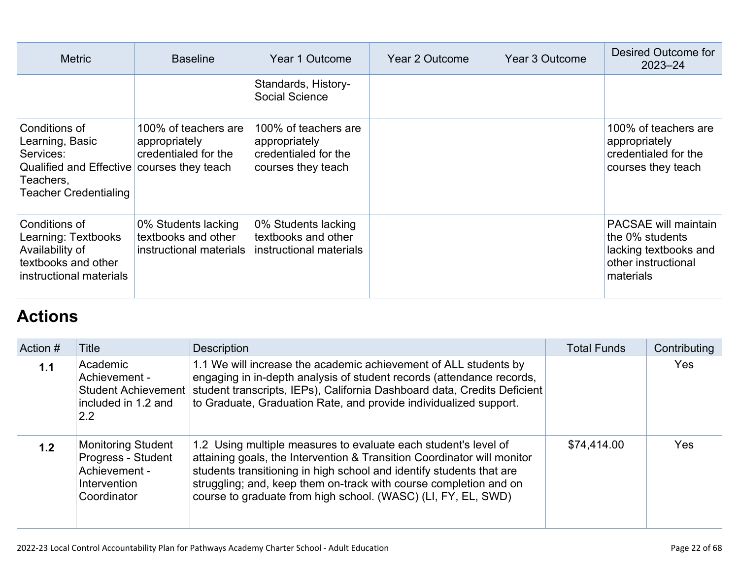| <b>Metric</b>                                                                                                                            | <b>Baseline</b>                                                       | Year 1 Outcome                                                                      | Year 2 Outcome | Year 3 Outcome | Desired Outcome for<br>$2023 - 24$                                                                          |
|------------------------------------------------------------------------------------------------------------------------------------------|-----------------------------------------------------------------------|-------------------------------------------------------------------------------------|----------------|----------------|-------------------------------------------------------------------------------------------------------------|
|                                                                                                                                          |                                                                       | Standards, History-<br>Social Science                                               |                |                |                                                                                                             |
| Conditions of<br>Learning, Basic<br>Services:<br>Qualified and Effective courses they teach<br>Teachers,<br><b>Teacher Credentialing</b> | 100% of teachers are<br>appropriately<br>credentialed for the         | 100% of teachers are<br>appropriately<br>credentialed for the<br>courses they teach |                |                | 100% of teachers are<br>appropriately<br>credentialed for the<br>courses they teach                         |
| Conditions of<br>Learning: Textbooks<br>Availability of<br>textbooks and other<br>instructional materials                                | 0% Students lacking<br>textbooks and other<br>instructional materials | 0% Students lacking<br>textbooks and other<br>instructional materials               |                |                | <b>PACSAE will maintain</b><br>the 0% students<br>lacking textbooks and<br>other instructional<br>materials |

# **[Actions](http://www.doc-tracking.com/screenshots/22LCAP/Instructions/22LCAPInstructions.htm#actions)**

| Action # | Title                                                                                           | <b>Description</b>                                                                                                                                                                                                                                                                                                                                       | <b>Total Funds</b> | Contributing |
|----------|-------------------------------------------------------------------------------------------------|----------------------------------------------------------------------------------------------------------------------------------------------------------------------------------------------------------------------------------------------------------------------------------------------------------------------------------------------------------|--------------------|--------------|
| 1.1      | Academic<br>Achievement -<br><b>Student Achievement</b><br>included in 1.2 and<br>2.2           | 1.1 We will increase the academic achievement of ALL students by<br>engaging in in-depth analysis of student records (attendance records,<br>student transcripts, IEPs), California Dashboard data, Credits Deficient<br>to Graduate, Graduation Rate, and provide individualized support.                                                               |                    | <b>Yes</b>   |
| 1.2      | <b>Monitoring Student</b><br>Progress - Student<br>Achievement -<br>Intervention<br>Coordinator | 1.2 Using multiple measures to evaluate each student's level of<br>attaining goals, the Intervention & Transition Coordinator will monitor<br>students transitioning in high school and identify students that are<br>struggling; and, keep them on-track with course completion and on<br>course to graduate from high school. (WASC) (LI, FY, EL, SWD) | \$74,414.00        | <b>Yes</b>   |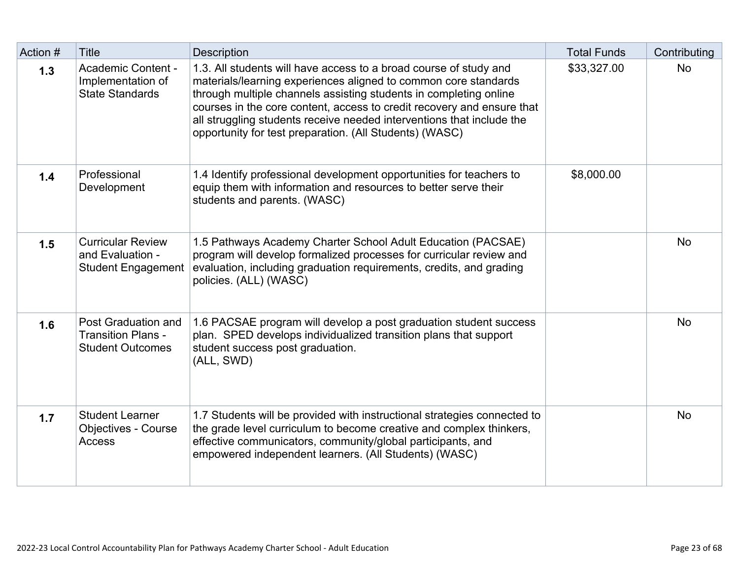| Action # | <b>Title</b>                                                                | <b>Description</b>                                                                                                                                                                                                                                                                                                                                                                                                      | <b>Total Funds</b> | Contributing |
|----------|-----------------------------------------------------------------------------|-------------------------------------------------------------------------------------------------------------------------------------------------------------------------------------------------------------------------------------------------------------------------------------------------------------------------------------------------------------------------------------------------------------------------|--------------------|--------------|
| $1.3$    | Academic Content -<br>Implementation of<br><b>State Standards</b>           | 1.3. All students will have access to a broad course of study and<br>materials/learning experiences aligned to common core standards<br>through multiple channels assisting students in completing online<br>courses in the core content, access to credit recovery and ensure that<br>all struggling students receive needed interventions that include the<br>opportunity for test preparation. (All Students) (WASC) | \$33,327.00        | <b>No</b>    |
| 1.4      | Professional<br>Development                                                 | 1.4 Identify professional development opportunities for teachers to<br>equip them with information and resources to better serve their<br>students and parents. (WASC)                                                                                                                                                                                                                                                  | \$8,000.00         |              |
| 1.5      | <b>Curricular Review</b><br>and Evaluation -<br><b>Student Engagement</b>   | 1.5 Pathways Academy Charter School Adult Education (PACSAE)<br>program will develop formalized processes for curricular review and<br>evaluation, including graduation requirements, credits, and grading<br>policies. (ALL) (WASC)                                                                                                                                                                                    |                    | <b>No</b>    |
| 1.6      | Post Graduation and<br><b>Transition Plans -</b><br><b>Student Outcomes</b> | 1.6 PACSAE program will develop a post graduation student success<br>plan. SPED develops individualized transition plans that support<br>student success post graduation.<br>(ALL, SWD)                                                                                                                                                                                                                                 |                    | <b>No</b>    |
| 1.7      | <b>Student Learner</b><br><b>Objectives - Course</b><br>Access              | 1.7 Students will be provided with instructional strategies connected to<br>the grade level curriculum to become creative and complex thinkers,<br>effective communicators, community/global participants, and<br>empowered independent learners. (All Students) (WASC)                                                                                                                                                 |                    | <b>No</b>    |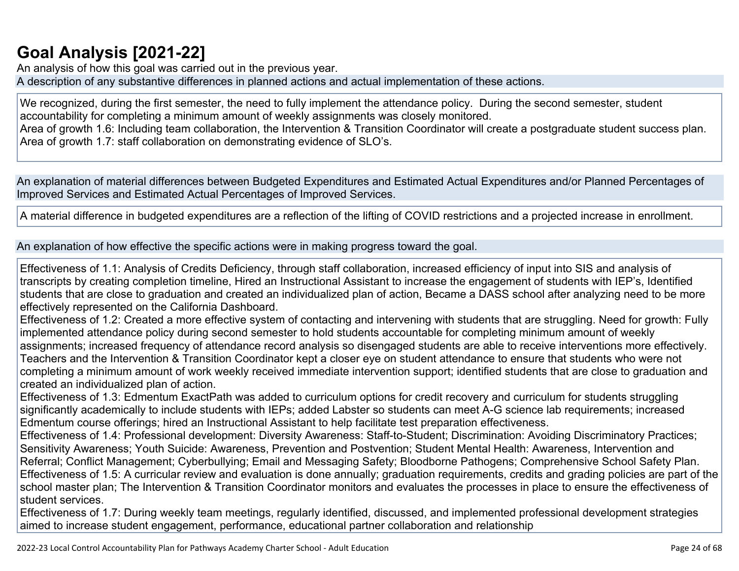## **[Goal Analysis \[2021-22\]](http://www.doc-tracking.com/screenshots/22LCAP/Instructions/22LCAPInstructions.htm#GoalAnalysis)**

An analysis of how this goal was carried out in the previous year. A description of any substantive differences in planned actions and actual implementation of these actions.

We recognized, during the first semester, the need to fully implement the attendance policy. During the second semester, student accountability for completing a minimum amount of weekly assignments was closely monitored.

Area of growth 1.6: Including team collaboration, the Intervention & Transition Coordinator will create a postgraduate student success plan. Area of growth 1.7: staff collaboration on demonstrating evidence of SLO's.

An explanation of material differences between Budgeted Expenditures and Estimated Actual Expenditures and/or Planned Percentages of Improved Services and Estimated Actual Percentages of Improved Services.

A material difference in budgeted expenditures are a reflection of the lifting of COVID restrictions and a projected increase in enrollment.

An explanation of how effective the specific actions were in making progress toward the goal.

Effectiveness of 1.1: Analysis of Credits Deficiency, through staff collaboration, increased efficiency of input into SIS and analysis of transcripts by creating completion timeline, Hired an Instructional Assistant to increase the engagement of students with IEP's, Identified students that are close to graduation and created an individualized plan of action, Became a DASS school after analyzing need to be more effectively represented on the California Dashboard.

Effectiveness of 1.2: Created a more effective system of contacting and intervening with students that are struggling. Need for growth: Fully implemented attendance policy during second semester to hold students accountable for completing minimum amount of weekly assignments; increased frequency of attendance record analysis so disengaged students are able to receive interventions more effectively. Teachers and the Intervention & Transition Coordinator kept a closer eye on student attendance to ensure that students who were not completing a minimum amount of work weekly received immediate intervention support; identified students that are close to graduation and created an individualized plan of action.

Effectiveness of 1.3: Edmentum ExactPath was added to curriculum options for credit recovery and curriculum for students struggling significantly academically to include students with IEPs; added Labster so students can meet A-G science lab requirements; increased Edmentum course offerings; hired an Instructional Assistant to help facilitate test preparation effectiveness.

Effectiveness of 1.4: Professional development: Diversity Awareness: Staff-to-Student; Discrimination: Avoiding Discriminatory Practices; Sensitivity Awareness; Youth Suicide: Awareness, Prevention and Postvention; Student Mental Health: Awareness, Intervention and Referral; Conflict Management; Cyberbullying; Email and Messaging Safety; Bloodborne Pathogens; Comprehensive School Safety Plan. Effectiveness of 1.5: A curricular review and evaluation is done annually; graduation requirements, credits and grading policies are part of the school master plan; The Intervention & Transition Coordinator monitors and evaluates the processes in place to ensure the effectiveness of student services.

Effectiveness of 1.7: During weekly team meetings, regularly identified, discussed, and implemented professional development strategies aimed to increase student engagement, performance, educational partner collaboration and relationship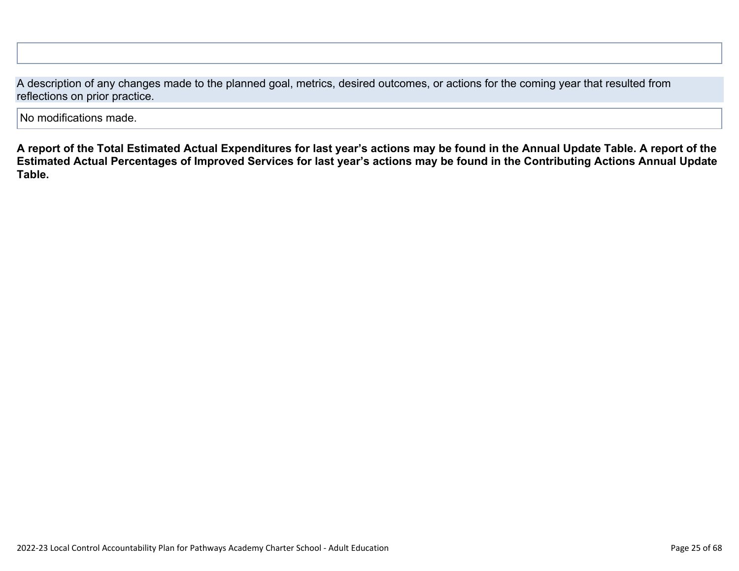A description of any changes made to the planned goal, metrics, desired outcomes, or actions for the coming year that resulted from reflections on prior practice.

No modifications made.

**A report of the Total Estimated Actual Expenditures for last year's actions may be found in the Annual Update Table. A report of the Estimated Actual Percentages of Improved Services for last year's actions may be found in the Contributing Actions Annual Update Table.**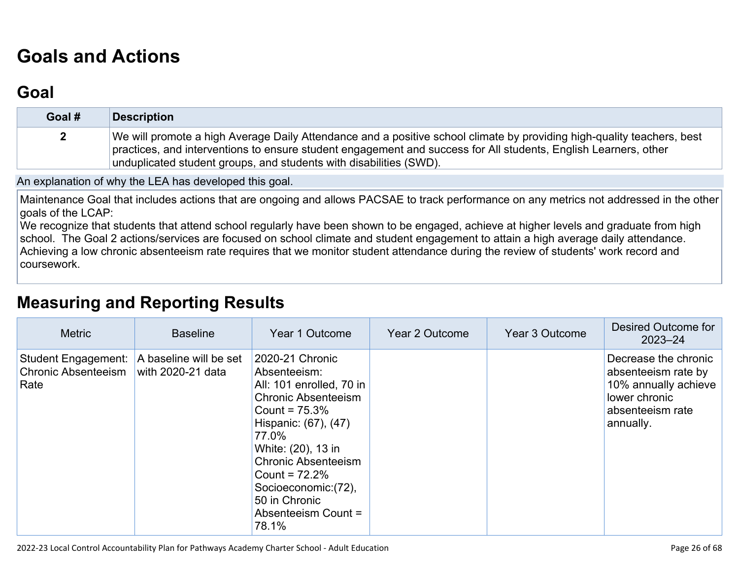# **[Goals and Actions](http://www.doc-tracking.com/screenshots/22LCAP/Instructions/22LCAPInstructions.htm#GoalsandActions)**

## **[Goal](http://www.doc-tracking.com/screenshots/22LCAP/Instructions/22LCAPInstructions.htm#goalDescription)**

| Goal # | <b>Description</b>                                                                                                                                                                                                                                                                                              |
|--------|-----------------------------------------------------------------------------------------------------------------------------------------------------------------------------------------------------------------------------------------------------------------------------------------------------------------|
|        | We will promote a high Average Daily Attendance and a positive school climate by providing high-quality teachers, best<br>practices, and interventions to ensure student engagement and success for All students, English Learners, other<br>unduplicated student groups, and students with disabilities (SWD). |

An explanation of why the LEA has developed this goal.

Maintenance Goal that includes actions that are ongoing and allows PACSAE to track performance on any metrics not addressed in the other goals of the LCAP:

We recognize that students that attend school regularly have been shown to be engaged, achieve at higher levels and graduate from high school. The Goal 2 actions/services are focused on school climate and student engagement to attain a high average daily attendance. Achieving a low chronic absenteeism rate requires that we monitor student attendance during the review of students' work record and coursework.

## **[Measuring and Reporting Results](http://www.doc-tracking.com/screenshots/22LCAP/Instructions/22LCAPInstructions.htm#MeasuringandReportingResults)**

| <b>Metric</b>                                                    | <b>Baseline</b>                             | Year 1 Outcome                                                                                                                                                                                                                                                                                 | Year 2 Outcome | Year 3 Outcome | Desired Outcome for<br>$2023 - 24$                                                                                    |
|------------------------------------------------------------------|---------------------------------------------|------------------------------------------------------------------------------------------------------------------------------------------------------------------------------------------------------------------------------------------------------------------------------------------------|----------------|----------------|-----------------------------------------------------------------------------------------------------------------------|
| <b>Student Engagement:</b><br><b>Chronic Absenteeism</b><br>Rate | A baseline will be set<br>with 2020-21 data | 2020-21 Chronic<br>Absenteeism:<br>All: 101 enrolled, 70 in<br><b>Chronic Absenteeism</b><br>Count = $75.3\%$<br>Hispanic: (67), (47)<br>77.0%<br>White: (20), 13 in<br><b>Chronic Absenteeism</b><br>Count = $72.2%$<br>Socioeconomic: (72),<br>50 in Chronic<br>Absenteeism Count =<br>78.1% |                |                | Decrease the chronic<br>absenteeism rate by<br>10% annually achieve<br>lower chronic<br>absenteeism rate<br>annually. |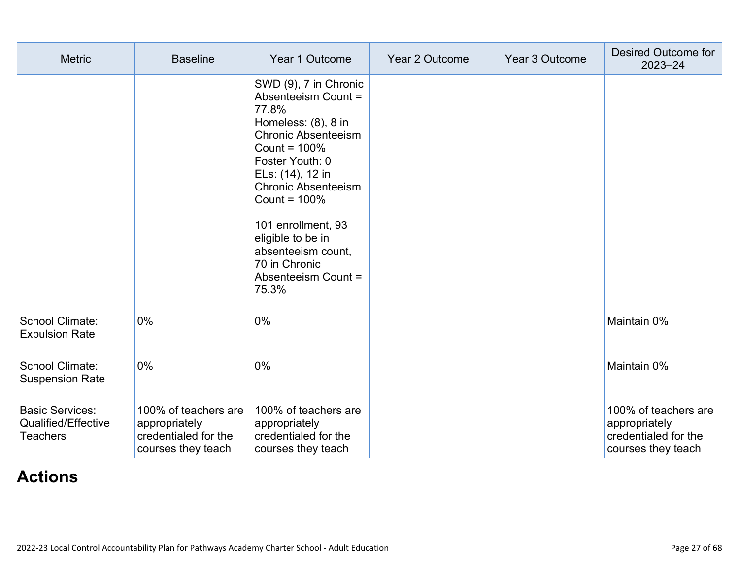| <b>Metric</b>                                                    | <b>Baseline</b>                                                                     | Year 1 Outcome                                                                                                                                                                                                                                                                                                                          | Year 2 Outcome | Year 3 Outcome | <b>Desired Outcome for</b><br>$2023 - 24$                                           |
|------------------------------------------------------------------|-------------------------------------------------------------------------------------|-----------------------------------------------------------------------------------------------------------------------------------------------------------------------------------------------------------------------------------------------------------------------------------------------------------------------------------------|----------------|----------------|-------------------------------------------------------------------------------------|
|                                                                  |                                                                                     | SWD (9), 7 in Chronic<br>Absenteeism Count =<br>77.8%<br>Homeless: (8), 8 in<br><b>Chronic Absenteeism</b><br>Count = $100\%$<br>Foster Youth: 0<br>ELs: (14), 12 in<br><b>Chronic Absenteeism</b><br>Count = $100\%$<br>101 enrollment, 93<br>eligible to be in<br>absenteeism count,<br>70 in Chronic<br>Absenteeism Count =<br>75.3% |                |                |                                                                                     |
| School Climate:<br><b>Expulsion Rate</b>                         | 0%                                                                                  | $0\%$                                                                                                                                                                                                                                                                                                                                   |                |                | Maintain 0%                                                                         |
| School Climate:<br><b>Suspension Rate</b>                        | $0\%$                                                                               | 0%                                                                                                                                                                                                                                                                                                                                      |                |                | Maintain 0%                                                                         |
| <b>Basic Services:</b><br>Qualified/Effective<br><b>Teachers</b> | 100% of teachers are<br>appropriately<br>credentialed for the<br>courses they teach | 100% of teachers are<br>appropriately<br>credentialed for the<br>courses they teach                                                                                                                                                                                                                                                     |                |                | 100% of teachers are<br>appropriately<br>credentialed for the<br>courses they teach |

# **[Actions](http://www.doc-tracking.com/screenshots/22LCAP/Instructions/22LCAPInstructions.htm#actions)**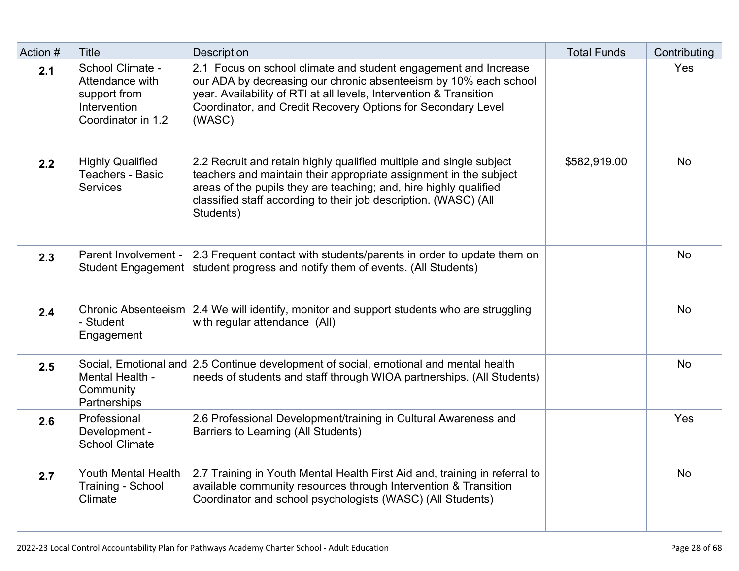| Action #                                                                                                                          | <b>Title</b>                                                                              | <b>Description</b>                                                                                                                                                                                                                                                                             | <b>Total Funds</b> | Contributing |
|-----------------------------------------------------------------------------------------------------------------------------------|-------------------------------------------------------------------------------------------|------------------------------------------------------------------------------------------------------------------------------------------------------------------------------------------------------------------------------------------------------------------------------------------------|--------------------|--------------|
| 2.1                                                                                                                               | School Climate -<br>Attendance with<br>support from<br>Intervention<br>Coordinator in 1.2 | 2.1 Focus on school climate and student engagement and Increase<br>our ADA by decreasing our chronic absenteeism by 10% each school<br>year. Availability of RTI at all levels, Intervention & Transition<br>Coordinator, and Credit Recovery Options for Secondary Level<br>(WASC)            |                    | Yes          |
| <b>Highly Qualified</b><br>2.2<br>Teachers - Basic<br><b>Services</b><br>Parent Involvement -<br>2.3<br><b>Student Engagement</b> |                                                                                           | 2.2 Recruit and retain highly qualified multiple and single subject<br>teachers and maintain their appropriate assignment in the subject<br>areas of the pupils they are teaching; and, hire highly qualified<br>classified staff according to their job description. (WASC) (All<br>Students) | \$582,919.00       | <b>No</b>    |
|                                                                                                                                   |                                                                                           | 2.3 Frequent contact with students/parents in order to update them on<br>student progress and notify them of events. (All Students)                                                                                                                                                            |                    | <b>No</b>    |
| 2.4                                                                                                                               | - Student<br>Engagement                                                                   | Chronic Absenteeism 2.4 We will identify, monitor and support students who are struggling<br>with regular attendance (All)                                                                                                                                                                     |                    | <b>No</b>    |
| 2.5                                                                                                                               | Mental Health -<br>Community<br>Partnerships                                              | Social, Emotional and 2.5 Continue development of social, emotional and mental health<br>needs of students and staff through WIOA partnerships. (All Students)                                                                                                                                 |                    | <b>No</b>    |
| 2.6                                                                                                                               | Professional<br>Development -<br><b>School Climate</b>                                    | 2.6 Professional Development/training in Cultural Awareness and<br>Barriers to Learning (All Students)                                                                                                                                                                                         |                    | Yes          |
| 2.7                                                                                                                               | Youth Mental Health<br>Training - School<br>Climate                                       | 2.7 Training in Youth Mental Health First Aid and, training in referral to<br>available community resources through Intervention & Transition<br>Coordinator and school psychologists (WASC) (All Students)                                                                                    |                    | <b>No</b>    |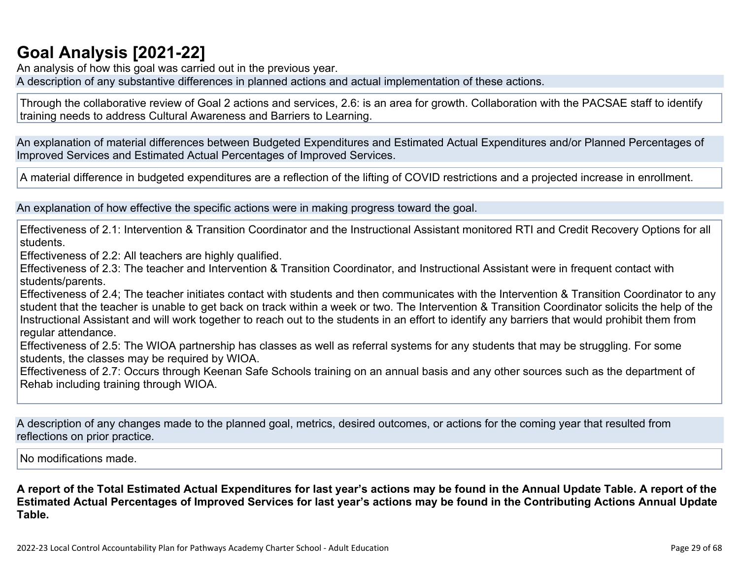## **[Goal Analysis \[2021-22\]](http://www.doc-tracking.com/screenshots/22LCAP/Instructions/22LCAPInstructions.htm#GoalAnalysis)**

An analysis of how this goal was carried out in the previous year.

A description of any substantive differences in planned actions and actual implementation of these actions.

Through the collaborative review of Goal 2 actions and services, 2.6: is an area for growth. Collaboration with the PACSAE staff to identify training needs to address Cultural Awareness and Barriers to Learning.

An explanation of material differences between Budgeted Expenditures and Estimated Actual Expenditures and/or Planned Percentages of Improved Services and Estimated Actual Percentages of Improved Services.

A material difference in budgeted expenditures are a reflection of the lifting of COVID restrictions and a projected increase in enrollment.

An explanation of how effective the specific actions were in making progress toward the goal.

Effectiveness of 2.1: Intervention & Transition Coordinator and the Instructional Assistant monitored RTI and Credit Recovery Options for all students.

Effectiveness of 2.2: All teachers are highly qualified.

Effectiveness of 2.3: The teacher and Intervention & Transition Coordinator, and Instructional Assistant were in frequent contact with students/parents.

Effectiveness of 2.4; The teacher initiates contact with students and then communicates with the Intervention & Transition Coordinator to any student that the teacher is unable to get back on track within a week or two. The Intervention & Transition Coordinator solicits the help of the Instructional Assistant and will work together to reach out to the students in an effort to identify any barriers that would prohibit them from regular attendance.

Effectiveness of 2.5: The WIOA partnership has classes as well as referral systems for any students that may be struggling. For some students, the classes may be required by WIOA.

Effectiveness of 2.7: Occurs through Keenan Safe Schools training on an annual basis and any other sources such as the department of Rehab including training through WIOA.

A description of any changes made to the planned goal, metrics, desired outcomes, or actions for the coming year that resulted from reflections on prior practice.

No modifications made.

**A report of the Total Estimated Actual Expenditures for last year's actions may be found in the Annual Update Table. A report of the Estimated Actual Percentages of Improved Services for last year's actions may be found in the Contributing Actions Annual Update Table.**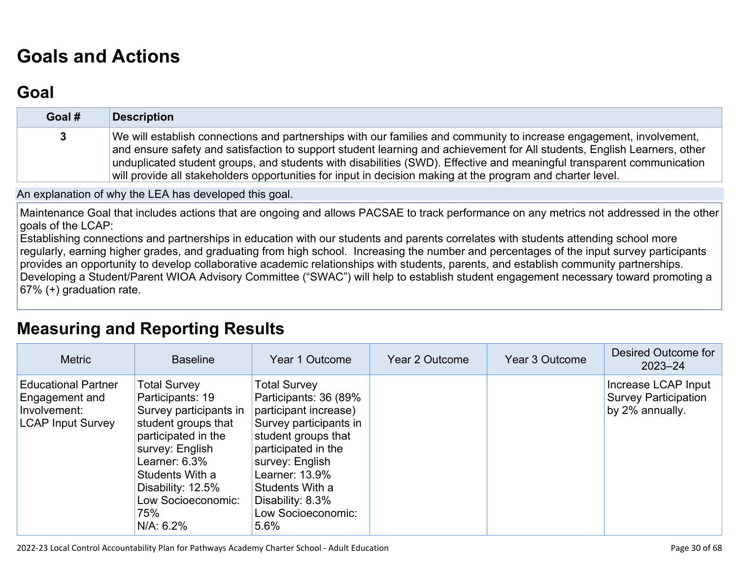# **[Goals and Actions](http://www.doc-tracking.com/screenshots/22LCAP/Instructions/22LCAPInstructions.htm#GoalsandActions)**

## **[Goal](http://www.doc-tracking.com/screenshots/22LCAP/Instructions/22LCAPInstructions.htm#goalDescription)**

| Goal # | <b>Description</b>                                                                                                                                                                                                                                                                                                                                                                                                                                                                     |
|--------|----------------------------------------------------------------------------------------------------------------------------------------------------------------------------------------------------------------------------------------------------------------------------------------------------------------------------------------------------------------------------------------------------------------------------------------------------------------------------------------|
| 3      | We will establish connections and partnerships with our families and community to increase engagement, involvement,<br>and ensure safety and satisfaction to support student learning and achievement for All students, English Learners, other<br>unduplicated student groups, and students with disabilities (SWD). Effective and meaningful transparent communication<br>will provide all stakeholders opportunities for input in decision making at the program and charter level. |

#### An explanation of why the LEA has developed this goal.

Maintenance Goal that includes actions that are ongoing and allows PACSAE to track performance on any metrics not addressed in the other goals of the LCAP:

Establishing connections and partnerships in education with our students and parents correlates with students attending school more regularly, earning higher grades, and graduating from high school. Increasing the number and percentages of the input survey participants provides an opportunity to develop collaborative academic relationships with students, parents, and establish community partnerships. Developing a Student/Parent WIOA Advisory Committee ("SWAC") will help to establish student engagement necessary toward promoting a 67% (+) graduation rate.

## **[Measuring and Reporting Results](http://www.doc-tracking.com/screenshots/22LCAP/Instructions/22LCAPInstructions.htm#MeasuringandReportingResults)**

| <b>Metric</b>                                                                            | <b>Baseline</b>                                                                                                                                                                                                                          | Year 1 Outcome                                                                                                                                                                                                                                          | Year 2 Outcome | Year 3 Outcome | Desired Outcome for<br>$2023 - 24$                                    |
|------------------------------------------------------------------------------------------|------------------------------------------------------------------------------------------------------------------------------------------------------------------------------------------------------------------------------------------|---------------------------------------------------------------------------------------------------------------------------------------------------------------------------------------------------------------------------------------------------------|----------------|----------------|-----------------------------------------------------------------------|
| <b>Educational Partner</b><br>Engagement and<br>Involvement:<br><b>LCAP Input Survey</b> | <b>Total Survey</b><br>Participants: 19<br>Survey participants in<br>student groups that<br>participated in the<br>survey: English<br>Learner: $6.3\%$<br>Students With a<br>Disability: 12.5%<br>Low Socioeconomic:<br>75%<br>N/A: 6.2% | <b>Total Survey</b><br>Participants: 36 (89%<br>participant increase)<br>Survey participants in<br>student groups that<br>participated in the<br>survey: English<br>Learner: 13.9%<br>Students With a<br>Disability: 8.3%<br>Low Socioeconomic:<br>5.6% |                |                | Increase LCAP Input<br><b>Survey Participation</b><br>by 2% annually. |

2022-23 Local Control Accountability Plan for Pathways Academy Charter School - Adult Education Page 30 of 68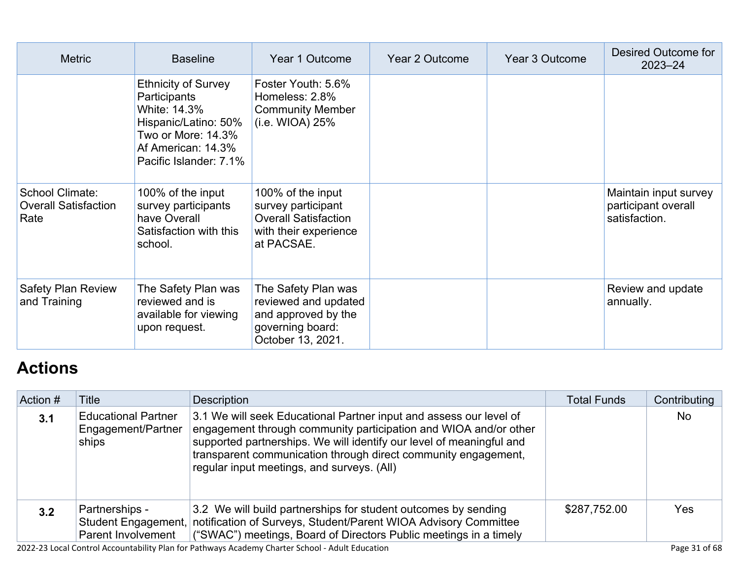| <b>Metric</b>                                          | <b>Baseline</b>                                                                                                                                          | Year 1 Outcome                                                                                                | Year 2 Outcome | Year 3 Outcome | Desired Outcome for<br>$2023 - 24$                            |
|--------------------------------------------------------|----------------------------------------------------------------------------------------------------------------------------------------------------------|---------------------------------------------------------------------------------------------------------------|----------------|----------------|---------------------------------------------------------------|
|                                                        | <b>Ethnicity of Survey</b><br>Participants<br>White: 14.3%<br>Hispanic/Latino: 50%<br>Two or More: 14.3%<br>Af American: 14.3%<br>Pacific Islander: 7.1% | Foster Youth: 5.6%<br>Homeless: 2.8%<br><b>Community Member</b><br>(i.e. WIOA) 25%                            |                |                |                                                               |
| School Climate:<br><b>Overall Satisfaction</b><br>Rate | 100% of the input<br>survey participants<br>have Overall<br>Satisfaction with this<br>school.                                                            | 100% of the input<br>survey participant<br><b>Overall Satisfaction</b><br>with their experience<br>at PACSAE. |                |                | Maintain input survey<br>participant overall<br>satisfaction. |
| <b>Safety Plan Review</b><br>and Training              | The Safety Plan was<br>reviewed and is<br>available for viewing<br>upon request.                                                                         | The Safety Plan was<br>reviewed and updated<br>and approved by the<br>governing board:<br>October 13, 2021.   |                |                | Review and update<br>annually.                                |

# **[Actions](http://www.doc-tracking.com/screenshots/22LCAP/Instructions/22LCAPInstructions.htm#actions)**

| Action #      | Title                                                       | <b>Description</b>                                                                                                                                                                                                                                                                                                             | <b>Total Funds</b> | Contributing |
|---------------|-------------------------------------------------------------|--------------------------------------------------------------------------------------------------------------------------------------------------------------------------------------------------------------------------------------------------------------------------------------------------------------------------------|--------------------|--------------|
| 3.1           | <b>Educational Partner</b><br>Engagement/Partner<br>ships   | 3.1 We will seek Educational Partner input and assess our level of<br>engagement through community participation and WIOA and/or other<br>supported partnerships. We will identify our level of meaningful and<br>transparent communication through direct community engagement,<br>regular input meetings, and surveys. (All) |                    | <b>No</b>    |
| $3.2^{\circ}$ | Partnerships -<br>Student Engagement,<br>Parent Involvement | 3.2 We will build partnerships for student outcomes by sending<br>notification of Surveys, Student/Parent WIOA Advisory Committee<br>("SWAC") meetings, Board of Directors Public meetings in a timely                                                                                                                         | \$287,752.00       | Yes          |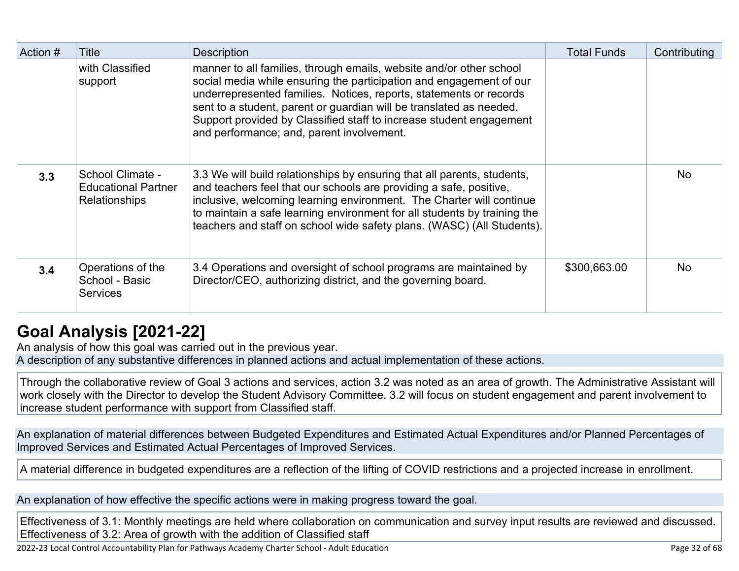| Action # | Title                                                                  | <b>Description</b>                                                                                                                                                                                                                                                                                                                                                                                          | <b>Total Funds</b> | Contributing |
|----------|------------------------------------------------------------------------|-------------------------------------------------------------------------------------------------------------------------------------------------------------------------------------------------------------------------------------------------------------------------------------------------------------------------------------------------------------------------------------------------------------|--------------------|--------------|
|          | with Classified<br>support                                             | manner to all families, through emails, website and/or other school<br>social media while ensuring the participation and engagement of our<br>underrepresented families. Notices, reports, statements or records<br>sent to a student, parent or guardian will be translated as needed.<br>Support provided by Classified staff to increase student engagement<br>and performance; and, parent involvement. |                    |              |
| 3.3      | School Climate -<br><b>Educational Partner</b><br><b>Relationships</b> | 3.3 We will build relationships by ensuring that all parents, students,<br>and teachers feel that our schools are providing a safe, positive,<br>inclusive, welcoming learning environment. The Charter will continue<br>to maintain a safe learning environment for all students by training the<br>teachers and staff on school wide safety plans. (WASC) (All Students).                                 |                    | <b>No</b>    |
| 3.4      | Operations of the<br>School - Basic<br><b>Services</b>                 | 3.4 Operations and oversight of school programs are maintained by<br>Director/CEO, authorizing district, and the governing board.                                                                                                                                                                                                                                                                           | \$300,663.00       | <b>No</b>    |

## **[Goal Analysis \[2021-22\]](http://www.doc-tracking.com/screenshots/22LCAP/Instructions/22LCAPInstructions.htm#GoalAnalysis)**

An analysis of how this goal was carried out in the previous year. A description of any substantive differences in planned actions and actual implementation of these actions.

Through the collaborative review of Goal 3 actions and services, action 3.2 was noted as an area of growth. The Administrative Assistant will work closely with the Director to develop the Student Advisory Committee. 3.2 will focus on student engagement and parent involvement to increase student performance with support from Classified staff.

An explanation of material differences between Budgeted Expenditures and Estimated Actual Expenditures and/or Planned Percentages of Improved Services and Estimated Actual Percentages of Improved Services.

A material difference in budgeted expenditures are a reflection of the lifting of COVID restrictions and a projected increase in enrollment.

An explanation of how effective the specific actions were in making progress toward the goal.

Effectiveness of 3.1: Monthly meetings are held where collaboration on communication and survey input results are reviewed and discussed. Effectiveness of 3.2: Area of growth with the addition of Classified staff

2022-23 Local Control Accountability Plan for Pathways Academy Charter School - Adult Education Page 32 of 68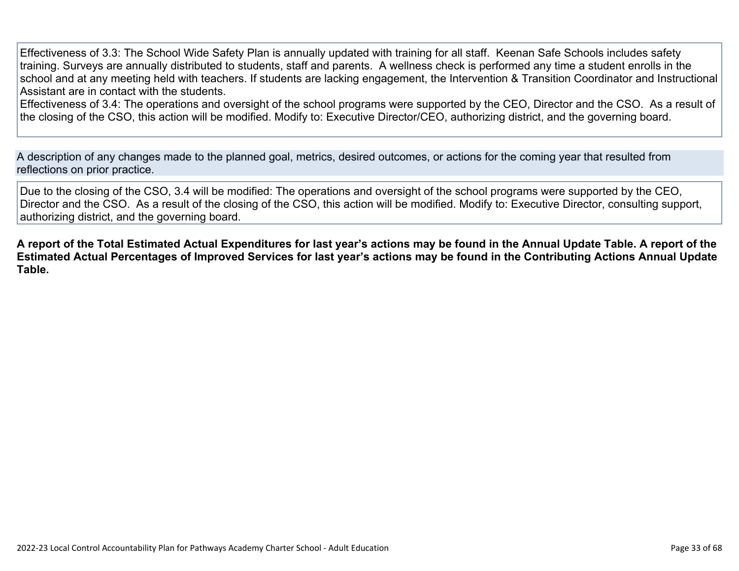Effectiveness of 3.3: The School Wide Safety Plan is annually updated with training for all staff. Keenan Safe Schools includes safety training. Surveys are annually distributed to students, staff and parents. A wellness check is performed any time a student enrolls in the school and at any meeting held with teachers. If students are lacking engagement, the Intervention & Transition Coordinator and Instructional Assistant are in contact with the students.

Effectiveness of 3.4: The operations and oversight of the school programs were supported by the CEO, Director and the CSO. As a result of the closing of the CSO, this action will be modified. Modify to: Executive Director/CEO, authorizing district, and the governing board.

A description of any changes made to the planned goal, metrics, desired outcomes, or actions for the coming year that resulted from reflections on prior practice.

Due to the closing of the CSO, 3.4 will be modified: The operations and oversight of the school programs were supported by the CEO, Director and the CSO. As a result of the closing of the CSO, this action will be modified. Modify to: Executive Director, consulting support, authorizing district, and the governing board.

**A report of the Total Estimated Actual Expenditures for last year's actions may be found in the Annual Update Table. A report of the Estimated Actual Percentages of Improved Services for last year's actions may be found in the Contributing Actions Annual Update Table.**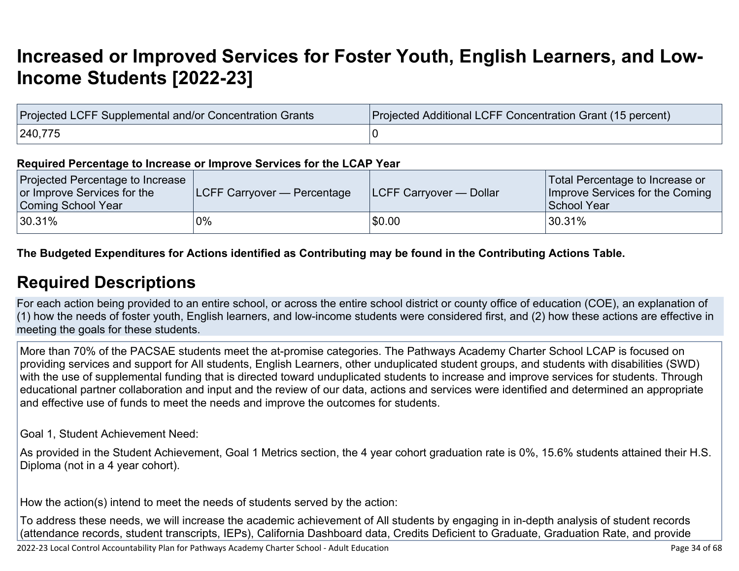# **[Increased or Improved Services for Foster Youth, English Learners, and Low-](http://www.doc-tracking.com/screenshots/22LCAP/Instructions/22LCAPInstructions.htm#IncreasedImprovedServices)[Income Students \[2022-23\]](http://www.doc-tracking.com/screenshots/22LCAP/Instructions/22LCAPInstructions.htm#IncreasedImprovedServices)**

| Projected LCFF Supplemental and/or Concentration Grants | Projected Additional LCFF Concentration Grant (15 percent) |  |  |  |  |
|---------------------------------------------------------|------------------------------------------------------------|--|--|--|--|
| 240,775                                                 |                                                            |  |  |  |  |

#### **Required Percentage to Increase or Improve Services for the LCAP Year**

| Projected Percentage to Increase<br>or Improve Services for the<br>Coming School Year | <b>LCFF Carryover — Percentage</b> | <b>ILCFF Carryover — Dollar</b> | Total Percentage to Increase or<br>Improve Services for the Coming<br>School Year |
|---------------------------------------------------------------------------------------|------------------------------------|---------------------------------|-----------------------------------------------------------------------------------|
| $ 30.31\%$                                                                            | 0%                                 | \$0.00                          | $30.31\%$                                                                         |

### **The Budgeted Expenditures for Actions identified as Contributing may be found in the Contributing Actions Table.**

### **[Required Descriptions](http://www.doc-tracking.com/screenshots/22LCAP/Instructions/22LCAPInstructions.htm#RequiredDescriptions)**

For each action being provided to an entire school, or across the entire school district or county office of education (COE), an explanation of (1) how the needs of foster youth, English learners, and low-income students were considered first, and (2) how these actions are effective in meeting the goals for these students.

More than 70% of the PACSAE students meet the at-promise categories. The Pathways Academy Charter School LCAP is focused on providing services and support for All students, English Learners, other unduplicated student groups, and students with disabilities (SWD) with the use of supplemental funding that is directed toward unduplicated students to increase and improve services for students. Through educational partner collaboration and input and the review of our data, actions and services were identified and determined an appropriate and effective use of funds to meet the needs and improve the outcomes for students.

Goal 1, Student Achievement Need:

As provided in the Student Achievement, Goal 1 Metrics section, the 4 year cohort graduation rate is 0%, 15.6% students attained their H.S. Diploma (not in a 4 year cohort).

How the action(s) intend to meet the needs of students served by the action:

To address these needs, we will increase the academic achievement of All students by engaging in in-depth analysis of student records (attendance records, student transcripts, IEPs), California Dashboard data, Credits Deficient to Graduate, Graduation Rate, and provide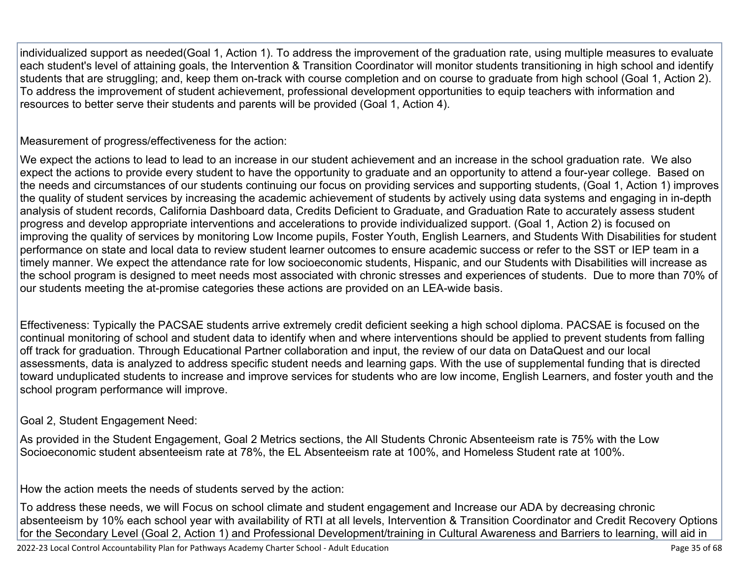individualized support as needed(Goal 1, Action 1). To address the improvement of the graduation rate, using multiple measures to evaluate each student's level of attaining goals, the Intervention & Transition Coordinator will monitor students transitioning in high school and identify students that are struggling; and, keep them on-track with course completion and on course to graduate from high school (Goal 1, Action 2). To address the improvement of student achievement, professional development opportunities to equip teachers with information and resources to better serve their students and parents will be provided (Goal 1, Action 4).

Measurement of progress/effectiveness for the action:

We expect the actions to lead to lead to an increase in our student achievement and an increase in the school graduation rate. We also expect the actions to provide every student to have the opportunity to graduate and an opportunity to attend a four-year college. Based on the needs and circumstances of our students continuing our focus on providing services and supporting students, (Goal 1, Action 1) improves the quality of student services by increasing the academic achievement of students by actively using data systems and engaging in in-depth analysis of student records, California Dashboard data, Credits Deficient to Graduate, and Graduation Rate to accurately assess student progress and develop appropriate interventions and accelerations to provide individualized support. (Goal 1, Action 2) is focused on improving the quality of services by monitoring Low Income pupils, Foster Youth, English Learners, and Students With Disabilities for student performance on state and local data to review student learner outcomes to ensure academic success or refer to the SST or IEP team in a timely manner. We expect the attendance rate for low socioeconomic students, Hispanic, and our Students with Disabilities will increase as the school program is designed to meet needs most associated with chronic stresses and experiences of students. Due to more than 70% of our students meeting the at-promise categories these actions are provided on an LEA-wide basis.

Effectiveness: Typically the PACSAE students arrive extremely credit deficient seeking a high school diploma. PACSAE is focused on the continual monitoring of school and student data to identify when and where interventions should be applied to prevent students from falling off track for graduation. Through Educational Partner collaboration and input, the review of our data on DataQuest and our local assessments, data is analyzed to address specific student needs and learning gaps. With the use of supplemental funding that is directed toward unduplicated students to increase and improve services for students who are low income, English Learners, and foster youth and the school program performance will improve.

### Goal 2, Student Engagement Need:

As provided in the Student Engagement, Goal 2 Metrics sections, the All Students Chronic Absenteeism rate is 75% with the Low Socioeconomic student absenteeism rate at 78%, the EL Absenteeism rate at 100%, and Homeless Student rate at 100%.

How the action meets the needs of students served by the action:

To address these needs, we will Focus on school climate and student engagement and Increase our ADA by decreasing chronic absenteeism by 10% each school year with availability of RTI at all levels, Intervention & Transition Coordinator and Credit Recovery Options for the Secondary Level (Goal 2, Action 1) and Professional Development/training in Cultural Awareness and Barriers to learning, will aid in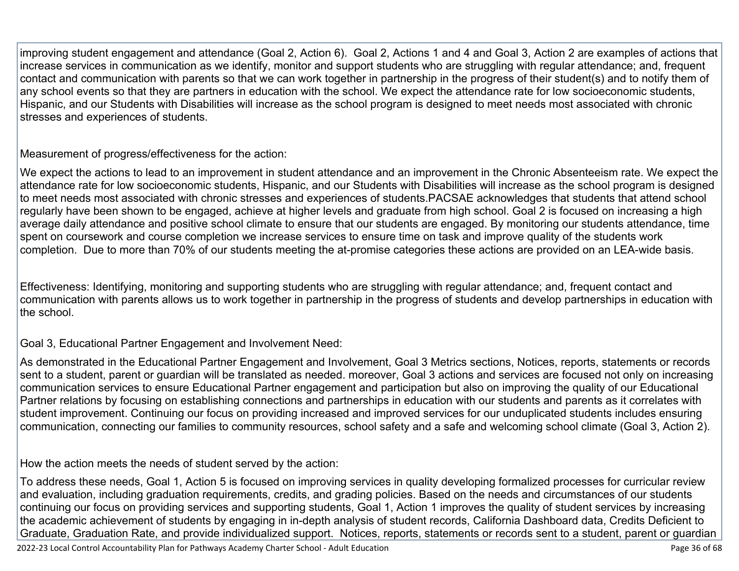improving student engagement and attendance (Goal 2, Action 6). Goal 2, Actions 1 and 4 and Goal 3, Action 2 are examples of actions that increase services in communication as we identify, monitor and support students who are struggling with regular attendance; and, frequent contact and communication with parents so that we can work together in partnership in the progress of their student(s) and to notify them of any school events so that they are partners in education with the school. We expect the attendance rate for low socioeconomic students, Hispanic, and our Students with Disabilities will increase as the school program is designed to meet needs most associated with chronic stresses and experiences of students.

Measurement of progress/effectiveness for the action:

We expect the actions to lead to an improvement in student attendance and an improvement in the Chronic Absenteeism rate. We expect the attendance rate for low socioeconomic students, Hispanic, and our Students with Disabilities will increase as the school program is designed to meet needs most associated with chronic stresses and experiences of students.PACSAE acknowledges that students that attend school regularly have been shown to be engaged, achieve at higher levels and graduate from high school. Goal 2 is focused on increasing a high average daily attendance and positive school climate to ensure that our students are engaged. By monitoring our students attendance, time spent on coursework and course completion we increase services to ensure time on task and improve quality of the students work completion. Due to more than 70% of our students meeting the at-promise categories these actions are provided on an LEA-wide basis.

Effectiveness: Identifying, monitoring and supporting students who are struggling with regular attendance; and, frequent contact and communication with parents allows us to work together in partnership in the progress of students and develop partnerships in education with the school.

Goal 3, Educational Partner Engagement and Involvement Need:

As demonstrated in the Educational Partner Engagement and Involvement, Goal 3 Metrics sections, Notices, reports, statements or records sent to a student, parent or guardian will be translated as needed. moreover, Goal 3 actions and services are focused not only on increasing communication services to ensure Educational Partner engagement and participation but also on improving the quality of our Educational Partner relations by focusing on establishing connections and partnerships in education with our students and parents as it correlates with student improvement. Continuing our focus on providing increased and improved services for our unduplicated students includes ensuring communication, connecting our families to community resources, school safety and a safe and welcoming school climate (Goal 3, Action 2).

How the action meets the needs of student served by the action:

To address these needs, Goal 1, Action 5 is focused on improving services in quality developing formalized processes for curricular review and evaluation, including graduation requirements, credits, and grading policies. Based on the needs and circumstances of our students continuing our focus on providing services and supporting students, Goal 1, Action 1 improves the quality of student services by increasing the academic achievement of students by engaging in in-depth analysis of student records, California Dashboard data, Credits Deficient to Graduate, Graduation Rate, and provide individualized support. Notices, reports, statements or records sent to a student, parent or guardian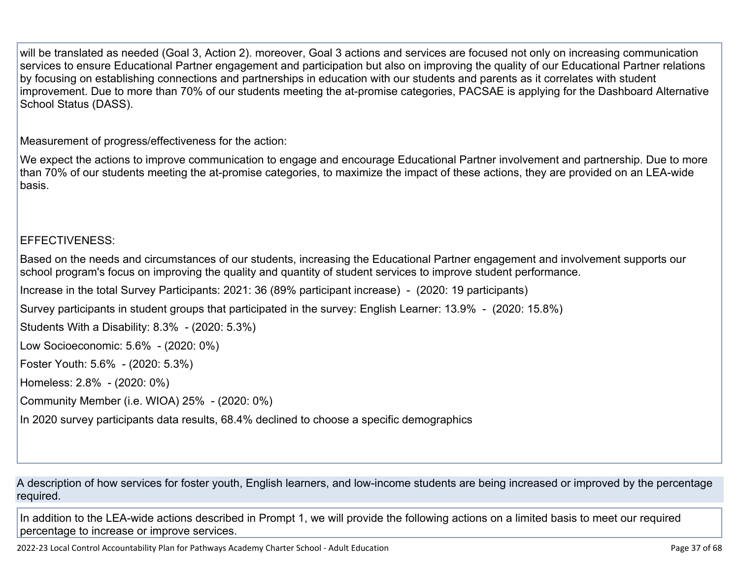will be translated as needed (Goal 3, Action 2). moreover, Goal 3 actions and services are focused not only on increasing communication services to ensure Educational Partner engagement and participation but also on improving the quality of our Educational Partner relations by focusing on establishing connections and partnerships in education with our students and parents as it correlates with student improvement. Due to more than 70% of our students meeting the at-promise categories, PACSAE is applying for the Dashboard Alternative School Status (DASS).

Measurement of progress/effectiveness for the action:

We expect the actions to improve communication to engage and encourage Educational Partner involvement and partnership. Due to more than 70% of our students meeting the at-promise categories, to maximize the impact of these actions, they are provided on an LEA-wide basis.

EFFECTIVENESS:

Based on the needs and circumstances of our students, increasing the Educational Partner engagement and involvement supports our school program's focus on improving the quality and quantity of student services to improve student performance.

Increase in the total Survey Participants: 2021: 36 (89% participant increase) - (2020: 19 participants)

Survey participants in student groups that participated in the survey: English Learner: 13.9% - (2020: 15.8%)

Students With a Disability: 8.3% - (2020: 5.3%)

Low Socioeconomic: 5.6% - (2020: 0%)

Foster Youth: 5.6% - (2020: 5.3%)

Homeless: 2.8% - (2020: 0%)

Community Member (i.e. WIOA) 25% - (2020: 0%)

In 2020 survey participants data results, 68.4% declined to choose a specific demographics

A description of how services for foster youth, English learners, and low-income students are being increased or improved by the percentage required.

In addition to the LEA-wide actions described in Prompt 1, we will provide the following actions on a limited basis to meet our required percentage to increase or improve services.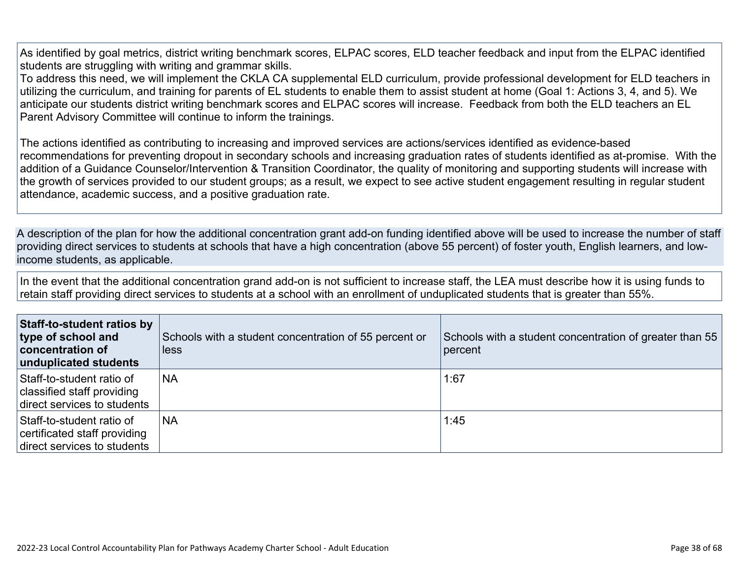As identified by goal metrics, district writing benchmark scores, ELPAC scores, ELD teacher feedback and input from the ELPAC identified students are struggling with writing and grammar skills.

To address this need, we will implement the CKLA CA supplemental ELD curriculum, provide professional development for ELD teachers in utilizing the curriculum, and training for parents of EL students to enable them to assist student at home (Goal 1: Actions 3, 4, and 5). We anticipate our students district writing benchmark scores and ELPAC scores will increase. Feedback from both the ELD teachers an EL Parent Advisory Committee will continue to inform the trainings.

The actions identified as contributing to increasing and improved services are actions/services identified as evidence-based recommendations for preventing dropout in secondary schools and increasing graduation rates of students identified as at-promise. With the addition of a Guidance Counselor/Intervention & Transition Coordinator, the quality of monitoring and supporting students will increase with the growth of services provided to our student groups; as a result, we expect to see active student engagement resulting in regular student attendance, academic success, and a positive graduation rate.

A description of the plan for how the additional concentration grant add-on funding identified above will be used to increase the number of staff providing direct services to students at schools that have a high concentration (above 55 percent) of foster youth, English learners, and lowincome students, as applicable.

In the event that the additional concentration grand add-on is not sufficient to increase staff, the LEA must describe how it is using funds to retain staff providing direct services to students at a school with an enrollment of unduplicated students that is greater than 55%.

| Staff-to-student ratios by<br>type of school and<br><b>concentration of</b><br>unduplicated students | Schools with a student concentration of 55 percent or<br><b>less</b> | Schools with a student concentration of greater than 55<br>percent |
|------------------------------------------------------------------------------------------------------|----------------------------------------------------------------------|--------------------------------------------------------------------|
| Staff-to-student ratio of<br>classified staff providing<br>direct services to students               | <b>NA</b>                                                            | 1:67                                                               |
| Staff-to-student ratio of<br>certificated staff providing<br>direct services to students             | <b>NA</b>                                                            | 1:45                                                               |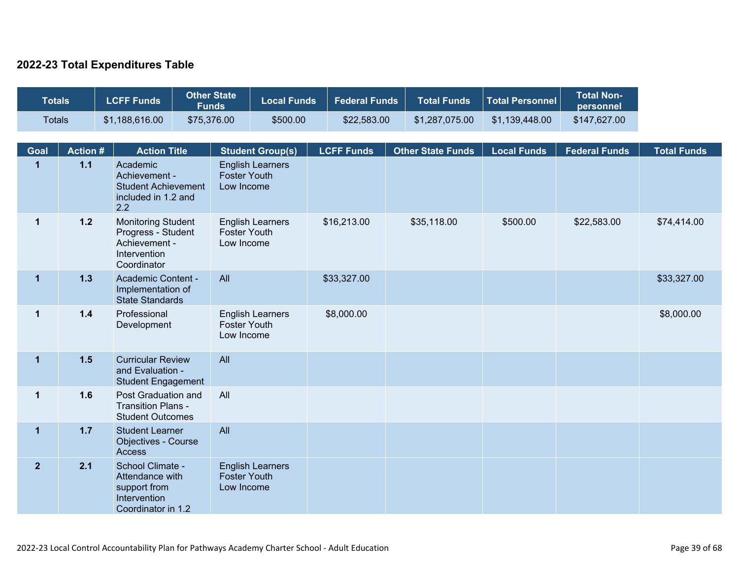### **2022-23 Total Expenditures Table**

| <b>Totals</b>  |                                                                                                          | <b>LCFF Funds</b>                                                                         | <b>Other State</b><br><b>Funds</b>                                |                                   | <b>Local Funds</b>      | <b>Federal Funds</b> | <b>Total Funds</b>       | <b>Total Personnel</b> | <b>Total Non-</b><br>personnel |                    |
|----------------|----------------------------------------------------------------------------------------------------------|-------------------------------------------------------------------------------------------|-------------------------------------------------------------------|-----------------------------------|-------------------------|----------------------|--------------------------|------------------------|--------------------------------|--------------------|
| <b>Totals</b>  |                                                                                                          | \$1,188,616.00                                                                            | \$75,376.00                                                       |                                   | \$500.00                | \$22,583.00          | \$1,287,075.00           | \$1,139,448.00         | \$147,627.00                   |                    |
| <b>Goal</b>    | <b>Action #</b>                                                                                          | <b>Action Title</b>                                                                       |                                                                   |                                   | <b>Student Group(s)</b> | <b>LCFF Funds</b>    | <b>Other State Funds</b> | <b>Local Funds</b>     | <b>Federal Funds</b>           | <b>Total Funds</b> |
| $\mathbf{1}$   | $1.1$                                                                                                    | Academic<br>Achievement -<br><b>Student Achievement</b><br>included in 1.2 and<br>2.2     |                                                                   | <b>Foster Youth</b><br>Low Income | <b>English Learners</b> |                      |                          |                        |                                |                    |
| $\mathbf 1$    | $1.2$<br><b>Monitoring Student</b><br>Progress - Student<br>Achievement -<br>Intervention<br>Coordinator |                                                                                           | <b>English Learners</b><br><b>Foster Youth</b><br>Low Income      |                                   | \$16,213.00             | \$35,118.00          | \$500.00                 | \$22,583.00            | \$74,414.00                    |                    |
| $\mathbf{1}$   | 1.3                                                                                                      |                                                                                           | Academic Content -<br>Implementation of<br><b>State Standards</b> |                                   | All                     |                      |                          |                        |                                | \$33,327.00        |
| $\mathbf 1$    | $1.4$                                                                                                    | Professional<br>Development                                                               |                                                                   | <b>Foster Youth</b><br>Low Income | <b>English Learners</b> | \$8,000.00           |                          |                        |                                | \$8,000.00         |
| $\mathbf 1$    | $1.5$                                                                                                    | <b>Curricular Review</b><br>and Evaluation -<br><b>Student Engagement</b>                 |                                                                   | All                               |                         |                      |                          |                        |                                |                    |
| $\mathbf 1$    | 1.6                                                                                                      | Post Graduation and<br><b>Transition Plans -</b><br><b>Student Outcomes</b>               |                                                                   | All                               |                         |                      |                          |                        |                                |                    |
| $\mathbf 1$    | $1.7$                                                                                                    | <b>Student Learner</b><br><b>Objectives - Course</b><br><b>Access</b>                     |                                                                   | All                               |                         |                      |                          |                        |                                |                    |
| $\overline{2}$ | 2.1                                                                                                      | School Climate -<br>Attendance with<br>support from<br>Intervention<br>Coordinator in 1.2 |                                                                   | <b>Foster Youth</b><br>Low Income | <b>English Learners</b> |                      |                          |                        |                                |                    |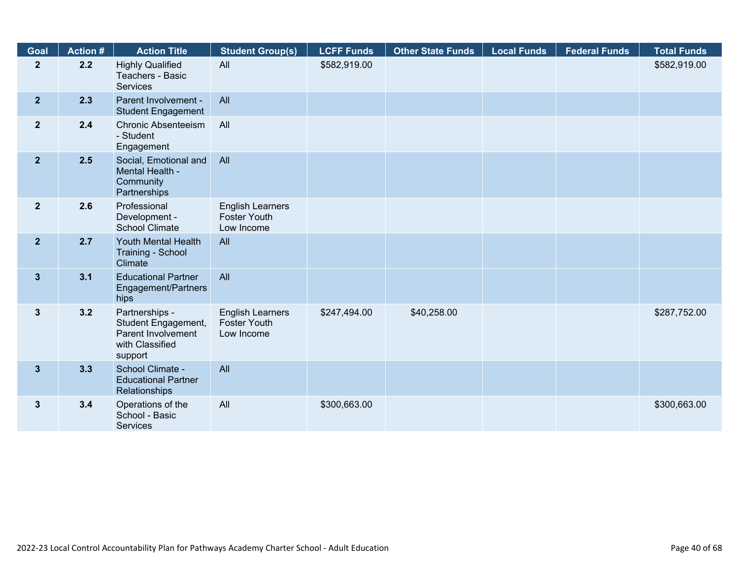| Goal           | <b>Action #</b> | <b>Action Title</b>                                                                       | <b>Student Group(s)</b>                                      | <b>LCFF Funds</b> | <b>Other State Funds</b> | <b>Local Funds</b> | <b>Federal Funds</b> | <b>Total Funds</b> |
|----------------|-----------------|-------------------------------------------------------------------------------------------|--------------------------------------------------------------|-------------------|--------------------------|--------------------|----------------------|--------------------|
| $\mathbf{2}$   | 2.2             | <b>Highly Qualified</b><br>Teachers - Basic<br><b>Services</b>                            | All                                                          | \$582,919.00      |                          |                    |                      | \$582,919.00       |
| 2 <sup>1</sup> | 2.3             | Parent Involvement -<br><b>Student Engagement</b>                                         | All                                                          |                   |                          |                    |                      |                    |
| 2 <sup>1</sup> | 2.4             | <b>Chronic Absenteeism</b><br>- Student<br>Engagement                                     | All                                                          |                   |                          |                    |                      |                    |
| 2 <sup>1</sup> | 2.5             | Social, Emotional and<br>Mental Health -<br>Community<br>Partnerships                     | All                                                          |                   |                          |                    |                      |                    |
| 2 <sup>1</sup> | 2.6             | Professional<br>Development -<br><b>School Climate</b>                                    | <b>English Learners</b><br><b>Foster Youth</b><br>Low Income |                   |                          |                    |                      |                    |
| $\overline{2}$ | 2.7             | Youth Mental Health<br>Training - School<br>Climate                                       | All                                                          |                   |                          |                    |                      |                    |
| $3\phantom{a}$ | 3.1             | <b>Educational Partner</b><br>Engagement/Partners<br>hips                                 | All                                                          |                   |                          |                    |                      |                    |
| $\mathbf{3}$   | 3.2             | Partnerships -<br>Student Engagement,<br>Parent Involvement<br>with Classified<br>support | <b>English Learners</b><br><b>Foster Youth</b><br>Low Income | \$247,494.00      | \$40,258.00              |                    |                      | \$287,752.00       |
| 3 <sup>5</sup> | 3.3             | School Climate -<br><b>Educational Partner</b><br>Relationships                           | All                                                          |                   |                          |                    |                      |                    |
| $\mathbf{3}$   | 3.4             | Operations of the<br>School - Basic<br><b>Services</b>                                    | All                                                          | \$300,663.00      |                          |                    |                      | \$300,663.00       |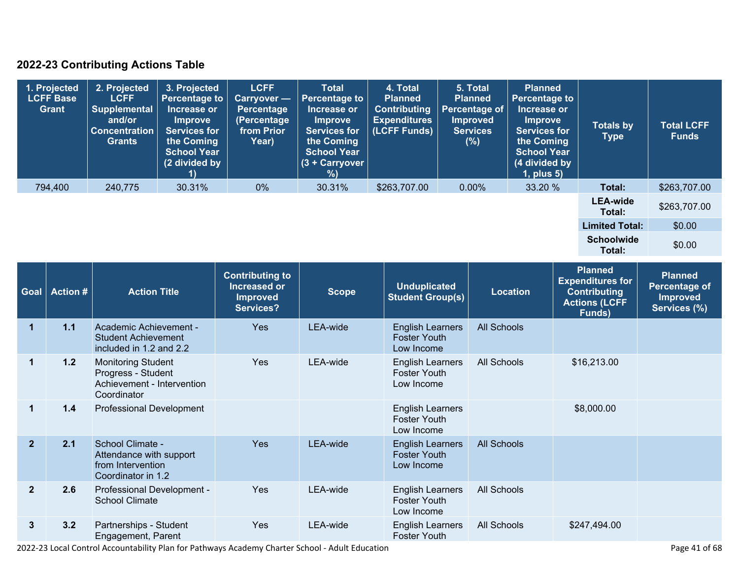### **2022-23 Contributing Actions Table**

| 1. Projected<br><b>LCFF Base</b><br>Grant | 2. Projected<br><b>LCFF</b><br>Supplemental<br>and/or<br><b>Concentration</b><br><b>Grants</b> | 3. Projected<br><b>Percentage to</b><br>Increase or<br><b>Improve</b><br><b>Services for</b><br>the Coming<br><b>School Year</b><br>(2 divided by | <b>LCFF</b><br>Carryover -<br><b>Percentage</b><br>(Percentage<br>from Prior<br>Year) | <b>Total</b><br><b>Percentage to</b><br>Increase or<br><b>Improve</b><br><b>Services for</b><br>the Coming<br><b>School Year</b><br>$(3 +$ Carryover<br>% | 4. Total<br><b>Planned</b><br><b>Contributing</b><br><b>Expenditures</b><br>(LCFF Funds) | 5. Total<br><b>Planned</b><br>Percentage of<br><b>Improved</b><br><b>Services</b><br>(%) | <b>Planned</b><br><b>Percentage to</b><br>Increase or<br>Improve<br><b>Services for</b><br>the Coming<br><b>School Year</b><br>(4 divided by<br>$1$ , plus $5$ ) | <b>Totals by</b><br>Type    | <b>Total LCFF</b><br><b>Funds</b> |
|-------------------------------------------|------------------------------------------------------------------------------------------------|---------------------------------------------------------------------------------------------------------------------------------------------------|---------------------------------------------------------------------------------------|-----------------------------------------------------------------------------------------------------------------------------------------------------------|------------------------------------------------------------------------------------------|------------------------------------------------------------------------------------------|------------------------------------------------------------------------------------------------------------------------------------------------------------------|-----------------------------|-----------------------------------|
| 794,400                                   | 240,775                                                                                        | 30.31%                                                                                                                                            | $0\%$                                                                                 | 30.31%                                                                                                                                                    | \$263,707.00                                                                             | $0.00\%$                                                                                 | 33.20 %                                                                                                                                                          | Total:                      | \$263,707.00                      |
|                                           |                                                                                                |                                                                                                                                                   |                                                                                       |                                                                                                                                                           |                                                                                          |                                                                                          |                                                                                                                                                                  | <b>LEA-wide</b><br>Total:   | \$263,707.00                      |
|                                           |                                                                                                |                                                                                                                                                   |                                                                                       |                                                                                                                                                           |                                                                                          |                                                                                          |                                                                                                                                                                  | <b>Limited Total:</b>       | \$0.00                            |
|                                           |                                                                                                |                                                                                                                                                   |                                                                                       |                                                                                                                                                           |                                                                                          |                                                                                          |                                                                                                                                                                  | <b>Schoolwide</b><br>Total: | \$0.00                            |

| Goal                 | <b>Action #</b> | <b>Action Title</b>                                                                          | <b>Contributing to</b><br>Increased or<br><b>Improved</b><br>Services? | <b>Scope</b> | <b>Unduplicated</b><br><b>Student Group(s)</b>               | <b>Location</b>    | <b>Planned</b><br><b>Expenditures for</b><br><b>Contributing</b><br><b>Actions (LCFF</b><br>Funds) | <b>Planned</b><br><b>Percentage of</b><br><b>Improved</b><br>Services (%) |
|----------------------|-----------------|----------------------------------------------------------------------------------------------|------------------------------------------------------------------------|--------------|--------------------------------------------------------------|--------------------|----------------------------------------------------------------------------------------------------|---------------------------------------------------------------------------|
| $\blacktriangleleft$ | 1.1             | Academic Achievement -<br><b>Student Achievement</b><br>included in 1.2 and 2.2              | <b>Yes</b>                                                             | LEA-wide     | <b>English Learners</b><br><b>Foster Youth</b><br>Low Income | <b>All Schools</b> |                                                                                                    |                                                                           |
| $\mathbf{1}$         | 1.2             | <b>Monitoring Student</b><br>Progress - Student<br>Achievement - Intervention<br>Coordinator | Yes                                                                    | LEA-wide     | <b>English Learners</b><br><b>Foster Youth</b><br>Low Income | All Schools        | \$16,213.00                                                                                        |                                                                           |
| 1                    | 1.4             | <b>Professional Development</b>                                                              |                                                                        |              | <b>English Learners</b><br><b>Foster Youth</b><br>Low Income |                    | \$8,000.00                                                                                         |                                                                           |
| $\overline{2}$       | 2.1             | School Climate -<br>Attendance with support<br>from Intervention<br>Coordinator in 1.2       | Yes                                                                    | LEA-wide     | <b>English Learners</b><br><b>Foster Youth</b><br>Low Income | <b>All Schools</b> |                                                                                                    |                                                                           |
| $\overline{2}$       | 2.6             | Professional Development -<br><b>School Climate</b>                                          | Yes                                                                    | LEA-wide     | <b>English Learners</b><br><b>Foster Youth</b><br>Low Income | All Schools        |                                                                                                    |                                                                           |
| $\mathbf{3}$         | 3.2             | Partnerships - Student<br>Engagement, Parent                                                 | <b>Yes</b>                                                             | LEA-wide     | <b>English Learners</b><br><b>Foster Youth</b>               | All Schools        | \$247,494.00                                                                                       |                                                                           |

2022-23 Local Control Accountability Plan for Pathways Academy Charter School - Adult Education Page 41 of 68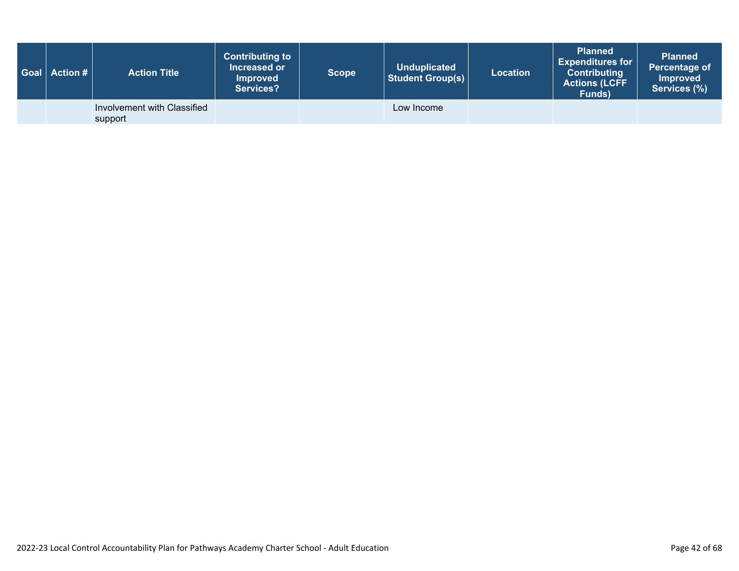|  | <b>Action Title</b>                    | <b>Contributing to</b><br>Increased or<br><b>Improved</b><br><b>Services?</b> | <b>Scope</b> | <b>Unduplicated</b><br><b>Student Group(s)</b> | <b>Location</b> | <b>Planned</b><br>Expenditures for $ $<br><b>Contributing</b><br><b>Actions (LCFF</b><br>Funds) | <b>Planned</b><br>Percentage of<br><b>Improved</b><br>Services (%) |
|--|----------------------------------------|-------------------------------------------------------------------------------|--------------|------------------------------------------------|-----------------|-------------------------------------------------------------------------------------------------|--------------------------------------------------------------------|
|  | Involvement with Classified<br>support |                                                                               |              | Low Income                                     |                 |                                                                                                 |                                                                    |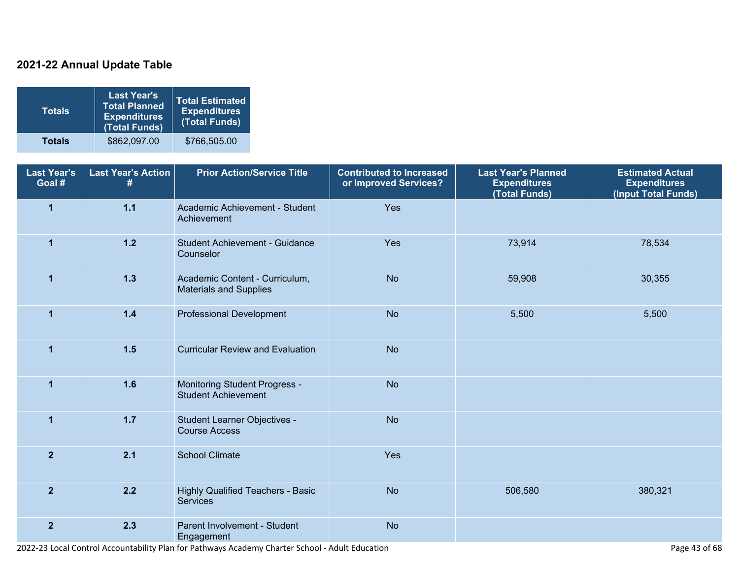### **2021-22 Annual Update Table**

| <b>Totals</b> | <b>Last Year's</b><br><b>Total Planned</b><br><b>Expenditures</b><br>(Total Funds) | <b>Total Estimated</b><br><b>Expenditures</b><br>(Total Funds) |
|---------------|------------------------------------------------------------------------------------|----------------------------------------------------------------|
| <b>Totals</b> | \$862,097.00                                                                       | \$766,505.00                                                   |

| <b>Last Year's</b><br>Goal # | <b>Last Year's Action</b><br># | <b>Prior Action/Service Title</b>                                  | <b>Contributed to Increased</b><br>or Improved Services? | <b>Last Year's Planned</b><br><b>Expenditures</b><br>(Total Funds) | <b>Estimated Actual</b><br><b>Expenditures</b><br>(Input Total Funds) |
|------------------------------|--------------------------------|--------------------------------------------------------------------|----------------------------------------------------------|--------------------------------------------------------------------|-----------------------------------------------------------------------|
| $\overline{\mathbf{1}}$      | 1.1                            | Academic Achievement - Student<br>Achievement                      | Yes                                                      |                                                                    |                                                                       |
| $\mathbf{1}$                 | $1.2$                          | Student Achievement - Guidance<br>Counselor                        | Yes                                                      | 73,914                                                             | 78,534                                                                |
| $\mathbf{1}$                 | $1.3$                          | Academic Content - Curriculum,<br><b>Materials and Supplies</b>    | <b>No</b>                                                | 59,908                                                             | 30,355                                                                |
| $\mathbf{1}$                 | $1.4$                          | <b>Professional Development</b>                                    | <b>No</b>                                                | 5,500                                                              | 5,500                                                                 |
| $\mathbf 1$                  | 1.5                            | <b>Curricular Review and Evaluation</b>                            | <b>No</b>                                                |                                                                    |                                                                       |
| $\mathbf{1}$                 | 1.6                            | <b>Monitoring Student Progress -</b><br><b>Student Achievement</b> | <b>No</b>                                                |                                                                    |                                                                       |
| $\overline{1}$               | $1.7$                          | Student Learner Objectives -<br><b>Course Access</b>               | <b>No</b>                                                |                                                                    |                                                                       |
| $\overline{2}$               | 2.1                            | <b>School Climate</b>                                              | Yes                                                      |                                                                    |                                                                       |
| $\overline{2}$               | 2.2                            | <b>Highly Qualified Teachers - Basic</b><br><b>Services</b>        | <b>No</b>                                                | 506,580                                                            | 380,321                                                               |
| $\overline{2}$               | 2.3                            | Parent Involvement - Student<br>Engagement                         | <b>No</b>                                                |                                                                    |                                                                       |

2022-23 Local Control Accountability Plan for Pathways Academy Charter School - Adult Education Page 43 of 68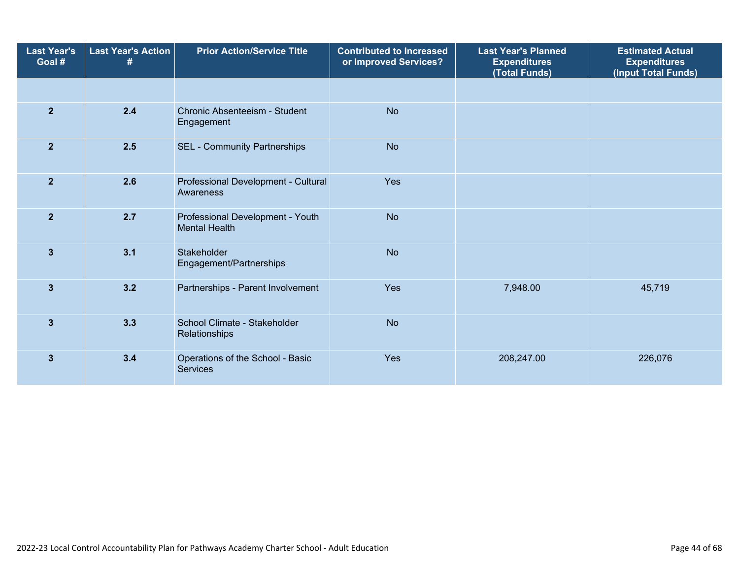| <b>Last Year's</b><br>Goal # | <b>Last Year's Action</b><br># | <b>Prior Action/Service Title</b>                        | <b>Contributed to Increased</b><br>or Improved Services? | <b>Last Year's Planned</b><br><b>Expenditures</b><br>(Total Funds) | <b>Estimated Actual</b><br><b>Expenditures</b><br>(Input Total Funds) |
|------------------------------|--------------------------------|----------------------------------------------------------|----------------------------------------------------------|--------------------------------------------------------------------|-----------------------------------------------------------------------|
|                              |                                |                                                          |                                                          |                                                                    |                                                                       |
| $\overline{2}$               | 2.4                            | Chronic Absenteeism - Student<br>Engagement              | <b>No</b>                                                |                                                                    |                                                                       |
| $\overline{2}$               | 2.5                            | <b>SEL - Community Partnerships</b>                      | <b>No</b>                                                |                                                                    |                                                                       |
| $\overline{2}$               | 2.6                            | Professional Development - Cultural<br>Awareness         | Yes                                                      |                                                                    |                                                                       |
| $\overline{2}$               | 2.7                            | Professional Development - Youth<br><b>Mental Health</b> | <b>No</b>                                                |                                                                    |                                                                       |
| $\overline{\mathbf{3}}$      | 3.1                            | Stakeholder<br>Engagement/Partnerships                   | <b>No</b>                                                |                                                                    |                                                                       |
| 3                            | 3.2                            | Partnerships - Parent Involvement                        | Yes                                                      | 7,948.00                                                           | 45,719                                                                |
| $\overline{\mathbf{3}}$      | 3.3                            | School Climate - Stakeholder<br>Relationships            | <b>No</b>                                                |                                                                    |                                                                       |
| 3                            | 3.4                            | Operations of the School - Basic<br><b>Services</b>      | Yes                                                      | 208,247.00                                                         | 226,076                                                               |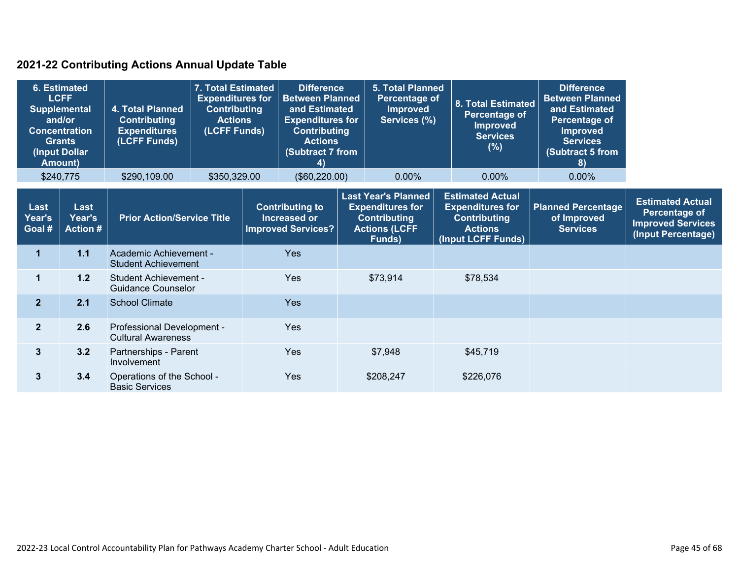### **2021-22 Contributing Actions Annual Update Table**

| 6. Estimated<br><b>LCFF</b><br><b>Supplemental</b><br>and/or<br><b>Concentration</b><br><b>Grants</b><br>(Input Dollar<br><b>Amount)</b> |                                   | 4. Total Planned<br><b>Contributing</b><br><b>Expenditures</b><br>(LCFF Funds) | 7. Total Estimated<br><b>Expenditures for</b><br><b>Contributing</b><br><b>Actions</b><br>(LCFF Funds) |                                                                     | <b>Difference</b><br><b>Between Planned</b><br>and Estimated<br><b>Expenditures for</b><br><b>Contributing</b><br><b>Actions</b><br>(Subtract 7 from<br>4) |  | <b>5. Total Planned</b><br>Percentage of<br><b>Improved</b><br>Services (%)                                    |  | 8. Total Estimated<br><b>Percentage of</b><br><b>Improved</b><br><b>Services</b><br>$(\%)$                        | <b>Difference</b><br><b>Between Planned</b><br>and Estimated<br>Percentage of<br><b>Improved</b><br><b>Services</b><br>(Subtract 5 from<br>8) |                                                                                            |
|------------------------------------------------------------------------------------------------------------------------------------------|-----------------------------------|--------------------------------------------------------------------------------|--------------------------------------------------------------------------------------------------------|---------------------------------------------------------------------|------------------------------------------------------------------------------------------------------------------------------------------------------------|--|----------------------------------------------------------------------------------------------------------------|--|-------------------------------------------------------------------------------------------------------------------|-----------------------------------------------------------------------------------------------------------------------------------------------|--------------------------------------------------------------------------------------------|
| \$240,775                                                                                                                                |                                   | \$290,109.00                                                                   | \$350,329.00                                                                                           |                                                                     | (\$60,220.00)                                                                                                                                              |  | $0.00\%$                                                                                                       |  | $0.00\%$                                                                                                          | $0.00\%$                                                                                                                                      |                                                                                            |
| Last<br>Year's<br>Goal #                                                                                                                 | Last<br>Year's<br><b>Action #</b> | <b>Prior Action/Service Title</b>                                              |                                                                                                        | <b>Contributing to</b><br>Increased or<br><b>Improved Services?</b> |                                                                                                                                                            |  | <b>Last Year's Planned</b><br><b>Expenditures for</b><br><b>Contributing</b><br><b>Actions (LCFF</b><br>Funds) |  | <b>Estimated Actual</b><br><b>Expenditures for</b><br><b>Contributing</b><br><b>Actions</b><br>(Input LCFF Funds) | <b>Planned Percentage</b><br>of Improved<br><b>Services</b>                                                                                   | <b>Estimated Actual</b><br>Percentage of<br><b>Improved Services</b><br>(Input Percentage) |
| 1                                                                                                                                        | 1.1                               |                                                                                | Academic Achievement -<br><b>Student Achievement</b>                                                   |                                                                     | Yes                                                                                                                                                        |  |                                                                                                                |  |                                                                                                                   |                                                                                                                                               |                                                                                            |
| 1                                                                                                                                        | 1.2                               | <b>Student Achievement -</b><br>Guidance Counselor                             |                                                                                                        | <b>Yes</b>                                                          |                                                                                                                                                            |  | \$73,914                                                                                                       |  | \$78,534                                                                                                          |                                                                                                                                               |                                                                                            |
| 2 <sup>1</sup>                                                                                                                           | 2.1                               | <b>School Climate</b>                                                          |                                                                                                        |                                                                     | <b>Yes</b>                                                                                                                                                 |  |                                                                                                                |  |                                                                                                                   |                                                                                                                                               |                                                                                            |
| 2 <sup>1</sup>                                                                                                                           | 2.6                               | Professional Development -<br><b>Cultural Awareness</b>                        |                                                                                                        |                                                                     | Yes                                                                                                                                                        |  |                                                                                                                |  |                                                                                                                   |                                                                                                                                               |                                                                                            |
| $\overline{\mathbf{3}}$                                                                                                                  | 3.2                               | Partnerships - Parent<br>Involvement                                           |                                                                                                        |                                                                     | Yes                                                                                                                                                        |  | \$7,948                                                                                                        |  | \$45,719                                                                                                          |                                                                                                                                               |                                                                                            |
| 3                                                                                                                                        | 3.4                               | Operations of the School -<br><b>Basic Services</b>                            |                                                                                                        |                                                                     | <b>Yes</b>                                                                                                                                                 |  | \$208,247                                                                                                      |  | \$226,076                                                                                                         |                                                                                                                                               |                                                                                            |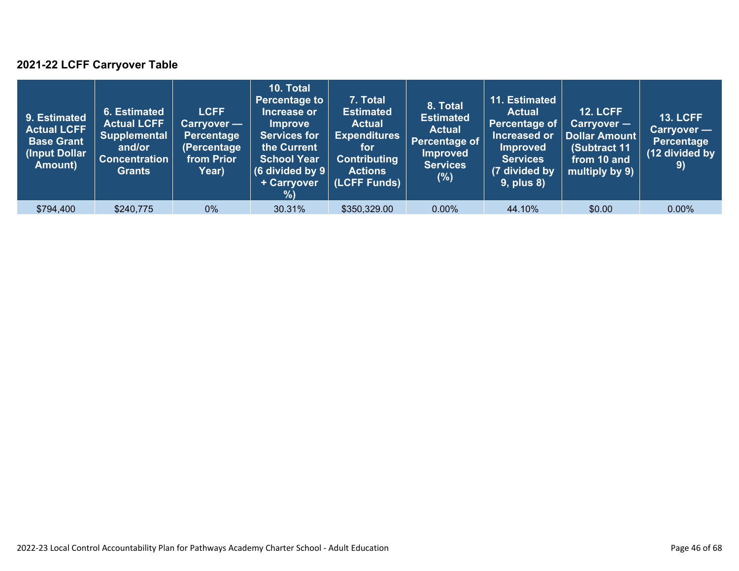### **2021-22 LCFF Carryover Table**

| 9. Estimated<br><b>Actual LCFF</b><br><b>Base Grant</b><br>(Input Dollar<br>Amount) | 6. Estimated<br><b>Actual LCFF</b><br><b>Supplemental</b><br>and/or<br><b>Concentration</b><br><b>Grants</b> | <b>LCFF</b><br>Carryover —<br>Percentage<br>(Percentage<br>from Prior<br>Year) | 10. Total<br><b>Percentage to</b><br>Increase or<br><b>Improve</b><br><b>Services for</b><br>the Current<br><b>School Year</b><br>(6 divided by $9$ $ $<br>+ Carryover<br>% | 7. Total<br><b>Estimated</b><br><b>Actual</b><br><b>Expenditures</b><br>for<br><b>Contributing</b><br><b>Actions</b><br>(LCFF Funds) | 8. Total<br><b>Estimated</b><br><b>Actual</b><br>Percentage of<br><b>Improved</b><br><b>Services</b><br>$(\%)$ | 11. Estimated<br><b>Actual</b><br>Percentage of<br>Increased or<br><b>Improved</b><br><b>Services</b><br>(7 divided by<br><b>9, plus 8)</b> | <b>12. LCFF</b><br>Carryover -<br>Dollar Amount<br>(Subtract 11<br>from 10 and<br>multiply by 9) | <b>13. LCFF</b><br>Carryover -<br><b>Percentage</b><br>(12 divided by<br>9) |
|-------------------------------------------------------------------------------------|--------------------------------------------------------------------------------------------------------------|--------------------------------------------------------------------------------|-----------------------------------------------------------------------------------------------------------------------------------------------------------------------------|--------------------------------------------------------------------------------------------------------------------------------------|----------------------------------------------------------------------------------------------------------------|---------------------------------------------------------------------------------------------------------------------------------------------|--------------------------------------------------------------------------------------------------|-----------------------------------------------------------------------------|
| \$794,400                                                                           | \$240,775                                                                                                    | $0\%$                                                                          | 30.31%                                                                                                                                                                      | \$350,329.00                                                                                                                         | $0.00\%$                                                                                                       | 44.10%                                                                                                                                      | \$0.00                                                                                           | $0.00\%$                                                                    |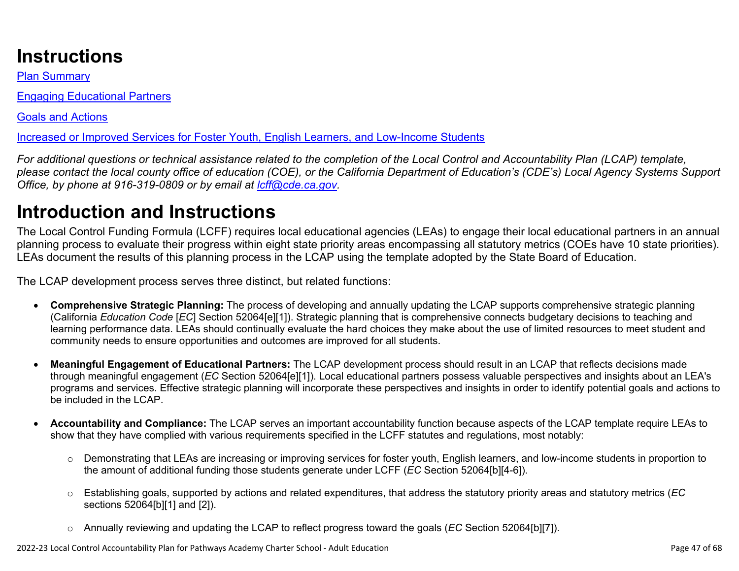# **Instructions**

Plan Summary

Engaging Educational Partners

Goals and Actions

Increased or Improved Services for Foster Youth, English Learners, and Low-Income Students

*For additional questions or technical assistance related to the completion of the Local Control and Accountability Plan (LCAP) template, please contact the local county office of education (COE), or the California Department of Education's (CDE's) Local Agency Systems Support Office, by phone at 916-319-0809 or by email at [lcff@cde.ca.gov](mailto:lcff@cde.ca.gov).*

# **Introduction and Instructions**

The Local Control Funding Formula (LCFF) requires local educational agencies (LEAs) to engage their local educational partners in an annual planning process to evaluate their progress within eight state priority areas encompassing all statutory metrics (COEs have 10 state priorities). LEAs document the results of this planning process in the LCAP using the template adopted by the State Board of Education.

The LCAP development process serves three distinct, but related functions:

- **Comprehensive Strategic Planning:** The process of developing and annually updating the LCAP supports comprehensive strategic planning (California *Education Code* [*EC*] Section 52064[e][1]). Strategic planning that is comprehensive connects budgetary decisions to teaching and learning performance data. LEAs should continually evaluate the hard choices they make about the use of limited resources to meet student and community needs to ensure opportunities and outcomes are improved for all students.
- **Meaningful Engagement of Educational Partners:** The LCAP development process should result in an LCAP that reflects decisions made through meaningful engagement (*EC* Section 52064[e][1]). Local educational partners possess valuable perspectives and insights about an LEA's programs and services. Effective strategic planning will incorporate these perspectives and insights in order to identify potential goals and actions to be included in the LCAP.
- **Accountability and Compliance:** The LCAP serves an important accountability function because aspects of the LCAP template require LEAs to show that they have complied with various requirements specified in the LCFF statutes and regulations, most notably:
	- o Demonstrating that LEAs are increasing or improving services for foster youth, English learners, and low-income students in proportion to the amount of additional funding those students generate under LCFF (*EC* Section 52064[b][4-6]).
	- o Establishing goals, supported by actions and related expenditures, that address the statutory priority areas and statutory metrics (*EC* sections 52064[b][1] and [2]).
	- o Annually reviewing and updating the LCAP to reflect progress toward the goals (*EC* Section 52064[b][7]).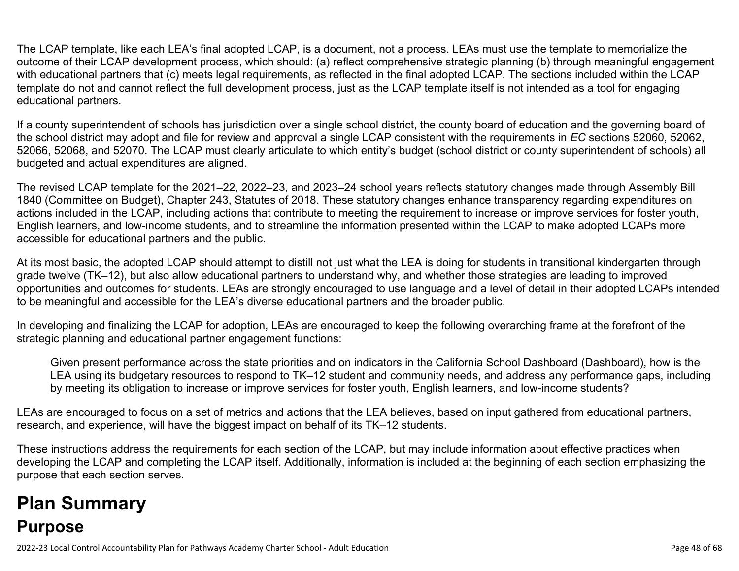The LCAP template, like each LEA's final adopted LCAP, is a document, not a process. LEAs must use the template to memorialize the outcome of their LCAP development process, which should: (a) reflect comprehensive strategic planning (b) through meaningful engagement with educational partners that (c) meets legal requirements, as reflected in the final adopted LCAP. The sections included within the LCAP template do not and cannot reflect the full development process, just as the LCAP template itself is not intended as a tool for engaging educational partners.

If a county superintendent of schools has jurisdiction over a single school district, the county board of education and the governing board of the school district may adopt and file for review and approval a single LCAP consistent with the requirements in *EC* sections 52060, 52062, 52066, 52068, and 52070. The LCAP must clearly articulate to which entity's budget (school district or county superintendent of schools) all budgeted and actual expenditures are aligned.

The revised LCAP template for the 2021–22, 2022–23, and 2023–24 school years reflects statutory changes made through Assembly Bill 1840 (Committee on Budget), Chapter 243, Statutes of 2018. These statutory changes enhance transparency regarding expenditures on actions included in the LCAP, including actions that contribute to meeting the requirement to increase or improve services for foster youth, English learners, and low-income students, and to streamline the information presented within the LCAP to make adopted LCAPs more accessible for educational partners and the public.

At its most basic, the adopted LCAP should attempt to distill not just what the LEA is doing for students in transitional kindergarten through grade twelve (TK–12), but also allow educational partners to understand why, and whether those strategies are leading to improved opportunities and outcomes for students. LEAs are strongly encouraged to use language and a level of detail in their adopted LCAPs intended to be meaningful and accessible for the LEA's diverse educational partners and the broader public.

In developing and finalizing the LCAP for adoption, LEAs are encouraged to keep the following overarching frame at the forefront of the strategic planning and educational partner engagement functions:

Given present performance across the state priorities and on indicators in the California School Dashboard (Dashboard), how is the LEA using its budgetary resources to respond to TK–12 student and community needs, and address any performance gaps, including by meeting its obligation to increase or improve services for foster youth, English learners, and low-income students?

LEAs are encouraged to focus on a set of metrics and actions that the LEA believes, based on input gathered from educational partners, research, and experience, will have the biggest impact on behalf of its TK–12 students.

These instructions address the requirements for each section of the LCAP, but may include information about effective practices when developing the LCAP and completing the LCAP itself. Additionally, information is included at the beginning of each section emphasizing the purpose that each section serves.

# **Plan Summary Purpose**

2022-23 Local Control Accountability Plan for Pathways Academy Charter School - Adult Education Page 48 of 68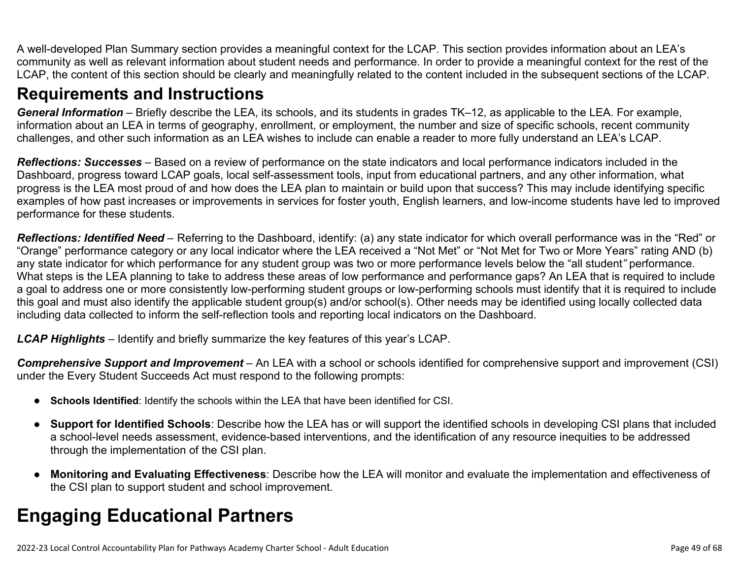A well-developed Plan Summary section provides a meaningful context for the LCAP. This section provides information about an LEA's community as well as relevant information about student needs and performance. In order to provide a meaningful context for the rest of the LCAP, the content of this section should be clearly and meaningfully related to the content included in the subsequent sections of the LCAP.

## **Requirements and Instructions**

*General Information* – Briefly describe the LEA, its schools, and its students in grades TK–12, as applicable to the LEA. For example, information about an LEA in terms of geography, enrollment, or employment, the number and size of specific schools, recent community challenges, and other such information as an LEA wishes to include can enable a reader to more fully understand an LEA's LCAP.

*Reflections: Successes* – Based on a review of performance on the state indicators and local performance indicators included in the Dashboard, progress toward LCAP goals, local self-assessment tools, input from educational partners, and any other information, what progress is the LEA most proud of and how does the LEA plan to maintain or build upon that success? This may include identifying specific examples of how past increases or improvements in services for foster youth, English learners, and low-income students have led to improved performance for these students.

*Reflections: Identified Need* – Referring to the Dashboard, identify: (a) any state indicator for which overall performance was in the "Red" or "Orange" performance category or any local indicator where the LEA received a "Not Met" or "Not Met for Two or More Years" rating AND (b) any state indicator for which performance for any student group was two or more performance levels below the "all student*"* performance. What steps is the LEA planning to take to address these areas of low performance and performance gaps? An LEA that is required to include a goal to address one or more consistently low-performing student groups or low-performing schools must identify that it is required to include this goal and must also identify the applicable student group(s) and/or school(s). Other needs may be identified using locally collected data including data collected to inform the self-reflection tools and reporting local indicators on the Dashboard.

*LCAP Highlights* – Identify and briefly summarize the key features of this year's LCAP.

*Comprehensive Support and Improvement* – An LEA with a school or schools identified for comprehensive support and improvement (CSI) under the Every Student Succeeds Act must respond to the following prompts:

- **Schools Identified**: Identify the schools within the LEA that have been identified for CSI.
- **Support for Identified Schools**: Describe how the LEA has or will support the identified schools in developing CSI plans that included a school-level needs assessment, evidence-based interventions, and the identification of any resource inequities to be addressed through the implementation of the CSI plan.
- **Monitoring and Evaluating Effectiveness**: Describe how the LEA will monitor and evaluate the implementation and effectiveness of the CSI plan to support student and school improvement.

# **Engaging Educational Partners**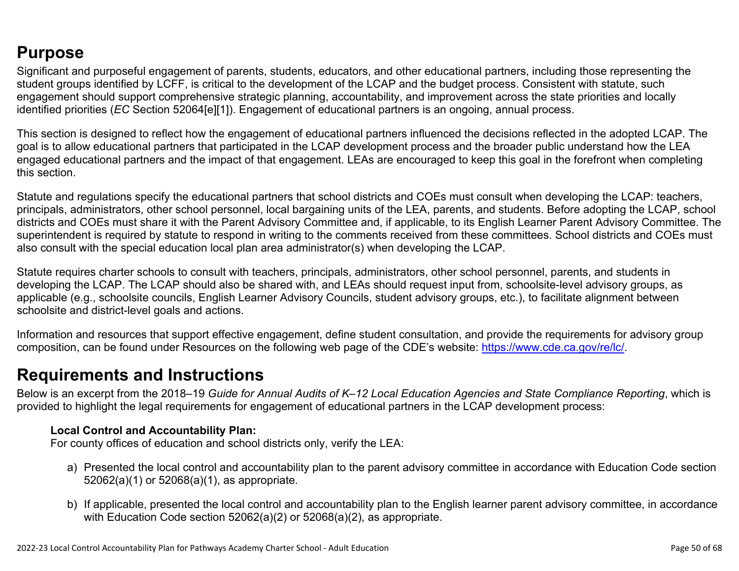## **Purpose**

Significant and purposeful engagement of parents, students, educators, and other educational partners, including those representing the student groups identified by LCFF, is critical to the development of the LCAP and the budget process. Consistent with statute, such engagement should support comprehensive strategic planning, accountability, and improvement across the state priorities and locally identified priorities (*EC* Section 52064[e][1]). Engagement of educational partners is an ongoing, annual process.

This section is designed to reflect how the engagement of educational partners influenced the decisions reflected in the adopted LCAP. The goal is to allow educational partners that participated in the LCAP development process and the broader public understand how the LEA engaged educational partners and the impact of that engagement. LEAs are encouraged to keep this goal in the forefront when completing this section.

Statute and regulations specify the educational partners that school districts and COEs must consult when developing the LCAP: teachers, principals, administrators, other school personnel, local bargaining units of the LEA, parents, and students. Before adopting the LCAP, school districts and COEs must share it with the Parent Advisory Committee and, if applicable, to its English Learner Parent Advisory Committee. The superintendent is required by statute to respond in writing to the comments received from these committees. School districts and COEs must also consult with the special education local plan area administrator(s) when developing the LCAP.

Statute requires charter schools to consult with teachers, principals, administrators, other school personnel, parents, and students in developing the LCAP. The LCAP should also be shared with, and LEAs should request input from, schoolsite-level advisory groups, as applicable (e.g., schoolsite councils, English Learner Advisory Councils, student advisory groups, etc.), to facilitate alignment between schoolsite and district-level goals and actions.

Information and resources that support effective engagement, define student consultation, and provide the requirements for advisory group composition, can be found under Resources on the following web page of the CDE's website: <https://www.cde.ca.gov/re/lc/>.

## **Requirements and Instructions**

Below is an excerpt from the 2018–19 *Guide for Annual Audits of K–12 Local Education Agencies and State Compliance Reporting*, which is provided to highlight the legal requirements for engagement of educational partners in the LCAP development process:

### **Local Control and Accountability Plan:**

For county offices of education and school districts only, verify the LEA:

- a) Presented the local control and accountability plan to the parent advisory committee in accordance with Education Code section 52062(a)(1) or 52068(a)(1), as appropriate.
- b) If applicable, presented the local control and accountability plan to the English learner parent advisory committee, in accordance with Education Code section 52062(a)(2) or 52068(a)(2), as appropriate.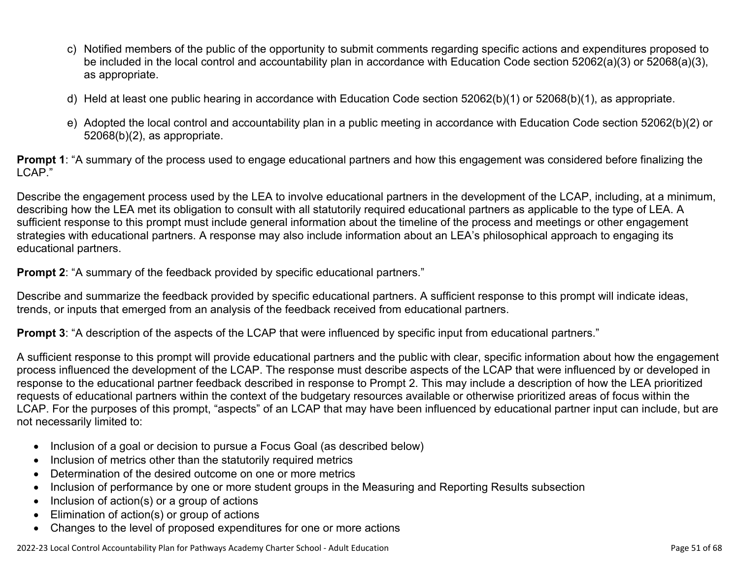- c) Notified members of the public of the opportunity to submit comments regarding specific actions and expenditures proposed to be included in the local control and accountability plan in accordance with Education Code section 52062(a)(3) or 52068(a)(3), as appropriate.
- d) Held at least one public hearing in accordance with Education Code section 52062(b)(1) or 52068(b)(1), as appropriate.
- e) Adopted the local control and accountability plan in a public meeting in accordance with Education Code section 52062(b)(2) or 52068(b)(2), as appropriate.

**Prompt 1**: "A summary of the process used to engage educational partners and how this engagement was considered before finalizing the LCAP."

Describe the engagement process used by the LEA to involve educational partners in the development of the LCAP, including, at a minimum, describing how the LEA met its obligation to consult with all statutorily required educational partners as applicable to the type of LEA. A sufficient response to this prompt must include general information about the timeline of the process and meetings or other engagement strategies with educational partners. A response may also include information about an LEA's philosophical approach to engaging its educational partners.

**Prompt 2:** "A summary of the feedback provided by specific educational partners."

Describe and summarize the feedback provided by specific educational partners. A sufficient response to this prompt will indicate ideas, trends, or inputs that emerged from an analysis of the feedback received from educational partners.

**Prompt 3**: "A description of the aspects of the LCAP that were influenced by specific input from educational partners."

A sufficient response to this prompt will provide educational partners and the public with clear, specific information about how the engagement process influenced the development of the LCAP. The response must describe aspects of the LCAP that were influenced by or developed in response to the educational partner feedback described in response to Prompt 2. This may include a description of how the LEA prioritized requests of educational partners within the context of the budgetary resources available or otherwise prioritized areas of focus within the LCAP. For the purposes of this prompt, "aspects" of an LCAP that may have been influenced by educational partner input can include, but are not necessarily limited to:

- Inclusion of a goal or decision to pursue a Focus Goal (as described below)
- Inclusion of metrics other than the statutorily required metrics
- Determination of the desired outcome on one or more metrics
- Inclusion of performance by one or more student groups in the Measuring and Reporting Results subsection
- Inclusion of action(s) or a group of actions
- Elimination of action(s) or group of actions
- Changes to the level of proposed expenditures for one or more actions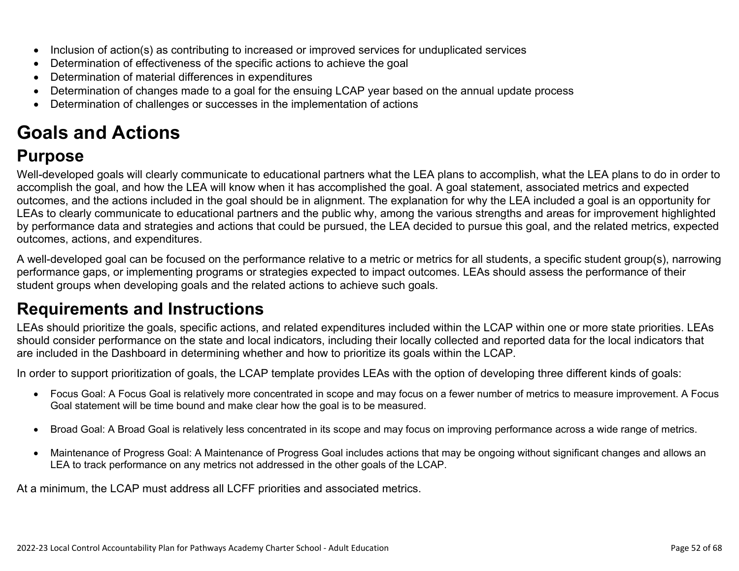- Inclusion of action(s) as contributing to increased or improved services for unduplicated services
- Determination of effectiveness of the specific actions to achieve the goal
- Determination of material differences in expenditures
- Determination of changes made to a goal for the ensuing LCAP year based on the annual update process
- Determination of challenges or successes in the implementation of actions

# **Goals and Actions**

## **Purpose**

Well-developed goals will clearly communicate to educational partners what the LEA plans to accomplish, what the LEA plans to do in order to accomplish the goal, and how the LEA will know when it has accomplished the goal. A goal statement, associated metrics and expected outcomes, and the actions included in the goal should be in alignment. The explanation for why the LEA included a goal is an opportunity for LEAs to clearly communicate to educational partners and the public why, among the various strengths and areas for improvement highlighted by performance data and strategies and actions that could be pursued, the LEA decided to pursue this goal, and the related metrics, expected outcomes, actions, and expenditures.

A well-developed goal can be focused on the performance relative to a metric or metrics for all students, a specific student group(s), narrowing performance gaps, or implementing programs or strategies expected to impact outcomes. LEAs should assess the performance of their student groups when developing goals and the related actions to achieve such goals.

## **Requirements and Instructions**

LEAs should prioritize the goals, specific actions, and related expenditures included within the LCAP within one or more state priorities. LEAs should consider performance on the state and local indicators, including their locally collected and reported data for the local indicators that are included in the Dashboard in determining whether and how to prioritize its goals within the LCAP.

In order to support prioritization of goals, the LCAP template provides LEAs with the option of developing three different kinds of goals:

- Focus Goal: A Focus Goal is relatively more concentrated in scope and may focus on a fewer number of metrics to measure improvement. A Focus Goal statement will be time bound and make clear how the goal is to be measured.
- Broad Goal: A Broad Goal is relatively less concentrated in its scope and may focus on improving performance across a wide range of metrics.
- Maintenance of Progress Goal: A Maintenance of Progress Goal includes actions that may be ongoing without significant changes and allows an LEA to track performance on any metrics not addressed in the other goals of the LCAP.

At a minimum, the LCAP must address all LCFF priorities and associated metrics.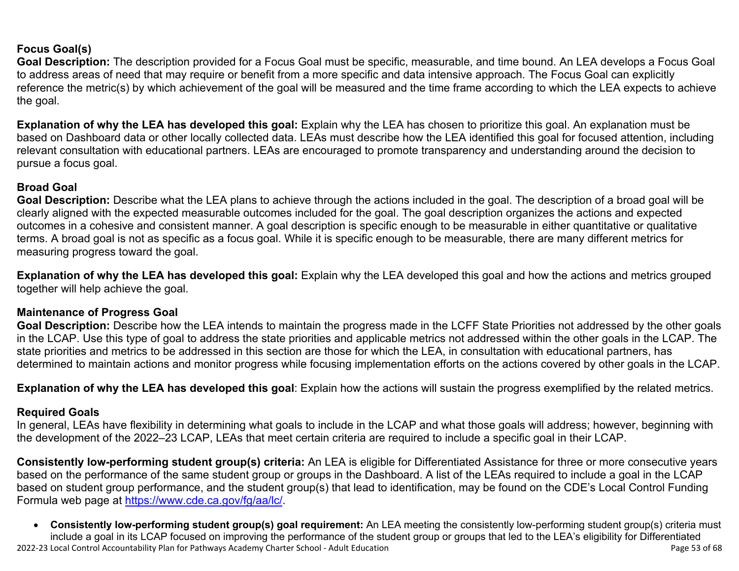### **Focus Goal(s)**

**Goal Description:** The description provided for a Focus Goal must be specific, measurable, and time bound. An LEA develops a Focus Goal to address areas of need that may require or benefit from a more specific and data intensive approach. The Focus Goal can explicitly reference the metric(s) by which achievement of the goal will be measured and the time frame according to which the LEA expects to achieve the goal.

**Explanation of why the LEA has developed this goal:** Explain why the LEA has chosen to prioritize this goal. An explanation must be based on Dashboard data or other locally collected data. LEAs must describe how the LEA identified this goal for focused attention, including relevant consultation with educational partners. LEAs are encouraged to promote transparency and understanding around the decision to pursue a focus goal.

### **Broad Goal**

Goal Description: Describe what the LEA plans to achieve through the actions included in the goal. The description of a broad goal will be clearly aligned with the expected measurable outcomes included for the goal. The goal description organizes the actions and expected outcomes in a cohesive and consistent manner. A goal description is specific enough to be measurable in either quantitative or qualitative terms. A broad goal is not as specific as a focus goal. While it is specific enough to be measurable, there are many different metrics for measuring progress toward the goal.

**Explanation of why the LEA has developed this goal:** Explain why the LEA developed this goal and how the actions and metrics grouped together will help achieve the goal.

### **Maintenance of Progress Goal**

**Goal Description:** Describe how the LEA intends to maintain the progress made in the LCFF State Priorities not addressed by the other goals in the LCAP. Use this type of goal to address the state priorities and applicable metrics not addressed within the other goals in the LCAP. The state priorities and metrics to be addressed in this section are those for which the LEA, in consultation with educational partners, has determined to maintain actions and monitor progress while focusing implementation efforts on the actions covered by other goals in the LCAP.

**Explanation of why the LEA has developed this goal**: Explain how the actions will sustain the progress exemplified by the related metrics.

#### **Required Goals**

In general, LEAs have flexibility in determining what goals to include in the LCAP and what those goals will address; however, beginning with the development of the 2022–23 LCAP, LEAs that meet certain criteria are required to include a specific goal in their LCAP.

**Consistently low-performing student group(s) criteria:** An LEA is eligible for Differentiated Assistance for three or more consecutive years based on the performance of the same student group or groups in the Dashboard. A list of the LEAs required to include a goal in the LCAP based on student group performance, and the student group(s) that lead to identification, may be found on the CDE's Local Control Funding Formula web page at [https://www.cde.ca.gov/fg/aa/lc/.](https://www.cde.ca.gov/fg/aa/lc/)

2022-23 Local Control Accountability Plan for Pathways Academy Charter School - Adult Education Page 53 of 68 • **Consistently low-performing student group(s) goal requirement:** An LEA meeting the consistently low-performing student group(s) criteria must include a goal in its LCAP focused on improving the performance of the student group or groups that led to the LEA's eligibility for Differentiated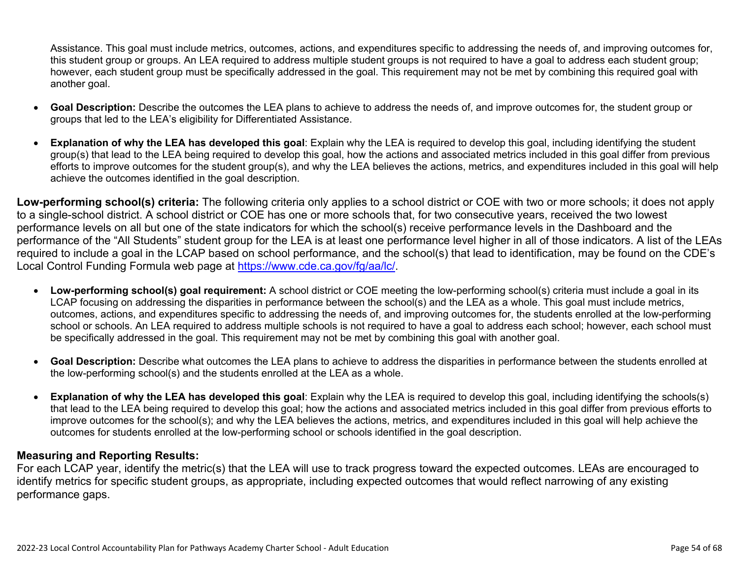Assistance. This goal must include metrics, outcomes, actions, and expenditures specific to addressing the needs of, and improving outcomes for, this student group or groups. An LEA required to address multiple student groups is not required to have a goal to address each student group; however, each student group must be specifically addressed in the goal. This requirement may not be met by combining this required goal with another goal.

- **Goal Description:** Describe the outcomes the LEA plans to achieve to address the needs of, and improve outcomes for, the student group or groups that led to the LEA's eligibility for Differentiated Assistance.
- **Explanation of why the LEA has developed this goal**: Explain why the LEA is required to develop this goal, including identifying the student group(s) that lead to the LEA being required to develop this goal, how the actions and associated metrics included in this goal differ from previous efforts to improve outcomes for the student group(s), and why the LEA believes the actions, metrics, and expenditures included in this goal will help achieve the outcomes identified in the goal description.

**Low-performing school(s) criteria:** The following criteria only applies to a school district or COE with two or more schools; it does not apply to a single-school district. A school district or COE has one or more schools that, for two consecutive years, received the two lowest performance levels on all but one of the state indicators for which the school(s) receive performance levels in the Dashboard and the performance of the "All Students" student group for the LEA is at least one performance level higher in all of those indicators. A list of the LEAs required to include a goal in the LCAP based on school performance, and the school(s) that lead to identification, may be found on the CDE's Local Control Funding Formula web page at [https://www.cde.ca.gov/fg/aa/lc/.](https://www.cde.ca.gov/fg/aa/lc/)

- **Low-performing school(s) goal requirement:** A school district or COE meeting the low-performing school(s) criteria must include a goal in its LCAP focusing on addressing the disparities in performance between the school(s) and the LEA as a whole. This goal must include metrics, outcomes, actions, and expenditures specific to addressing the needs of, and improving outcomes for, the students enrolled at the low-performing school or schools. An LEA required to address multiple schools is not required to have a goal to address each school; however, each school must be specifically addressed in the goal. This requirement may not be met by combining this goal with another goal.
- **Goal Description:** Describe what outcomes the LEA plans to achieve to address the disparities in performance between the students enrolled at the low-performing school(s) and the students enrolled at the LEA as a whole.
- **Explanation of why the LEA has developed this goal**: Explain why the LEA is required to develop this goal, including identifying the schools(s) that lead to the LEA being required to develop this goal; how the actions and associated metrics included in this goal differ from previous efforts to improve outcomes for the school(s); and why the LEA believes the actions, metrics, and expenditures included in this goal will help achieve the outcomes for students enrolled at the low-performing school or schools identified in the goal description.

#### **Measuring and Reporting Results:**

For each LCAP year, identify the metric(s) that the LEA will use to track progress toward the expected outcomes. LEAs are encouraged to identify metrics for specific student groups, as appropriate, including expected outcomes that would reflect narrowing of any existing performance gaps.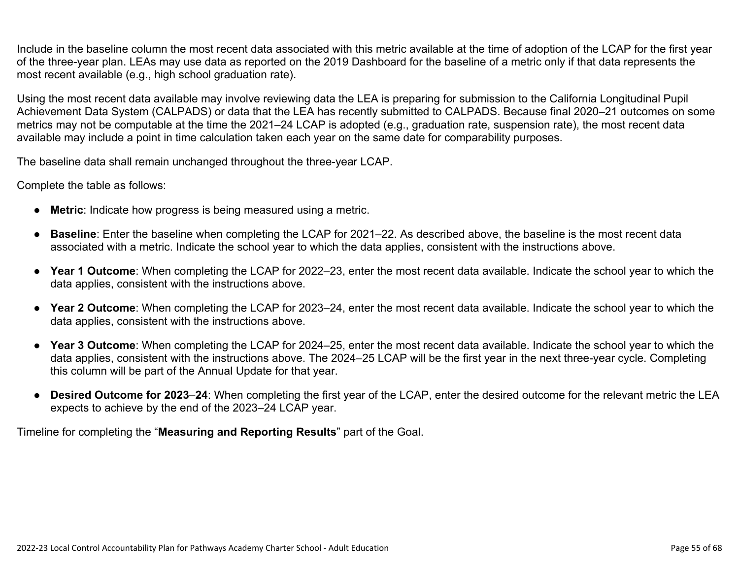Include in the baseline column the most recent data associated with this metric available at the time of adoption of the LCAP for the first year of the three-year plan. LEAs may use data as reported on the 2019 Dashboard for the baseline of a metric only if that data represents the most recent available (e.g., high school graduation rate).

Using the most recent data available may involve reviewing data the LEA is preparing for submission to the California Longitudinal Pupil Achievement Data System (CALPADS) or data that the LEA has recently submitted to CALPADS. Because final 2020–21 outcomes on some metrics may not be computable at the time the 2021–24 LCAP is adopted (e.g., graduation rate, suspension rate), the most recent data available may include a point in time calculation taken each year on the same date for comparability purposes.

The baseline data shall remain unchanged throughout the three-year LCAP.

Complete the table as follows:

- **Metric**: Indicate how progress is being measured using a metric.
- **Baseline**: Enter the baseline when completing the LCAP for 2021–22. As described above, the baseline is the most recent data associated with a metric. Indicate the school year to which the data applies, consistent with the instructions above.
- **Year 1 Outcome**: When completing the LCAP for 2022–23, enter the most recent data available. Indicate the school year to which the data applies, consistent with the instructions above.
- **Year 2 Outcome**: When completing the LCAP for 2023–24, enter the most recent data available. Indicate the school year to which the data applies, consistent with the instructions above.
- **Year 3 Outcome**: When completing the LCAP for 2024–25, enter the most recent data available. Indicate the school year to which the data applies, consistent with the instructions above. The 2024–25 LCAP will be the first year in the next three-year cycle. Completing this column will be part of the Annual Update for that year.
- **Desired Outcome for 2023**–**24**: When completing the first year of the LCAP, enter the desired outcome for the relevant metric the LEA expects to achieve by the end of the 2023–24 LCAP year.

Timeline for completing the "**Measuring and Reporting Results**" part of the Goal.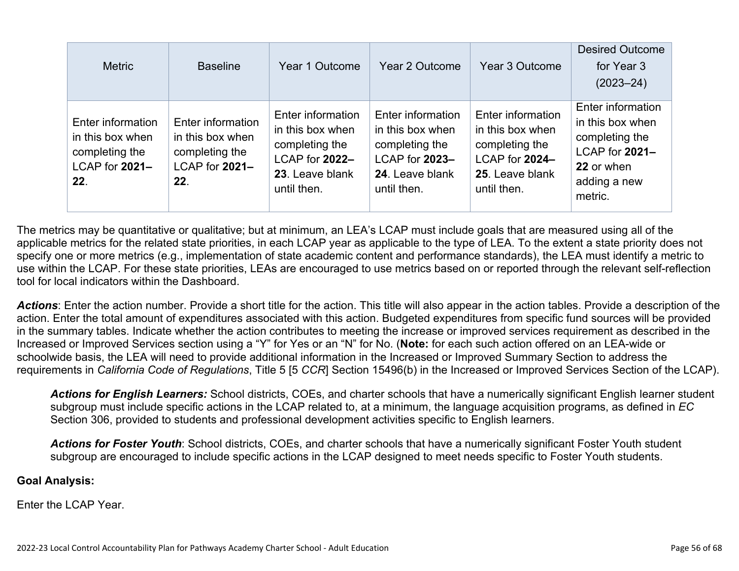| <b>Metric</b>                                                                    | <b>Baseline</b>                                                                  | Year 1 Outcome                                                                                              | Year 2 Outcome                                                                                              | Year 3 Outcome                                                                                              | <b>Desired Outcome</b><br>for Year 3<br>$(2023 - 24)$                                                              |
|----------------------------------------------------------------------------------|----------------------------------------------------------------------------------|-------------------------------------------------------------------------------------------------------------|-------------------------------------------------------------------------------------------------------------|-------------------------------------------------------------------------------------------------------------|--------------------------------------------------------------------------------------------------------------------|
| Enter information<br>in this box when<br>completing the<br>LCAP for 2021-<br>22. | Enter information<br>in this box when<br>completing the<br>LCAP for 2021-<br>22. | Enter information<br>in this box when<br>completing the<br>LCAP for 2022-<br>23. Leave blank<br>until then. | Enter information<br>in this box when<br>completing the<br>LCAP for 2023-<br>24. Leave blank<br>until then. | Enter information<br>in this box when<br>completing the<br>LCAP for 2024-<br>25. Leave blank<br>until then. | Enter information<br>in this box when<br>completing the<br>LCAP for 2021-<br>22 or when<br>adding a new<br>metric. |

The metrics may be quantitative or qualitative; but at minimum, an LEA's LCAP must include goals that are measured using all of the applicable metrics for the related state priorities, in each LCAP year as applicable to the type of LEA. To the extent a state priority does not specify one or more metrics (e.g., implementation of state academic content and performance standards), the LEA must identify a metric to use within the LCAP. For these state priorities, LEAs are encouraged to use metrics based on or reported through the relevant self-reflection tool for local indicators within the Dashboard.

*Actions*: Enter the action number. Provide a short title for the action. This title will also appear in the action tables. Provide a description of the action. Enter the total amount of expenditures associated with this action. Budgeted expenditures from specific fund sources will be provided in the summary tables. Indicate whether the action contributes to meeting the increase or improved services requirement as described in the Increased or Improved Services section using a "Y" for Yes or an "N" for No. (**Note:** for each such action offered on an LEA-wide or schoolwide basis, the LEA will need to provide additional information in the Increased or Improved Summary Section to address the requirements in *California Code of Regulations*, Title 5 [5 *CCR*] Section 15496(b) in the Increased or Improved Services Section of the LCAP).

*Actions for English Learners:* School districts, COEs, and charter schools that have a numerically significant English learner student subgroup must include specific actions in the LCAP related to, at a minimum, the language acquisition programs, as defined in *EC* Section 306, provided to students and professional development activities specific to English learners.

*Actions for Foster Youth*: School districts, COEs, and charter schools that have a numerically significant Foster Youth student subgroup are encouraged to include specific actions in the LCAP designed to meet needs specific to Foster Youth students.

#### **Goal Analysis:**

Enter the LCAP Year.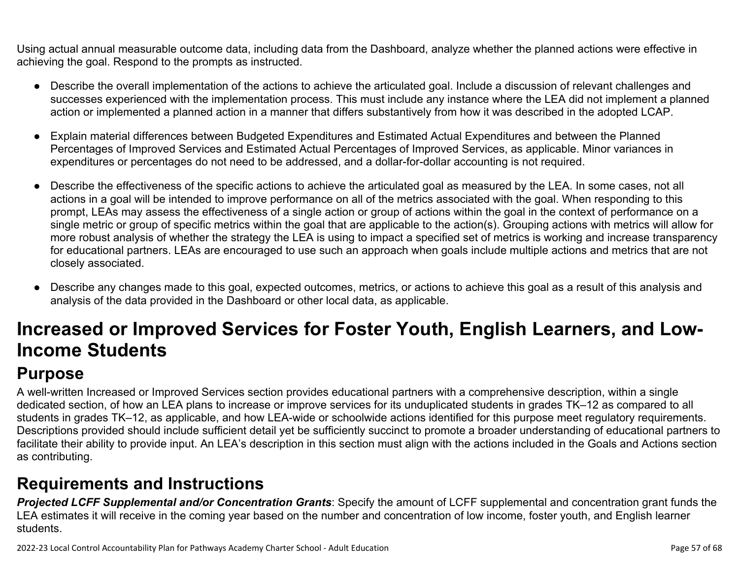Using actual annual measurable outcome data, including data from the Dashboard, analyze whether the planned actions were effective in achieving the goal. Respond to the prompts as instructed.

- Describe the overall implementation of the actions to achieve the articulated goal. Include a discussion of relevant challenges and successes experienced with the implementation process. This must include any instance where the LEA did not implement a planned action or implemented a planned action in a manner that differs substantively from how it was described in the adopted LCAP.
- Explain material differences between Budgeted Expenditures and Estimated Actual Expenditures and between the Planned Percentages of Improved Services and Estimated Actual Percentages of Improved Services, as applicable. Minor variances in expenditures or percentages do not need to be addressed, and a dollar-for-dollar accounting is not required.
- Describe the effectiveness of the specific actions to achieve the articulated goal as measured by the LEA. In some cases, not all actions in a goal will be intended to improve performance on all of the metrics associated with the goal. When responding to this prompt, LEAs may assess the effectiveness of a single action or group of actions within the goal in the context of performance on a single metric or group of specific metrics within the goal that are applicable to the action(s). Grouping actions with metrics will allow for more robust analysis of whether the strategy the LEA is using to impact a specified set of metrics is working and increase transparency for educational partners. LEAs are encouraged to use such an approach when goals include multiple actions and metrics that are not closely associated.
- Describe any changes made to this goal, expected outcomes, metrics, or actions to achieve this goal as a result of this analysis and analysis of the data provided in the Dashboard or other local data, as applicable.

# **Increased or Improved Services for Foster Youth, English Learners, and Low-Income Students**

## **Purpose**

A well-written Increased or Improved Services section provides educational partners with a comprehensive description, within a single dedicated section, of how an LEA plans to increase or improve services for its unduplicated students in grades TK–12 as compared to all students in grades TK–12, as applicable, and how LEA-wide or schoolwide actions identified for this purpose meet regulatory requirements. Descriptions provided should include sufficient detail yet be sufficiently succinct to promote a broader understanding of educational partners to facilitate their ability to provide input. An LEA's description in this section must align with the actions included in the Goals and Actions section as contributing.

## **Requirements and Instructions**

*Projected LCFF Supplemental and/or Concentration Grants*: Specify the amount of LCFF supplemental and concentration grant funds the LEA estimates it will receive in the coming year based on the number and concentration of low income, foster youth, and English learner students.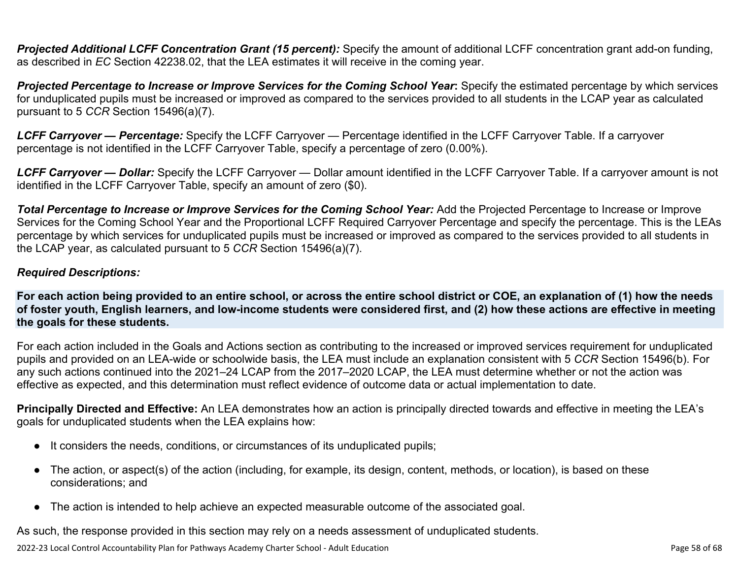**Projected Additional LCFF Concentration Grant (15 percent):** Specify the amount of additional LCFF concentration grant add-on funding, as described in *EC* Section 42238.02, that the LEA estimates it will receive in the coming year.

*Projected Percentage to Increase or Improve Services for the Coming School Year***:** Specify the estimated percentage by which services for unduplicated pupils must be increased or improved as compared to the services provided to all students in the LCAP year as calculated pursuant to 5 *CCR* Section 15496(a)(7).

*LCFF Carryover — Percentage:* Specify the LCFF Carryover — Percentage identified in the LCFF Carryover Table. If a carryover percentage is not identified in the LCFF Carryover Table, specify a percentage of zero (0.00%).

*LCFF Carryover — Dollar:* Specify the LCFF Carryover — Dollar amount identified in the LCFF Carryover Table. If a carryover amount is not identified in the LCFF Carryover Table, specify an amount of zero (\$0).

**Total Percentage to Increase or Improve Services for the Coming School Year:** Add the Projected Percentage to Increase or Improve Services for the Coming School Year and the Proportional LCFF Required Carryover Percentage and specify the percentage. This is the LEAs percentage by which services for unduplicated pupils must be increased or improved as compared to the services provided to all students in the LCAP year, as calculated pursuant to 5 *CCR* Section 15496(a)(7).

#### *Required Descriptions:*

**For each action being provided to an entire school, or across the entire school district or COE, an explanation of (1) how the needs of foster youth, English learners, and low-income students were considered first, and (2) how these actions are effective in meeting the goals for these students.**

For each action included in the Goals and Actions section as contributing to the increased or improved services requirement for unduplicated pupils and provided on an LEA-wide or schoolwide basis, the LEA must include an explanation consistent with 5 *CCR* Section 15496(b). For any such actions continued into the 2021–24 LCAP from the 2017–2020 LCAP, the LEA must determine whether or not the action was effective as expected, and this determination must reflect evidence of outcome data or actual implementation to date.

**Principally Directed and Effective:** An LEA demonstrates how an action is principally directed towards and effective in meeting the LEA's goals for unduplicated students when the LEA explains how:

- It considers the needs, conditions, or circumstances of its unduplicated pupils;
- The action, or aspect(s) of the action (including, for example, its design, content, methods, or location), is based on these considerations; and
- The action is intended to help achieve an expected measurable outcome of the associated goal.

As such, the response provided in this section may rely on a needs assessment of unduplicated students.

2022-23 Local Control Accountability Plan for Pathways Academy Charter School - Adult Education Page 58 of 68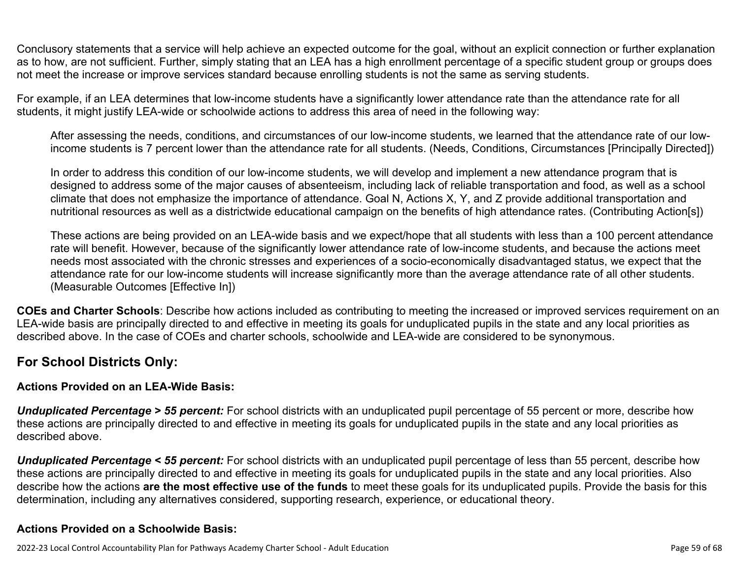Conclusory statements that a service will help achieve an expected outcome for the goal, without an explicit connection or further explanation as to how, are not sufficient. Further, simply stating that an LEA has a high enrollment percentage of a specific student group or groups does not meet the increase or improve services standard because enrolling students is not the same as serving students.

For example, if an LEA determines that low-income students have a significantly lower attendance rate than the attendance rate for all students, it might justify LEA-wide or schoolwide actions to address this area of need in the following way:

After assessing the needs, conditions, and circumstances of our low-income students, we learned that the attendance rate of our lowincome students is 7 percent lower than the attendance rate for all students. (Needs, Conditions, Circumstances [Principally Directed])

In order to address this condition of our low-income students, we will develop and implement a new attendance program that is designed to address some of the major causes of absenteeism, including lack of reliable transportation and food, as well as a school climate that does not emphasize the importance of attendance. Goal N, Actions X, Y, and Z provide additional transportation and nutritional resources as well as a districtwide educational campaign on the benefits of high attendance rates. (Contributing Action[s])

These actions are being provided on an LEA-wide basis and we expect/hope that all students with less than a 100 percent attendance rate will benefit. However, because of the significantly lower attendance rate of low-income students, and because the actions meet needs most associated with the chronic stresses and experiences of a socio-economically disadvantaged status, we expect that the attendance rate for our low-income students will increase significantly more than the average attendance rate of all other students. (Measurable Outcomes [Effective In])

**COEs and Charter Schools**: Describe how actions included as contributing to meeting the increased or improved services requirement on an LEA-wide basis are principally directed to and effective in meeting its goals for unduplicated pupils in the state and any local priorities as described above. In the case of COEs and charter schools, schoolwide and LEA-wide are considered to be synonymous.

### **For School Districts Only:**

### **Actions Provided on an LEA-Wide Basis:**

*Unduplicated Percentage > 55 percent:* For school districts with an unduplicated pupil percentage of 55 percent or more, describe how these actions are principally directed to and effective in meeting its goals for unduplicated pupils in the state and any local priorities as described above.

*Unduplicated Percentage < 55 percent:* For school districts with an unduplicated pupil percentage of less than 55 percent, describe how these actions are principally directed to and effective in meeting its goals for unduplicated pupils in the state and any local priorities. Also describe how the actions **are the most effective use of the funds** to meet these goals for its unduplicated pupils. Provide the basis for this determination, including any alternatives considered, supporting research, experience, or educational theory.

### **Actions Provided on a Schoolwide Basis:**

2022-23 Local Control Accountability Plan for Pathways Academy Charter School - Adult Education Page 59 of 68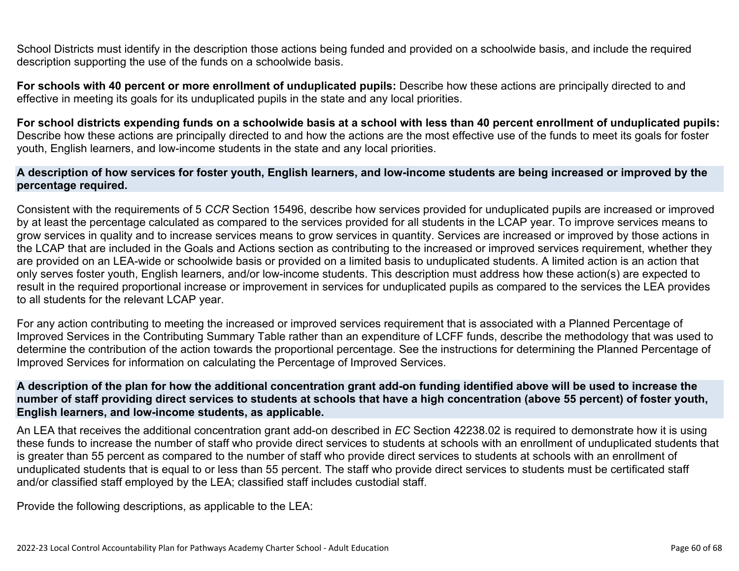School Districts must identify in the description those actions being funded and provided on a schoolwide basis, and include the required description supporting the use of the funds on a schoolwide basis.

**For schools with 40 percent or more enrollment of unduplicated pupils:** Describe how these actions are principally directed to and effective in meeting its goals for its unduplicated pupils in the state and any local priorities.

**For school districts expending funds on a schoolwide basis at a school with less than 40 percent enrollment of unduplicated pupils:** Describe how these actions are principally directed to and how the actions are the most effective use of the funds to meet its goals for foster youth, English learners, and low-income students in the state and any local priorities.

#### **A description of how services for foster youth, English learners, and low-income students are being increased or improved by the percentage required.**

Consistent with the requirements of 5 *CCR* Section 15496, describe how services provided for unduplicated pupils are increased or improved by at least the percentage calculated as compared to the services provided for all students in the LCAP year. To improve services means to grow services in quality and to increase services means to grow services in quantity. Services are increased or improved by those actions in the LCAP that are included in the Goals and Actions section as contributing to the increased or improved services requirement, whether they are provided on an LEA-wide or schoolwide basis or provided on a limited basis to unduplicated students. A limited action is an action that only serves foster youth, English learners, and/or low-income students. This description must address how these action(s) are expected to result in the required proportional increase or improvement in services for unduplicated pupils as compared to the services the LEA provides to all students for the relevant LCAP year.

For any action contributing to meeting the increased or improved services requirement that is associated with a Planned Percentage of Improved Services in the Contributing Summary Table rather than an expenditure of LCFF funds, describe the methodology that was used to determine the contribution of the action towards the proportional percentage. See the instructions for determining the Planned Percentage of Improved Services for information on calculating the Percentage of Improved Services.

#### **A description of the plan for how the additional concentration grant add-on funding identified above will be used to increase the number of staff providing direct services to students at schools that have a high concentration (above 55 percent) of foster youth, English learners, and low-income students, as applicable.**

An LEA that receives the additional concentration grant add-on described in *EC* Section 42238.02 is required to demonstrate how it is using these funds to increase the number of staff who provide direct services to students at schools with an enrollment of unduplicated students that is greater than 55 percent as compared to the number of staff who provide direct services to students at schools with an enrollment of unduplicated students that is equal to or less than 55 percent. The staff who provide direct services to students must be certificated staff and/or classified staff employed by the LEA; classified staff includes custodial staff.

Provide the following descriptions, as applicable to the LEA: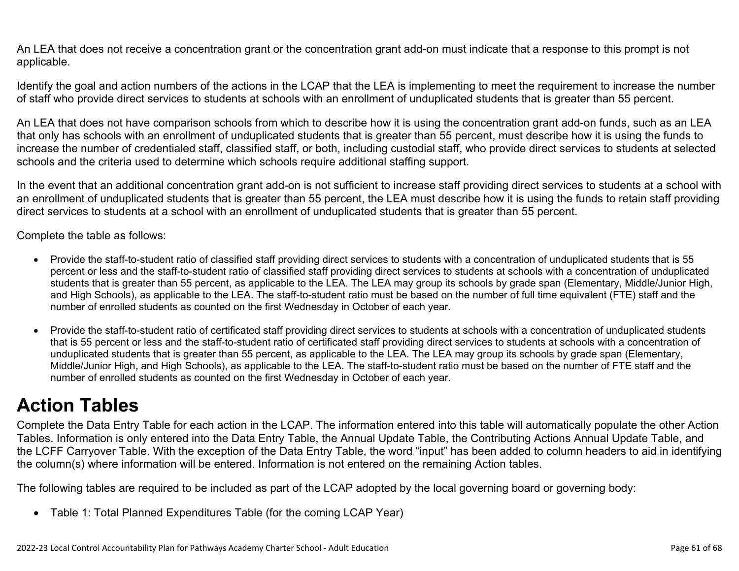An LEA that does not receive a concentration grant or the concentration grant add-on must indicate that a response to this prompt is not applicable.

Identify the goal and action numbers of the actions in the LCAP that the LEA is implementing to meet the requirement to increase the number of staff who provide direct services to students at schools with an enrollment of unduplicated students that is greater than 55 percent.

An LEA that does not have comparison schools from which to describe how it is using the concentration grant add-on funds, such as an LEA that only has schools with an enrollment of unduplicated students that is greater than 55 percent, must describe how it is using the funds to increase the number of credentialed staff, classified staff, or both, including custodial staff, who provide direct services to students at selected schools and the criteria used to determine which schools require additional staffing support.

In the event that an additional concentration grant add-on is not sufficient to increase staff providing direct services to students at a school with an enrollment of unduplicated students that is greater than 55 percent, the LEA must describe how it is using the funds to retain staff providing direct services to students at a school with an enrollment of unduplicated students that is greater than 55 percent.

Complete the table as follows:

- Provide the staff-to-student ratio of classified staff providing direct services to students with a concentration of unduplicated students that is 55 percent or less and the staff-to-student ratio of classified staff providing direct services to students at schools with a concentration of unduplicated students that is greater than 55 percent, as applicable to the LEA. The LEA may group its schools by grade span (Elementary, Middle/Junior High, and High Schools), as applicable to the LEA. The staff-to-student ratio must be based on the number of full time equivalent (FTE) staff and the number of enrolled students as counted on the first Wednesday in October of each year.
- Provide the staff-to-student ratio of certificated staff providing direct services to students at schools with a concentration of unduplicated students that is 55 percent or less and the staff-to-student ratio of certificated staff providing direct services to students at schools with a concentration of unduplicated students that is greater than 55 percent, as applicable to the LEA. The LEA may group its schools by grade span (Elementary, Middle/Junior High, and High Schools), as applicable to the LEA. The staff-to-student ratio must be based on the number of FTE staff and the number of enrolled students as counted on the first Wednesday in October of each year.

# **Action Tables**

Complete the Data Entry Table for each action in the LCAP. The information entered into this table will automatically populate the other Action Tables. Information is only entered into the Data Entry Table, the Annual Update Table, the Contributing Actions Annual Update Table, and the LCFF Carryover Table. With the exception of the Data Entry Table, the word "input" has been added to column headers to aid in identifying the column(s) where information will be entered. Information is not entered on the remaining Action tables.

The following tables are required to be included as part of the LCAP adopted by the local governing board or governing body:

• Table 1: Total Planned Expenditures Table (for the coming LCAP Year)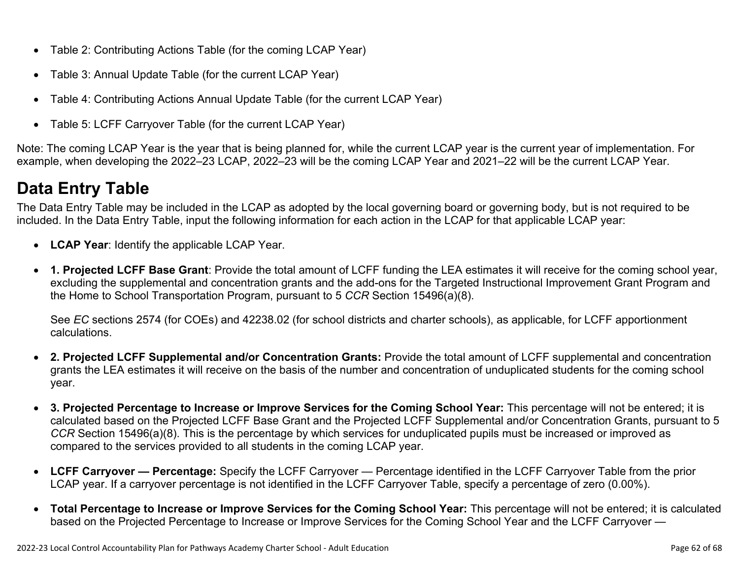- Table 2: Contributing Actions Table (for the coming LCAP Year)
- Table 3: Annual Update Table (for the current LCAP Year)
- Table 4: Contributing Actions Annual Update Table (for the current LCAP Year)
- Table 5: LCFF Carryover Table (for the current LCAP Year)

Note: The coming LCAP Year is the year that is being planned for, while the current LCAP year is the current year of implementation. For example, when developing the 2022–23 LCAP, 2022–23 will be the coming LCAP Year and 2021–22 will be the current LCAP Year.

## **Data Entry Table**

The Data Entry Table may be included in the LCAP as adopted by the local governing board or governing body, but is not required to be included. In the Data Entry Table, input the following information for each action in the LCAP for that applicable LCAP year:

- **LCAP Year**: Identify the applicable LCAP Year.
- **1. Projected LCFF Base Grant**: Provide the total amount of LCFF funding the LEA estimates it will receive for the coming school year, excluding the supplemental and concentration grants and the add-ons for the Targeted Instructional Improvement Grant Program and the Home to School Transportation Program, pursuant to 5 *CCR* Section 15496(a)(8).

See *EC* sections 2574 (for COEs) and 42238.02 (for school districts and charter schools), as applicable, for LCFF apportionment calculations.

- **2. Projected LCFF Supplemental and/or Concentration Grants:** Provide the total amount of LCFF supplemental and concentration grants the LEA estimates it will receive on the basis of the number and concentration of unduplicated students for the coming school year.
- **3. Projected Percentage to Increase or Improve Services for the Coming School Year:** This percentage will not be entered; it is calculated based on the Projected LCFF Base Grant and the Projected LCFF Supplemental and/or Concentration Grants, pursuant to 5 *CCR* Section 15496(a)(8). This is the percentage by which services for unduplicated pupils must be increased or improved as compared to the services provided to all students in the coming LCAP year.
- **LCFF Carryover Percentage:** Specify the LCFF Carryover Percentage identified in the LCFF Carryover Table from the prior LCAP year. If a carryover percentage is not identified in the LCFF Carryover Table, specify a percentage of zero (0.00%).
- **Total Percentage to Increase or Improve Services for the Coming School Year:** This percentage will not be entered; it is calculated based on the Projected Percentage to Increase or Improve Services for the Coming School Year and the LCFF Carryover —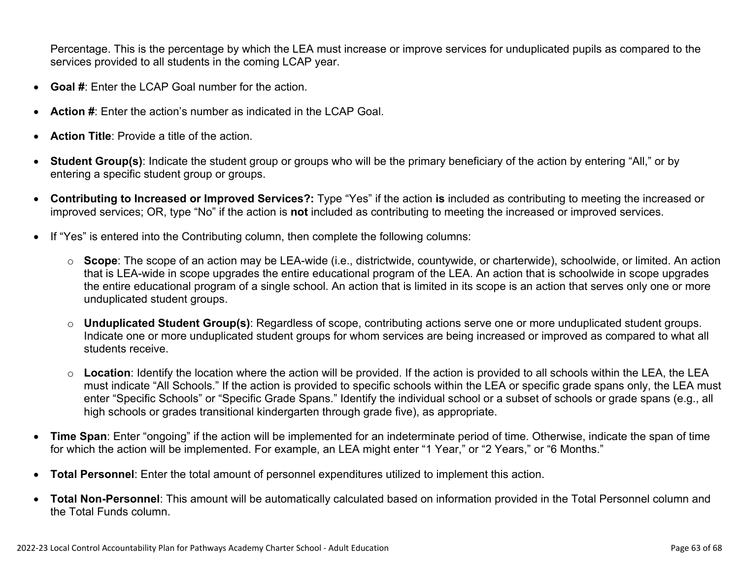Percentage. This is the percentage by which the LEA must increase or improve services for unduplicated pupils as compared to the services provided to all students in the coming LCAP year.

- **Goal #**: Enter the LCAP Goal number for the action.
- **Action #**: Enter the action's number as indicated in the LCAP Goal.
- **Action Title**: Provide a title of the action.
- **Student Group(s)**: Indicate the student group or groups who will be the primary beneficiary of the action by entering "All," or by entering a specific student group or groups.
- **Contributing to Increased or Improved Services?:** Type "Yes" if the action **is** included as contributing to meeting the increased or improved services; OR, type "No" if the action is **not** included as contributing to meeting the increased or improved services.
- If "Yes" is entered into the Contributing column, then complete the following columns:
	- o **Scope**: The scope of an action may be LEA-wide (i.e., districtwide, countywide, or charterwide), schoolwide, or limited. An action that is LEA-wide in scope upgrades the entire educational program of the LEA. An action that is schoolwide in scope upgrades the entire educational program of a single school. An action that is limited in its scope is an action that serves only one or more unduplicated student groups.
	- o **Unduplicated Student Group(s)**: Regardless of scope, contributing actions serve one or more unduplicated student groups. Indicate one or more unduplicated student groups for whom services are being increased or improved as compared to what all students receive.
	- o **Location**: Identify the location where the action will be provided. If the action is provided to all schools within the LEA, the LEA must indicate "All Schools." If the action is provided to specific schools within the LEA or specific grade spans only, the LEA must enter "Specific Schools" or "Specific Grade Spans." Identify the individual school or a subset of schools or grade spans (e.g., all high schools or grades transitional kindergarten through grade five), as appropriate.
- **Time Span**: Enter "ongoing" if the action will be implemented for an indeterminate period of time. Otherwise, indicate the span of time for which the action will be implemented. For example, an LEA might enter "1 Year," or "2 Years," or "6 Months."
- **Total Personnel**: Enter the total amount of personnel expenditures utilized to implement this action.
- **Total Non-Personnel**: This amount will be automatically calculated based on information provided in the Total Personnel column and the Total Funds column.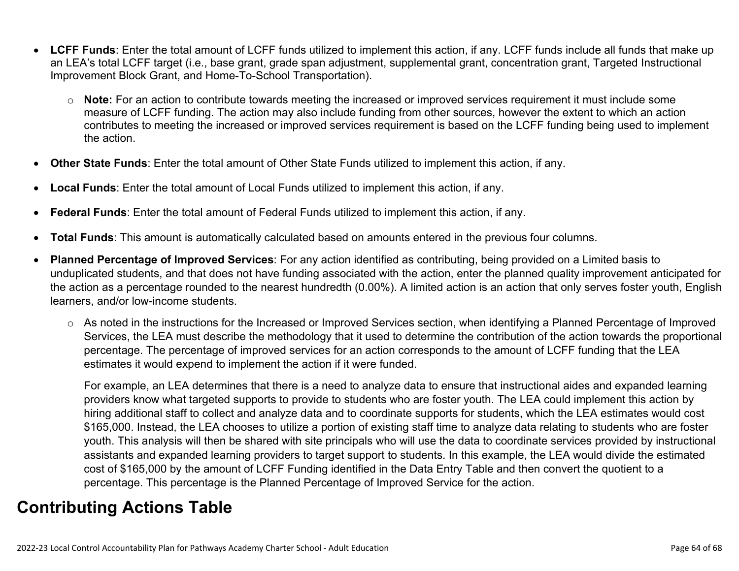- **LCFF Funds**: Enter the total amount of LCFF funds utilized to implement this action, if any. LCFF funds include all funds that make up an LEA's total LCFF target (i.e., base grant, grade span adjustment, supplemental grant, concentration grant, Targeted Instructional Improvement Block Grant, and Home-To-School Transportation).
	- o **Note:** For an action to contribute towards meeting the increased or improved services requirement it must include some measure of LCFF funding. The action may also include funding from other sources, however the extent to which an action contributes to meeting the increased or improved services requirement is based on the LCFF funding being used to implement the action.
- **Other State Funds**: Enter the total amount of Other State Funds utilized to implement this action, if any.
- **Local Funds**: Enter the total amount of Local Funds utilized to implement this action, if any.
- **Federal Funds**: Enter the total amount of Federal Funds utilized to implement this action, if any.
- **Total Funds**: This amount is automatically calculated based on amounts entered in the previous four columns.
- **Planned Percentage of Improved Services**: For any action identified as contributing, being provided on a Limited basis to unduplicated students, and that does not have funding associated with the action, enter the planned quality improvement anticipated for the action as a percentage rounded to the nearest hundredth (0.00%). A limited action is an action that only serves foster youth, English learners, and/or low-income students.
	- o As noted in the instructions for the Increased or Improved Services section, when identifying a Planned Percentage of Improved Services, the LEA must describe the methodology that it used to determine the contribution of the action towards the proportional percentage. The percentage of improved services for an action corresponds to the amount of LCFF funding that the LEA estimates it would expend to implement the action if it were funded.

For example, an LEA determines that there is a need to analyze data to ensure that instructional aides and expanded learning providers know what targeted supports to provide to students who are foster youth. The LEA could implement this action by hiring additional staff to collect and analyze data and to coordinate supports for students, which the LEA estimates would cost \$165,000. Instead, the LEA chooses to utilize a portion of existing staff time to analyze data relating to students who are foster youth. This analysis will then be shared with site principals who will use the data to coordinate services provided by instructional assistants and expanded learning providers to target support to students. In this example, the LEA would divide the estimated cost of \$165,000 by the amount of LCFF Funding identified in the Data Entry Table and then convert the quotient to a percentage. This percentage is the Planned Percentage of Improved Service for the action.

## **Contributing Actions Table**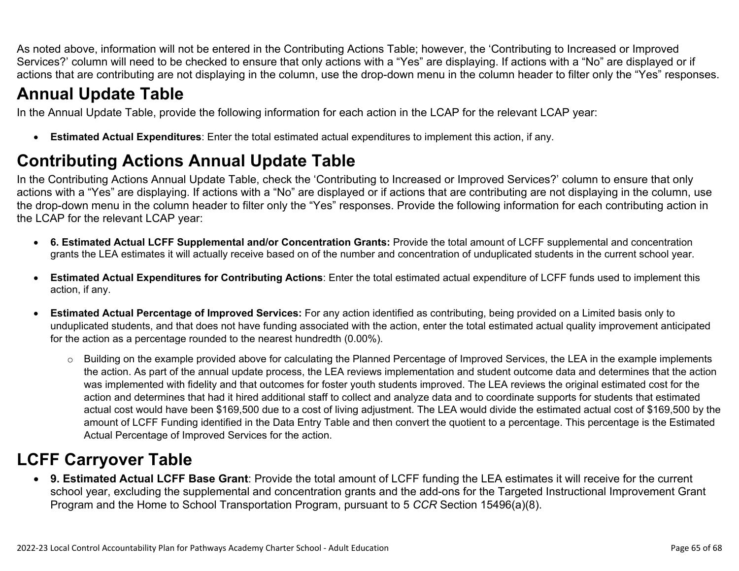As noted above, information will not be entered in the Contributing Actions Table; however, the 'Contributing to Increased or Improved Services?' column will need to be checked to ensure that only actions with a "Yes" are displaying. If actions with a "No" are displayed or if actions that are contributing are not displaying in the column, use the drop-down menu in the column header to filter only the "Yes" responses.

## **Annual Update Table**

In the Annual Update Table, provide the following information for each action in the LCAP for the relevant LCAP year:

• **Estimated Actual Expenditures**: Enter the total estimated actual expenditures to implement this action, if any.

## **Contributing Actions Annual Update Table**

In the Contributing Actions Annual Update Table, check the 'Contributing to Increased or Improved Services?' column to ensure that only actions with a "Yes" are displaying. If actions with a "No" are displayed or if actions that are contributing are not displaying in the column, use the drop-down menu in the column header to filter only the "Yes" responses. Provide the following information for each contributing action in the LCAP for the relevant LCAP year:

- **6. Estimated Actual LCFF Supplemental and/or Concentration Grants:** Provide the total amount of LCFF supplemental and concentration grants the LEA estimates it will actually receive based on of the number and concentration of unduplicated students in the current school year.
- **Estimated Actual Expenditures for Contributing Actions**: Enter the total estimated actual expenditure of LCFF funds used to implement this action, if any.
- **Estimated Actual Percentage of Improved Services:** For any action identified as contributing, being provided on a Limited basis only to unduplicated students, and that does not have funding associated with the action, enter the total estimated actual quality improvement anticipated for the action as a percentage rounded to the nearest hundredth (0.00%).
	- o Building on the example provided above for calculating the Planned Percentage of Improved Services, the LEA in the example implements the action. As part of the annual update process, the LEA reviews implementation and student outcome data and determines that the action was implemented with fidelity and that outcomes for foster youth students improved. The LEA reviews the original estimated cost for the action and determines that had it hired additional staff to collect and analyze data and to coordinate supports for students that estimated actual cost would have been \$169,500 due to a cost of living adjustment. The LEA would divide the estimated actual cost of \$169,500 by the amount of LCFF Funding identified in the Data Entry Table and then convert the quotient to a percentage. This percentage is the Estimated Actual Percentage of Improved Services for the action.

## **LCFF Carryover Table**

• **9. Estimated Actual LCFF Base Grant**: Provide the total amount of LCFF funding the LEA estimates it will receive for the current school year, excluding the supplemental and concentration grants and the add-ons for the Targeted Instructional Improvement Grant Program and the Home to School Transportation Program, pursuant to 5 *CCR* Section 15496(a)(8).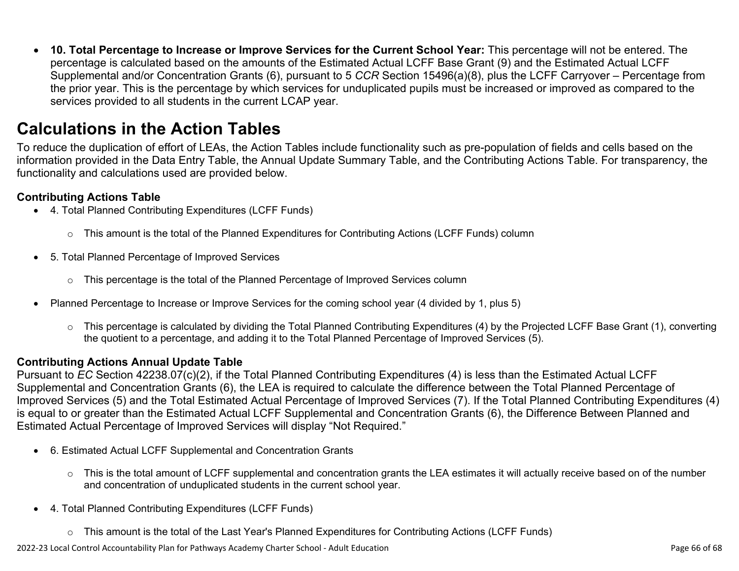• **10. Total Percentage to Increase or Improve Services for the Current School Year:** This percentage will not be entered. The percentage is calculated based on the amounts of the Estimated Actual LCFF Base Grant (9) and the Estimated Actual LCFF Supplemental and/or Concentration Grants (6), pursuant to 5 *CCR* Section 15496(a)(8), plus the LCFF Carryover – Percentage from the prior year. This is the percentage by which services for unduplicated pupils must be increased or improved as compared to the services provided to all students in the current LCAP year.

## **Calculations in the Action Tables**

To reduce the duplication of effort of LEAs, the Action Tables include functionality such as pre-population of fields and cells based on the information provided in the Data Entry Table, the Annual Update Summary Table, and the Contributing Actions Table. For transparency, the functionality and calculations used are provided below.

### **Contributing Actions Table**

- 4. Total Planned Contributing Expenditures (LCFF Funds)
	- $\circ$  This amount is the total of the Planned Expenditures for Contributing Actions (LCFF Funds) column
- 5. Total Planned Percentage of Improved Services
	- $\circ$  This percentage is the total of the Planned Percentage of Improved Services column
- Planned Percentage to Increase or Improve Services for the coming school year (4 divided by 1, plus 5)
	- o This percentage is calculated by dividing the Total Planned Contributing Expenditures (4) by the Projected LCFF Base Grant (1), converting the quotient to a percentage, and adding it to the Total Planned Percentage of Improved Services (5).

### **Contributing Actions Annual Update Table**

Pursuant to *EC* Section 42238.07(c)(2), if the Total Planned Contributing Expenditures (4) is less than the Estimated Actual LCFF Supplemental and Concentration Grants (6), the LEA is required to calculate the difference between the Total Planned Percentage of Improved Services (5) and the Total Estimated Actual Percentage of Improved Services (7). If the Total Planned Contributing Expenditures (4) is equal to or greater than the Estimated Actual LCFF Supplemental and Concentration Grants (6), the Difference Between Planned and Estimated Actual Percentage of Improved Services will display "Not Required."

- 6. Estimated Actual LCFF Supplemental and Concentration Grants
	- $\circ$  This is the total amount of LCFF supplemental and concentration grants the LEA estimates it will actually receive based on of the number and concentration of unduplicated students in the current school year.
- 4. Total Planned Contributing Expenditures (LCFF Funds)
	- $\circ$  This amount is the total of the Last Year's Planned Expenditures for Contributing Actions (LCFF Funds)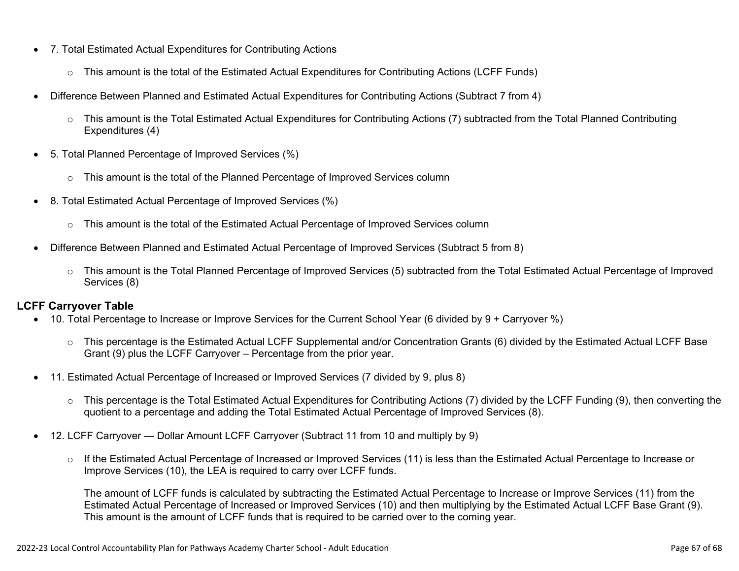- 7. Total Estimated Actual Expenditures for Contributing Actions
	- o This amount is the total of the Estimated Actual Expenditures for Contributing Actions (LCFF Funds)
- Difference Between Planned and Estimated Actual Expenditures for Contributing Actions (Subtract 7 from 4)
	- $\circ$  This amount is the Total Estimated Actual Expenditures for Contributing Actions (7) subtracted from the Total Planned Contributing Expenditures (4)
- 5. Total Planned Percentage of Improved Services (%)
	- $\circ$  This amount is the total of the Planned Percentage of Improved Services column
- 8. Total Estimated Actual Percentage of Improved Services (%)
	- o This amount is the total of the Estimated Actual Percentage of Improved Services column
- Difference Between Planned and Estimated Actual Percentage of Improved Services (Subtract 5 from 8)
	- o This amount is the Total Planned Percentage of Improved Services (5) subtracted from the Total Estimated Actual Percentage of Improved Services (8)

### **LCFF Carryover Table**

- 10. Total Percentage to Increase or Improve Services for the Current School Year (6 divided by 9 + Carryover %)
	- $\circ$  This percentage is the Estimated Actual LCFF Supplemental and/or Concentration Grants (6) divided by the Estimated Actual LCFF Base Grant (9) plus the LCFF Carryover – Percentage from the prior year.
- 11. Estimated Actual Percentage of Increased or Improved Services (7 divided by 9, plus 8)
	- o This percentage is the Total Estimated Actual Expenditures for Contributing Actions (7) divided by the LCFF Funding (9), then converting the quotient to a percentage and adding the Total Estimated Actual Percentage of Improved Services (8).
- 12. LCFF Carryover Dollar Amount LCFF Carryover (Subtract 11 from 10 and multiply by 9)
	- $\circ$  If the Estimated Actual Percentage of Increased or Improved Services (11) is less than the Estimated Actual Percentage to Increase or Improve Services (10), the LEA is required to carry over LCFF funds.

The amount of LCFF funds is calculated by subtracting the Estimated Actual Percentage to Increase or Improve Services (11) from the Estimated Actual Percentage of Increased or Improved Services (10) and then multiplying by the Estimated Actual LCFF Base Grant (9). This amount is the amount of LCFF funds that is required to be carried over to the coming year.